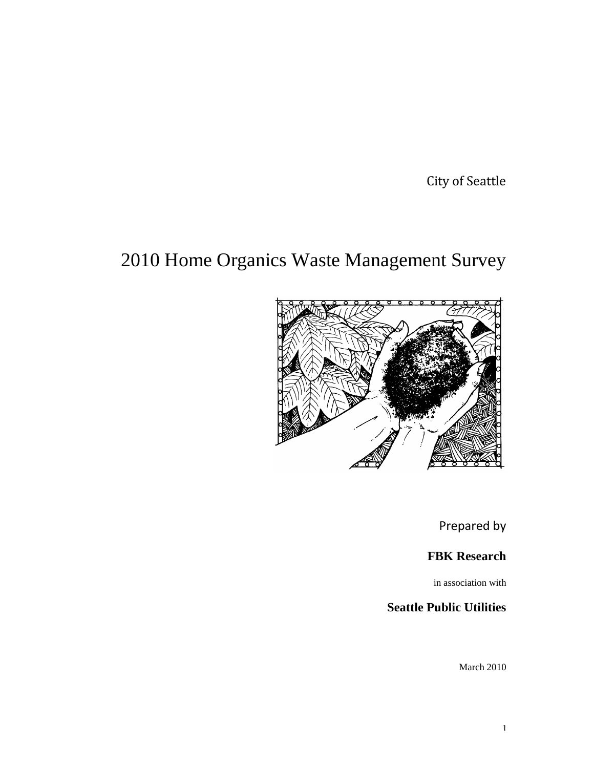City of Seattle

# 2010 Home Organics Waste Management Survey



Prepared by

**FBK Research**

in association with

### **Seattle Public Utilities**

March 2010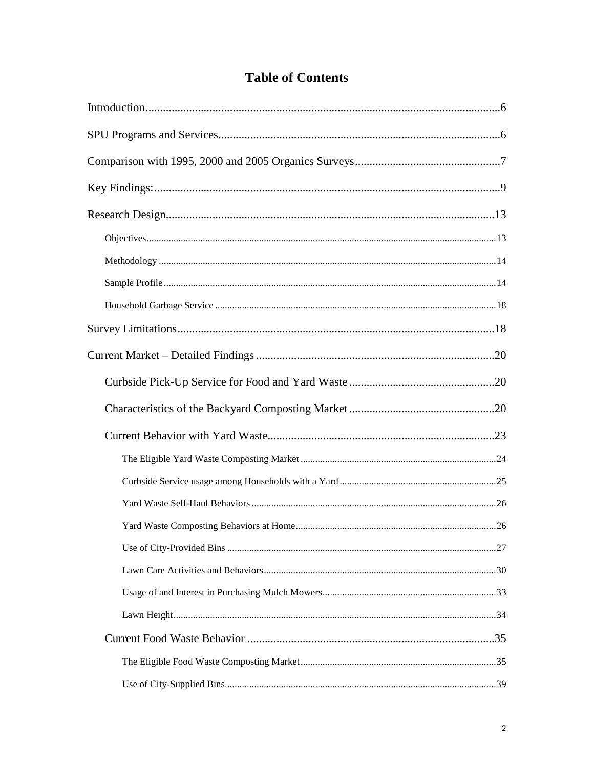## **Table of Contents**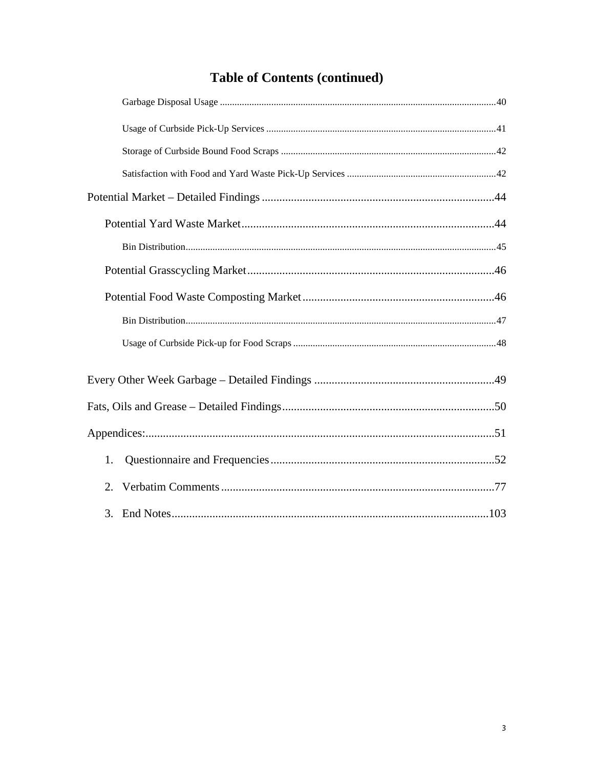## **Table of Contents (continued)**

| 1.                  |  |
|---------------------|--|
| 2.                  |  |
| 3. End Notes<br>103 |  |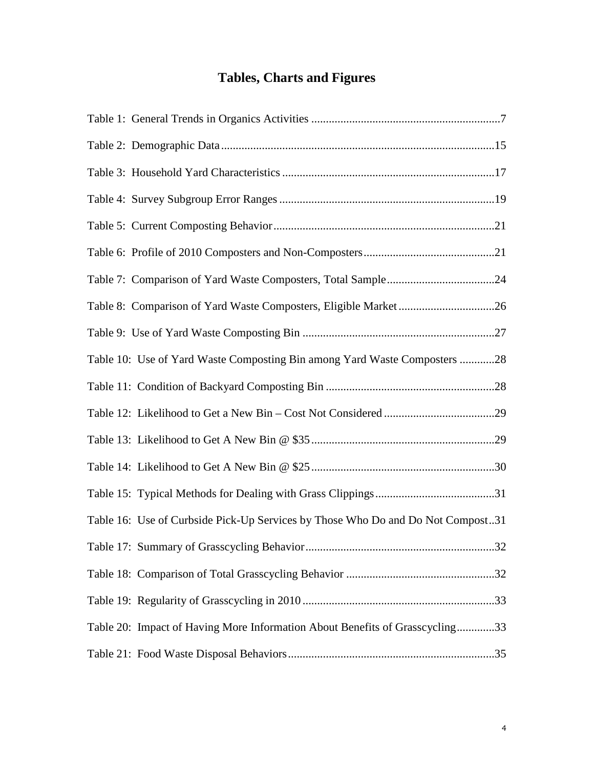## **Tables, Charts and Figures**

| Table 10: Use of Yard Waste Composting Bin among Yard Waste Composters 28       |  |
|---------------------------------------------------------------------------------|--|
|                                                                                 |  |
|                                                                                 |  |
|                                                                                 |  |
|                                                                                 |  |
|                                                                                 |  |
| Table 16: Use of Curbside Pick-Up Services by Those Who Do and Do Not Compost31 |  |
|                                                                                 |  |
|                                                                                 |  |
|                                                                                 |  |
| Table 20: Impact of Having More Information About Benefits of Grasscycling33    |  |
|                                                                                 |  |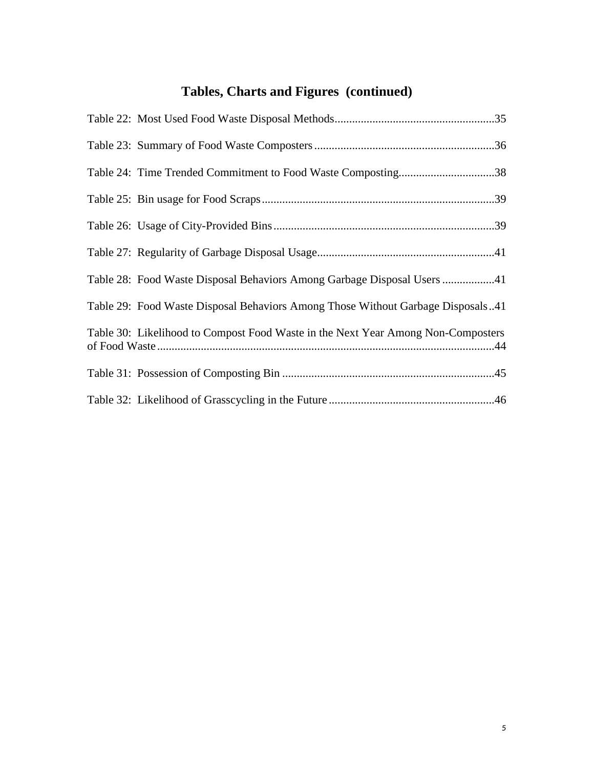## **Tables, Charts and Figures (continued)**

| Table 24: Time Trended Commitment to Food Waste Composting38                     |
|----------------------------------------------------------------------------------|
|                                                                                  |
|                                                                                  |
|                                                                                  |
| Table 28: Food Waste Disposal Behaviors Among Garbage Disposal Users 41          |
| Table 29: Food Waste Disposal Behaviors Among Those Without Garbage Disposals41  |
| Table 30: Likelihood to Compost Food Waste in the Next Year Among Non-Composters |
|                                                                                  |
|                                                                                  |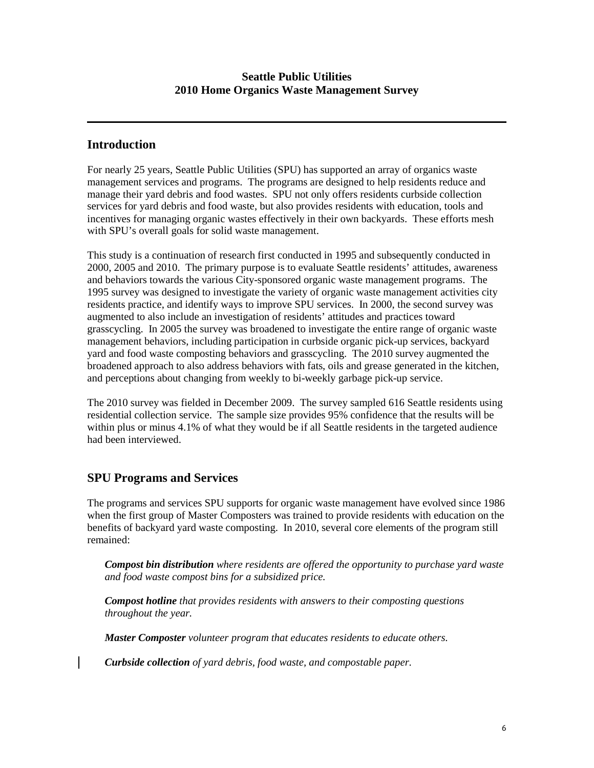### **Introduction**

For nearly 25 years, Seattle Public Utilities (SPU) has supported an array of organics waste management services and programs. The programs are designed to help residents reduce and manage their yard debris and food wastes. SPU not only offers residents curbside collection services for yard debris and food waste, but also provides residents with education, tools and incentives for managing organic wastes effectively in their own backyards. These efforts mesh with SPU's overall goals for solid waste management.

This study is a continuation of research first conducted in 1995 and subsequently conducted in 2000, 2005 and 2010. The primary purpose is to evaluate Seattle residents' attitudes, awareness and behaviors towards the various City-sponsored organic waste management programs. The 1995 survey was designed to investigate the variety of organic waste management activities city residents practice, and identify ways to improve SPU services. In 2000, the second survey was augmented to also include an investigation of residents' attitudes and practices toward grasscycling. In 2005 the survey was broadened to investigate the entire range of organic waste management behaviors, including participation in curbside organic pick-up services, backyard yard and food waste composting behaviors and grasscycling. The 2010 survey augmented the broadened approach to also address behaviors with fats, oils and grease generated in the kitchen, and perceptions about changing from weekly to bi-weekly garbage pick-up service.

The 2010 survey was fielded in December 2009. The survey sampled 616 Seattle residents using residential collection service. The sample size provides 95% confidence that the results will be within plus or minus 4.1% of what they would be if all Seattle residents in the targeted audience had been interviewed.

### **SPU Programs and Services**

The programs and services SPU supports for organic waste management have evolved since 1986 when the first group of Master Composters was trained to provide residents with education on the benefits of backyard yard waste composting. In 2010, several core elements of the program still remained:

*Compost bin distribution where residents are offered the opportunity to purchase yard waste and food waste compost bins for a subsidized price.*

*Compost hotline that provides residents with answers to their composting questions throughout the year.*

*Master Composter volunteer program that educates residents to educate others.*

*Curbside collection of yard debris, food waste, and compostable paper.*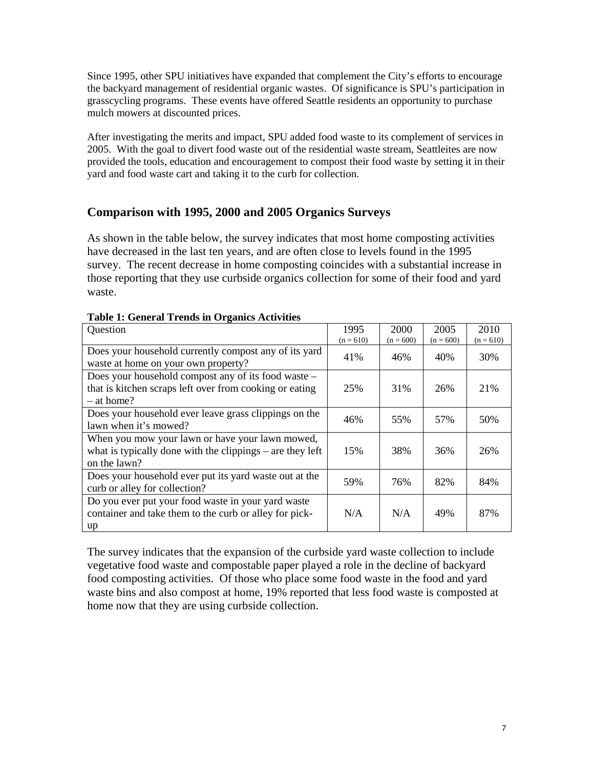Since 1995, other SPU initiatives have expanded that complement the City's efforts to encourage the backyard management of residential organic wastes. Of significance is SPU's participation in grasscycling programs. These events have offered Seattle residents an opportunity to purchase mulch mowers at discounted prices.

After investigating the merits and impact, SPU added food waste to its complement of services in 2005. With the goal to divert food waste out of the residential waste stream, Seattleites are now provided the tools, education and encouragement to compost their food waste by setting it in their yard and food waste cart and taking it to the curb for collection.

### **Comparison with 1995, 2000 and 2005 Organics Surveys**

As shown in the table below, the survey indicates that most home composting activities have decreased in the last ten years, and are often close to levels found in the 1995 survey. The recent decrease in home composting coincides with a substantial increase in those reporting that they use curbside organics collection for some of their food and yard waste.

| Question                                                                                                                       | 1995        | 2000        | 2005        | 2010        |
|--------------------------------------------------------------------------------------------------------------------------------|-------------|-------------|-------------|-------------|
|                                                                                                                                | $(n = 610)$ | $(n = 600)$ | $(n = 600)$ | $(n = 610)$ |
| Does your household currently compost any of its yard<br>waste at home on your own property?                                   | 41%         | 46%         | 40%         | 30%         |
| Does your household compost any of its food waste –<br>that is kitchen scraps left over from cooking or eating<br>$-$ at home? | 25%         | 31%         | 26%         | 21%         |
| Does your household ever leave grass clippings on the<br>lawn when it's mowed?                                                 | 46%         | 55%         | 57%         | 50%         |
| When you mow your lawn or have your lawn mowed,<br>what is typically done with the clippings $-$ are they left<br>on the lawn? | 15%         | 38%         | 36%         | 26%         |
| Does your household ever put its yard waste out at the<br>curb or alley for collection?                                        | 59%         | 76%         | 82%         | 84%         |
| Do you ever put your food waste in your yard waste<br>container and take them to the curb or alley for pick-<br>up             | N/A         | N/A         | 49%         | 87%         |

#### **Table 1: General Trends in Organics Activities**

The survey indicates that the expansion of the curbside yard waste collection to include vegetative food waste and compostable paper played a role in the decline of backyard food composting activities. Of those who place some food waste in the food and yard waste bins and also compost at home, 19% reported that less food waste is composted at home now that they are using curbside collection.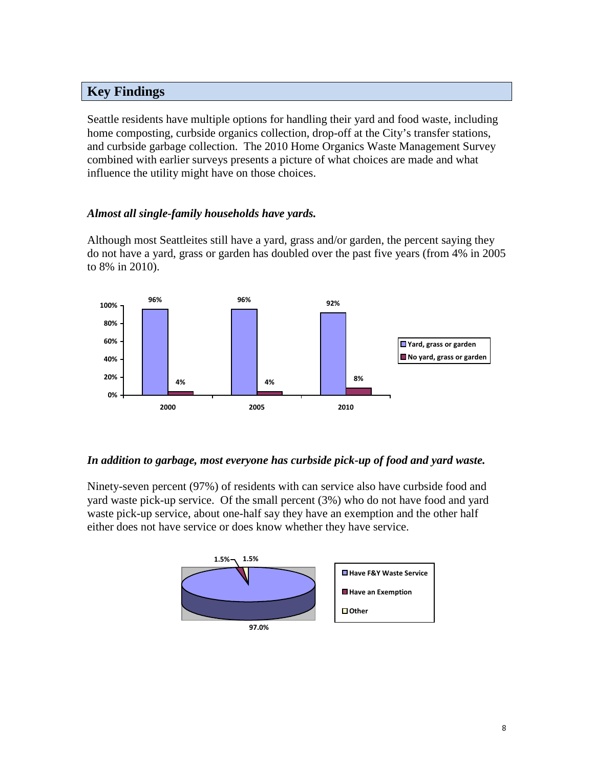### **Key Findings**

Seattle residents have multiple options for handling their yard and food waste, including home composting, curbside organics collection, drop-off at the City's transfer stations, and curbside garbage collection. The 2010 Home Organics Waste Management Survey combined with earlier surveys presents a picture of what choices are made and what influence the utility might have on those choices.

### *Almost all single-family households have yards.*

Although most Seattleites still have a yard, grass and/or garden, the percent saying they do not have a yard, grass or garden has doubled over the past five years (from 4% in 2005 to 8% in 2010).



### *In addition to garbage, most everyone has curbside pick-up of food and yard waste.*

Ninety-seven percent (97%) of residents with can service also have curbside food and yard waste pick-up service. Of the small percent (3%) who do not have food and yard waste pick-up service, about one-half say they have an exemption and the other half either does not have service or does know whether they have service.

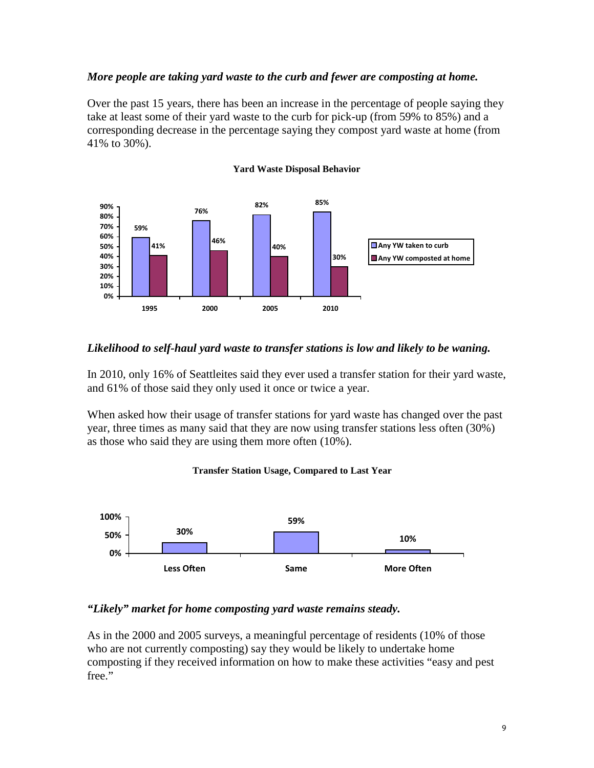### *More people are taking yard waste to the curb and fewer are composting at home.*

Over the past 15 years, there has been an increase in the percentage of people saying they take at least some of their yard waste to the curb for pick-up (from 59% to 85%) and a corresponding decrease in the percentage saying they compost yard waste at home (from 41% to 30%).



#### **Yard Waste Disposal Behavior**

### *Likelihood to self-haul yard waste to transfer stations is low and likely to be waning.*

In 2010, only 16% of Seattleites said they ever used a transfer station for their yard waste, and 61% of those said they only used it once or twice a year.

When asked how their usage of transfer stations for yard waste has changed over the past year, three times as many said that they are now using transfer stations less often (30%) as those who said they are using them more often (10%).





#### *"Likely" market for home composting yard waste remains steady.*

As in the 2000 and 2005 surveys, a meaningful percentage of residents (10% of those who are not currently composting) say they would be likely to undertake home composting if they received information on how to make these activities "easy and pest free."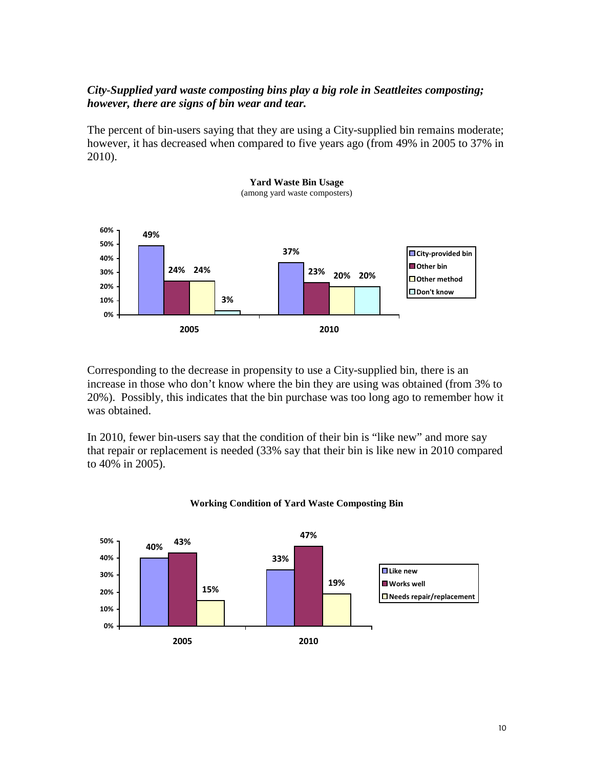### *City-Supplied yard waste composting bins play a big role in Seattleites composting; however, there are signs of bin wear and tear.*

The percent of bin-users saying that they are using a City-supplied bin remains moderate; however, it has decreased when compared to five years ago (from 49% in 2005 to 37% in 2010).



Corresponding to the decrease in propensity to use a City-supplied bin, there is an increase in those who don't know where the bin they are using was obtained (from 3% to 20%). Possibly, this indicates that the bin purchase was too long ago to remember how it was obtained.

In 2010, fewer bin-users say that the condition of their bin is "like new" and more say that repair or replacement is needed (33% say that their bin is like new in 2010 compared to 40% in 2005).



#### **Working Condition of Yard Waste Composting Bin**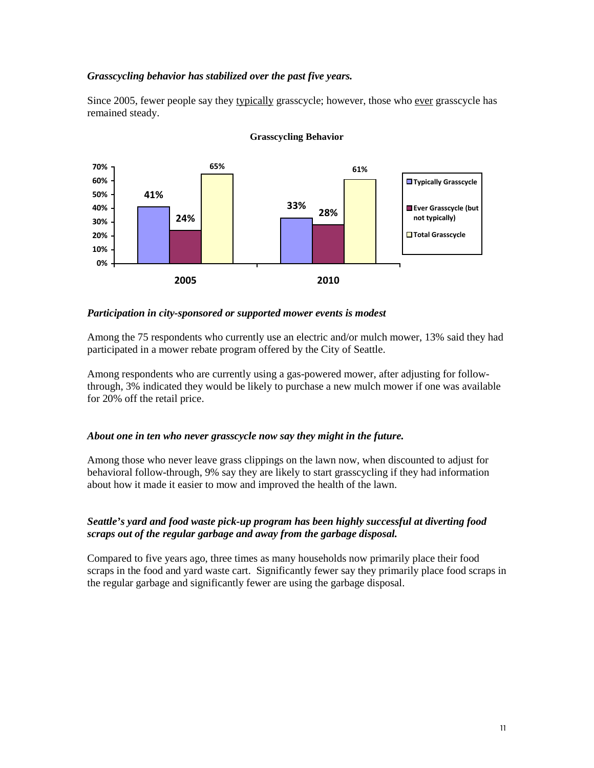#### *Grasscycling behavior has stabilized over the past five years.*

Since 2005, fewer people say they typically grasscycle; however, those who ever grasscycle has remained steady.



#### **Grasscycling Behavior**

#### *Participation in city-sponsored or supported mower events is modest*

Among the 75 respondents who currently use an electric and/or mulch mower, 13% said they had participated in a mower rebate program offered by the City of Seattle.

Among respondents who are currently using a gas-powered mower, after adjusting for followthrough, 3% indicated they would be likely to purchase a new mulch mower if one was available for 20% off the retail price.

#### *About one in ten who never grasscycle now say they might in the future.*

Among those who never leave grass clippings on the lawn now, when discounted to adjust for behavioral follow-through, 9% say they are likely to start grasscycling if they had information about how it made it easier to mow and improved the health of the lawn.

#### *Seattle's yard and food waste pick-up program has been highly successful at diverting food scraps out of the regular garbage and away from the garbage disposal.*

Compared to five years ago, three times as many households now primarily place their food scraps in the food and yard waste cart. Significantly fewer say they primarily place food scraps in the regular garbage and significantly fewer are using the garbage disposal.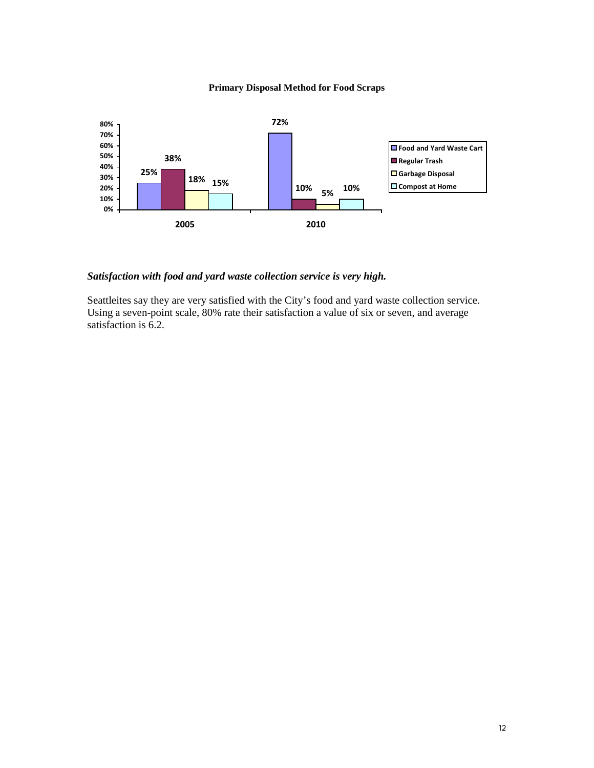#### **Primary Disposal Method for Food Scraps**



#### *Satisfaction with food and yard waste collection service is very high.*

Seattleites say they are very satisfied with the City's food and yard waste collection service. Using a seven-point scale, 80% rate their satisfaction a value of six or seven, and average satisfaction is 6.2.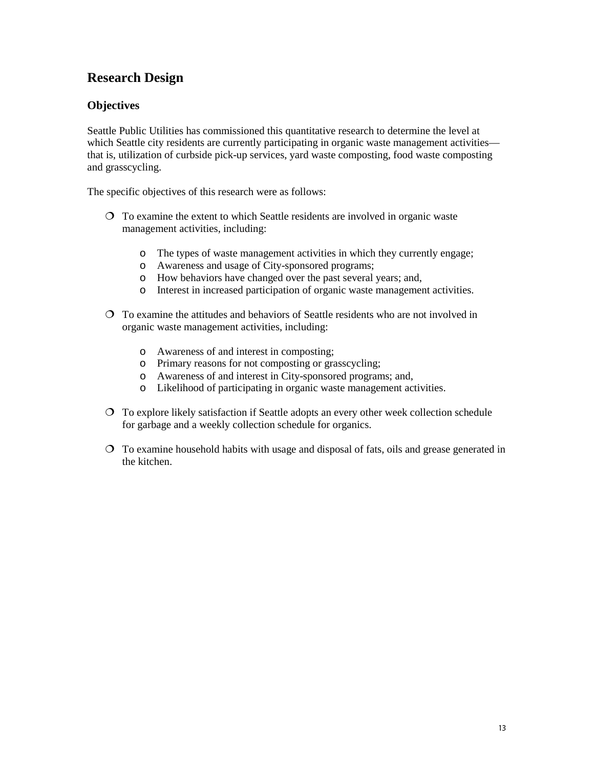### **Research Design**

### **Objectives**

Seattle Public Utilities has commissioned this quantitative research to determine the level at which Seattle city residents are currently participating in organic waste management activities that is, utilization of curbside pick-up services, yard waste composting, food waste composting and grasscycling.

The specific objectives of this research were as follows:

- $\overline{O}$  To examine the extent to which Seattle residents are involved in organic waste management activities, including:
	- o The types of waste management activities in which they currently engage;
	- o Awareness and usage of City-sponsored programs;
	- o How behaviors have changed over the past several years; and,
	- o Interest in increased participation of organic waste management activities.
- To examine the attitudes and behaviors of Seattle residents who are not involved in organic waste management activities, including:
	- o Awareness of and interest in composting;
	- o Primary reasons for not composting or grasscycling;
	- o Awareness of and interest in City-sponsored programs; and,
	- o Likelihood of participating in organic waste management activities.
- To explore likely satisfaction if Seattle adopts an every other week collection schedule for garbage and a weekly collection schedule for organics.
- To examine household habits with usage and disposal of fats, oils and grease generated in the kitchen.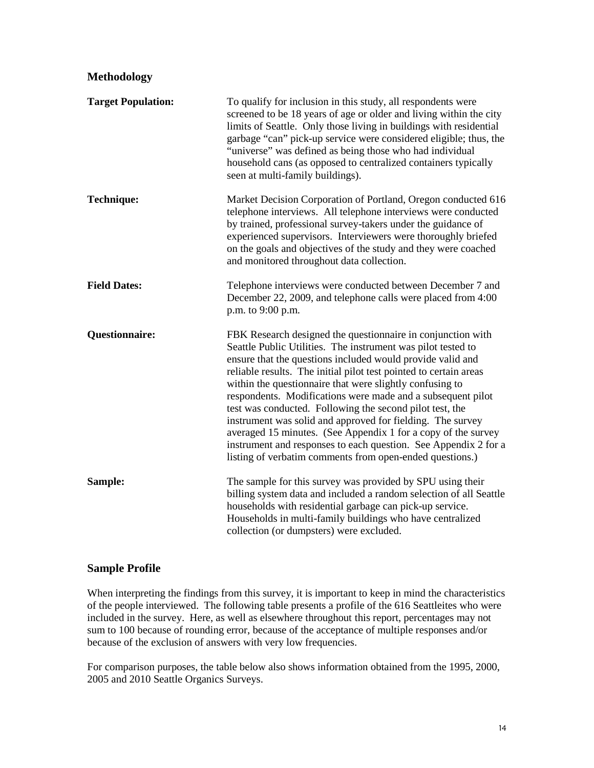### **Methodology**

| <b>Target Population:</b> | To qualify for inclusion in this study, all respondents were<br>screened to be 18 years of age or older and living within the city<br>limits of Seattle. Only those living in buildings with residential<br>garbage "can" pick-up service were considered eligible; thus, the<br>"universe" was defined as being those who had individual<br>household cans (as opposed to centralized containers typically<br>seen at multi-family buildings).                                                                                                                                                                                                                                                                     |
|---------------------------|---------------------------------------------------------------------------------------------------------------------------------------------------------------------------------------------------------------------------------------------------------------------------------------------------------------------------------------------------------------------------------------------------------------------------------------------------------------------------------------------------------------------------------------------------------------------------------------------------------------------------------------------------------------------------------------------------------------------|
| <b>Technique:</b>         | Market Decision Corporation of Portland, Oregon conducted 616<br>telephone interviews. All telephone interviews were conducted<br>by trained, professional survey-takers under the guidance of<br>experienced supervisors. Interviewers were thoroughly briefed<br>on the goals and objectives of the study and they were coached<br>and monitored throughout data collection.                                                                                                                                                                                                                                                                                                                                      |
| <b>Field Dates:</b>       | Telephone interviews were conducted between December 7 and<br>December 22, 2009, and telephone calls were placed from 4:00<br>p.m. to 9:00 p.m.                                                                                                                                                                                                                                                                                                                                                                                                                                                                                                                                                                     |
| <b>Questionnaire:</b>     | FBK Research designed the questionnaire in conjunction with<br>Seattle Public Utilities. The instrument was pilot tested to<br>ensure that the questions included would provide valid and<br>reliable results. The initial pilot test pointed to certain areas<br>within the questionnaire that were slightly confusing to<br>respondents. Modifications were made and a subsequent pilot<br>test was conducted. Following the second pilot test, the<br>instrument was solid and approved for fielding. The survey<br>averaged 15 minutes. (See Appendix 1 for a copy of the survey<br>instrument and responses to each question. See Appendix 2 for a<br>listing of verbatim comments from open-ended questions.) |
| Sample:                   | The sample for this survey was provided by SPU using their<br>billing system data and included a random selection of all Seattle<br>households with residential garbage can pick-up service.<br>Households in multi-family buildings who have centralized<br>collection (or dumpsters) were excluded.                                                                                                                                                                                                                                                                                                                                                                                                               |

### **Sample Profile**

When interpreting the findings from this survey, it is important to keep in mind the characteristics of the people interviewed. The following table presents a profile of the 616 Seattleites who were included in the survey. Here, as well as elsewhere throughout this report, percentages may not sum to 100 because of rounding error, because of the acceptance of multiple responses and/or because of the exclusion of answers with very low frequencies.

For comparison purposes, the table below also shows information obtained from the 1995, 2000, 2005 and 2010 Seattle Organics Surveys.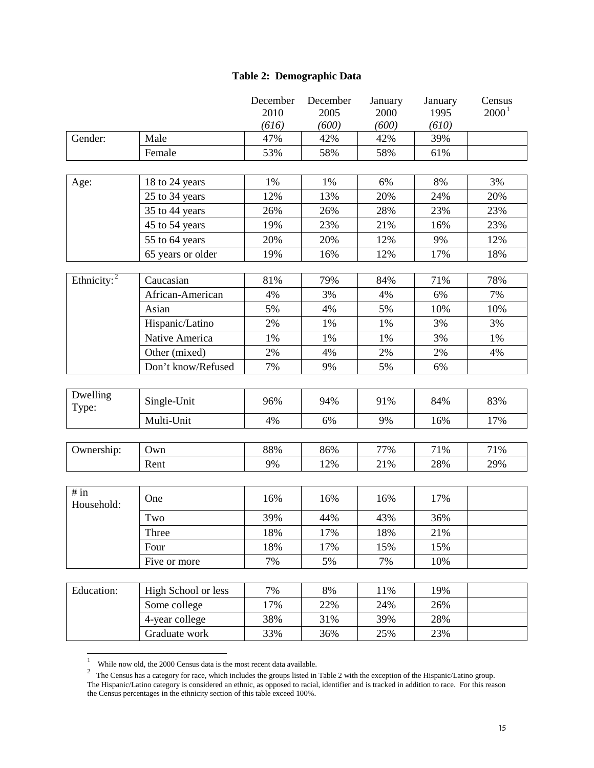### **Table 2: Demographic Data**

|                    |                     | December<br>2010 | December<br>2005 | January<br>2000 | January<br>1995 | Census<br>$2000^1$ |
|--------------------|---------------------|------------------|------------------|-----------------|-----------------|--------------------|
|                    |                     | (616)            | (600)            | (600)           | (610)           |                    |
| Gender:            | Male                | 47%              | 42%              | 42%             | 39%             |                    |
|                    | Female              | 53%              | 58%              | 58%             | 61%             |                    |
|                    |                     |                  |                  |                 |                 |                    |
| Age:               | 18 to 24 years      | 1%               | 1%               | 6%              | 8%              | 3%                 |
|                    | 25 to 34 years      | 12%              | 13%              | 20%             | 24%             | 20%                |
|                    | 35 to 44 years      | 26%              | 26%              | 28%             | 23%             | 23%                |
|                    | 45 to 54 years      | 19%              | 23%              | 21%             | 16%             | 23%                |
|                    | 55 to 64 years      | 20%              | 20%              | 12%             | 9%              | 12%                |
|                    | 65 years or older   | 19%              | 16%              | 12%             | 17%             | 18%                |
|                    |                     |                  |                  |                 |                 |                    |
| Ethnicity: $2$     | Caucasian           | 81%              | 79%              | 84%             | 71%             | 78%                |
|                    | African-American    | 4%               | 3%               | 4%              | 6%              | 7%                 |
|                    | Asian               | 5%               | 4%               | 5%              | 10%             | 10%                |
|                    | Hispanic/Latino     | 2%               | 1%               | 1%              | 3%              | 3%                 |
|                    | Native America      | 1%               | 1%               | 1%              | 3%              | 1%                 |
|                    | Other (mixed)       | 2%               | 4%               | 2%              | 2%              | 4%                 |
|                    | Don't know/Refused  | 7%               | 9%               | 5%              | 6%              |                    |
|                    |                     |                  |                  |                 |                 |                    |
| Dwelling<br>Type:  | Single-Unit         | 96%              | 94%              | 91%             | 84%             | 83%                |
|                    | Multi-Unit          | 4%               | 6%               | 9%              | 16%             | 17%                |
|                    |                     |                  |                  |                 |                 |                    |
| Ownership:         | Own                 | 88%              | 86%              | 77%             | 71%             | 71%                |
|                    | Rent                | 9%               | 12%              | 21%             | 28%             | 29%                |
|                    |                     |                  |                  |                 |                 |                    |
| # in<br>Household: | One                 | 16%              | 16%              | 16%             | 17%             |                    |
|                    | Two                 | 39%              | 44%              | 43%             | 36%             |                    |
|                    | Three               | 18%              | 17%              | 18%             | 21%             |                    |
|                    | Four                | 18%              | 17%              | 15%             | 15%             |                    |
|                    | Five or more        | 7%               | 5%               | 7%              | 10%             |                    |
|                    |                     |                  |                  |                 |                 |                    |
| Education:         | High School or less | 7%               | 8%               | 11%             | 19%             |                    |
|                    | Some college        | 17%              | 22%              | 24%             | 26%             |                    |
|                    | 4-year college      | 38%              | 31%              | 39%             | 28%             |                    |
|                    | Graduate work       | 33%              | 36%              | 25%             | 23%             |                    |
|                    |                     |                  |                  |                 |                 |                    |

 <sup>1</sup>

While now old, the 2000 Census data is the most recent data available.<br><sup>2</sup> The Census has a category for race, which includes the groups listed in Table 2 with the exception of the Hispanic/Latino group. The Hispanic/Latino category is considered an ethnic, as opposed to racial, identifier and is tracked in addition to race. For this reason the Census percentages in the ethnicity section of this table exceed 100%.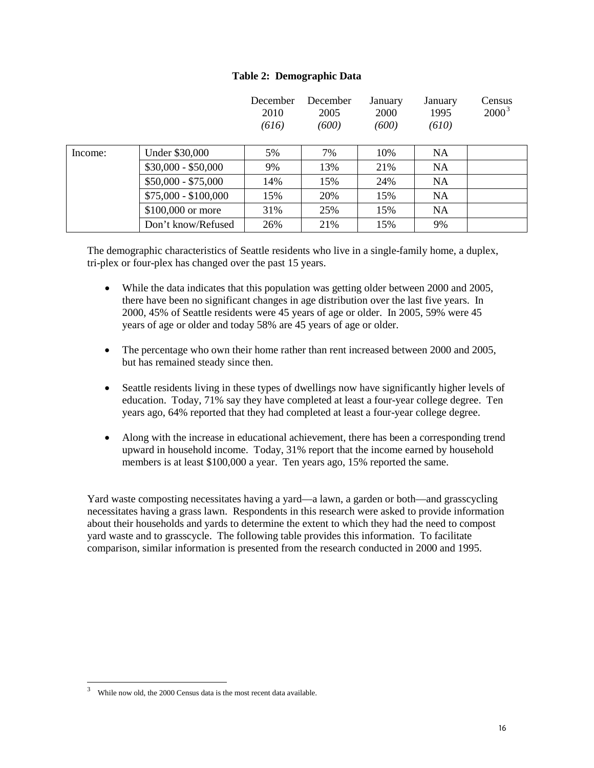#### **Table 2: Demographic Data**

|         |                      | December<br>2010<br>(616) | December<br>2005<br>(600) | January<br>2000<br>(600) | January<br>1995<br>(610) | Census<br>$2000^3$ |
|---------|----------------------|---------------------------|---------------------------|--------------------------|--------------------------|--------------------|
| Income: | Under \$30,000       | 5%                        | 7%                        | 10%                      | <b>NA</b>                |                    |
|         | $$30,000 - $50,000$  | 9%                        | 13%                       | 21%                      | <b>NA</b>                |                    |
|         | $$50,000 - $75,000$  | 14%                       | 15%                       | 24%                      | <b>NA</b>                |                    |
|         | $$75,000 - $100,000$ | 15%                       | 20%                       | 15%                      | <b>NA</b>                |                    |
|         | \$100,000 or more    | 31%                       | 25%                       | 15%                      | <b>NA</b>                |                    |
|         | Don't know/Refused   | 26%                       | 21%                       | 15%                      | 9%                       |                    |

The demographic characteristics of Seattle residents who live in a single-family home, a duplex, tri-plex or four-plex has changed over the past 15 years.

- While the data indicates that this population was getting older between 2000 and 2005, there have been no significant changes in age distribution over the last five years. In 2000, 45% of Seattle residents were 45 years of age or older. In 2005, 59% were 45 years of age or older and today 58% are 45 years of age or older.
- The percentage who own their home rather than rent increased between 2000 and 2005, but has remained steady since then.
- Seattle residents living in these types of dwellings now have significantly higher levels of education. Today, 71% say they have completed at least a four-year college degree. Ten years ago, 64% reported that they had completed at least a four-year college degree.
- Along with the increase in educational achievement, there has been a corresponding trend upward in household income. Today, 31% report that the income earned by household members is at least \$100,000 a year. Ten years ago, 15% reported the same.

Yard waste composting necessitates having a yard—a lawn, a garden or both—and grasscycling necessitates having a grass lawn. Respondents in this research were asked to provide information about their households and yards to determine the extent to which they had the need to compost yard waste and to grasscycle. The following table provides this information. To facilitate comparison, similar information is presented from the research conducted in 2000 and 1995.

 <sup>3</sup> While now old, the 2000 Census data is the most recent data available.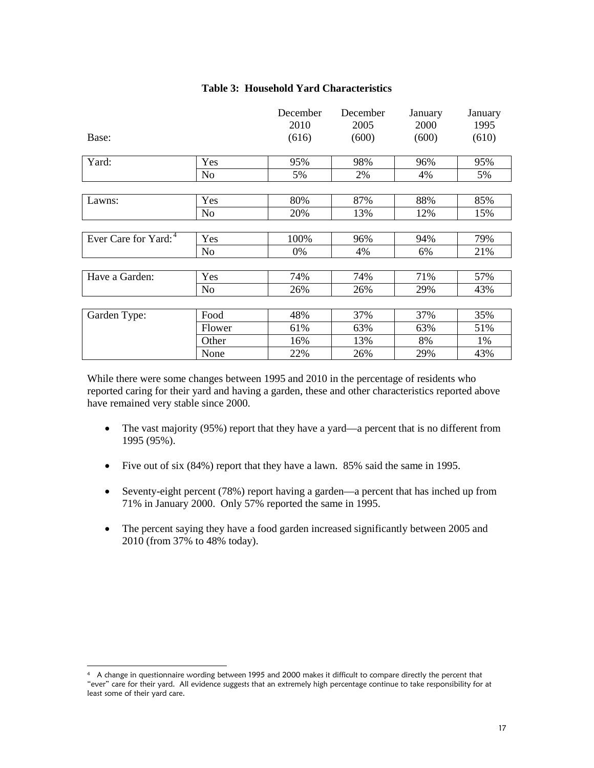|                                  |                | December | December | January | January |
|----------------------------------|----------------|----------|----------|---------|---------|
|                                  |                | 2010     | 2005     | 2000    | 1995    |
| Base:                            |                | (616)    | (600)    | (600)   | (610)   |
|                                  |                |          |          |         |         |
| Yard:                            | Yes            | 95%      | 98%      | 96%     | 95%     |
|                                  | N <sub>o</sub> | 5%       | 2%       | 4%      | 5%      |
|                                  |                |          |          |         |         |
| Lawns:                           | Yes            | 80%      | 87%      | 88%     | 85%     |
|                                  | N <sub>o</sub> | 20%      | 13%      | 12%     | 15%     |
|                                  |                |          |          |         |         |
| Ever Care for Yard: <sup>4</sup> | Yes            | 100%     | 96%      | 94%     | 79%     |
|                                  | N <sub>0</sub> | 0%       | 4%       | 6%      | 21%     |
|                                  |                |          |          |         |         |
| Have a Garden:                   | Yes            | 74%      | 74%      | 71%     | 57%     |
|                                  | No             | 26%      | 26%      | 29%     | 43%     |
|                                  |                |          |          |         |         |
| Garden Type:                     | Food           | 48%      | 37%      | 37%     | 35%     |
|                                  | Flower         | 61%      | 63%      | 63%     | 51%     |
|                                  | Other          | 16%      | 13%      | 8%      | 1%      |
|                                  | None           | 22%      | 26%      | 29%     | 43%     |

#### **Table 3: Household Yard Characteristics**

While there were some changes between 1995 and 2010 in the percentage of residents who reported caring for their yard and having a garden, these and other characteristics reported above have remained very stable since 2000.

- The vast majority (95%) report that they have a yard—a percent that is no different from 1995 (95%).
- Five out of six (84%) report that they have a lawn. 85% said the same in 1995.
- Seventy-eight percent (78%) report having a garden—a percent that has inched up from 71% in January 2000. Only 57% reported the same in 1995.
- The percent saying they have a food garden increased significantly between 2005 and 2010 (from 37% to 48% today).

 $\overline{a}$ 

<sup>4</sup> A change in questionnaire wording between 1995 and 2000 makes it difficult to compare directly the percent that "ever" care for their yard. All evidence suggests that an extremely high percentage continue to take responsibility for at least some of their yard care.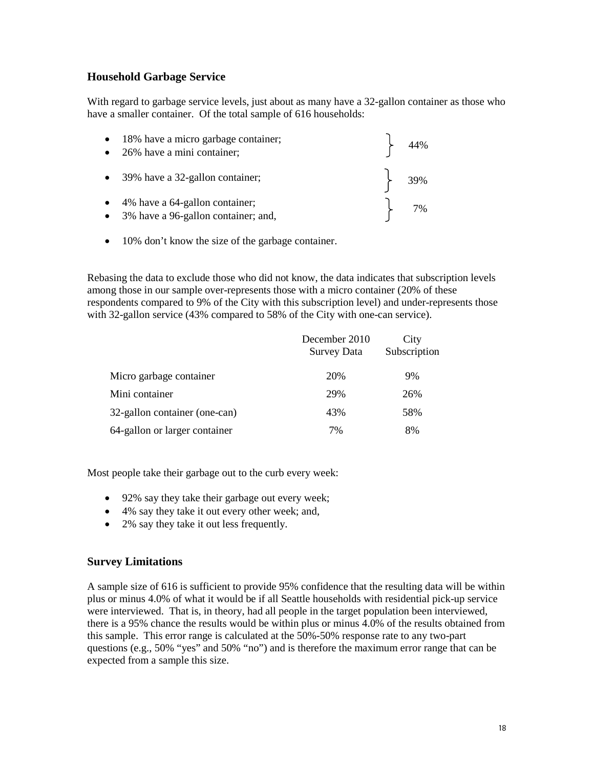### **Household Garbage Service**

With regard to garbage service levels, just about as many have a 32-gallon container as those who have a smaller container. Of the total sample of 616 households:

| • 18% have a micro garbage container;<br>• 26% have a mini container;             | $\begin{cases} 44\% \end{cases}$              |
|-----------------------------------------------------------------------------------|-----------------------------------------------|
| • 39% have a 32-gallon container;                                                 | $\begin{array}{ c c } \hline \end{array}$ 39% |
| $\bullet$ 4% have a 64-gallon container;<br>• 3% have a 96-gallon container; and, | $\left\{\right.$ 7%                           |

• 10% don't know the size of the garbage container.

Rebasing the data to exclude those who did not know, the data indicates that subscription levels among those in our sample over-represents those with a micro container (20% of these respondents compared to 9% of the City with this subscription level) and under-represents those with 32-gallon service (43% compared to 58% of the City with one-can service).

|                               | December 2010<br><b>Survey Data</b> | City<br>Subscription |
|-------------------------------|-------------------------------------|----------------------|
| Micro garbage container       | 20%                                 | 9%                   |
| Mini container                | 29%                                 | 26%                  |
| 32-gallon container (one-can) | 43%                                 | 58%                  |
| 64-gallon or larger container | 7%                                  | 8%                   |

Most people take their garbage out to the curb every week:

- 92% say they take their garbage out every week;
- 4% say they take it out every other week; and,
- 2% say they take it out less frequently.

### **Survey Limitations**

A sample size of 616 is sufficient to provide 95% confidence that the resulting data will be within plus or minus 4.0% of what it would be if all Seattle households with residential pick-up service were interviewed. That is, in theory, had all people in the target population been interviewed, there is a 95% chance the results would be within plus or minus 4.0% of the results obtained from this sample. This error range is calculated at the 50%-50% response rate to any two-part questions (e.g., 50% "yes" and 50% "no") and is therefore the maximum error range that can be expected from a sample this size.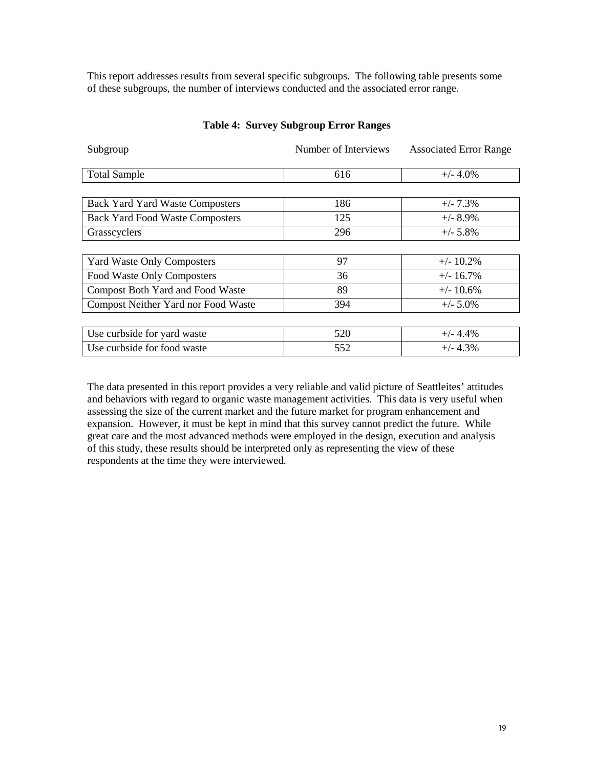This report addresses results from several specific subgroups. The following table presents some of these subgroups, the number of interviews conducted and the associated error range.

| Subgroup                                | Number of Interviews | <b>Associated Error Range</b> |
|-----------------------------------------|----------------------|-------------------------------|
|                                         |                      |                               |
| <b>Total Sample</b>                     | 616                  | $+/- 4.0\%$                   |
|                                         |                      |                               |
| <b>Back Yard Yard Waste Composters</b>  | 186                  | $+/- 7.3%$                    |
| <b>Back Yard Food Waste Composters</b>  | 125                  | $+/- 8.9\%$                   |
| Grasscyclers                            | 296                  | $+/- 5.8\%$                   |
|                                         |                      |                               |
| <b>Yard Waste Only Composters</b>       | 97                   | $+/- 10.2\%$                  |
| Food Waste Only Composters              | 36                   | $+/- 16.7\%$                  |
| <b>Compost Both Yard and Food Waste</b> | 89                   | $+/- 10.6\%$                  |
| Compost Neither Yard nor Food Waste     | 394                  | $+/- 5.0\%$                   |
|                                         |                      |                               |
| Use curbside for yard waste             | 520                  | $+/- 4.4\%$                   |
| Use curbside for food waste             | 552                  | $+/- 4.3%$                    |

#### **Table 4: Survey Subgroup Error Ranges**

The data presented in this report provides a very reliable and valid picture of Seattleites' attitudes and behaviors with regard to organic waste management activities. This data is very useful when assessing the size of the current market and the future market for program enhancement and expansion. However, it must be kept in mind that this survey cannot predict the future. While great care and the most advanced methods were employed in the design, execution and analysis of this study, these results should be interpreted only as representing the view of these respondents at the time they were interviewed.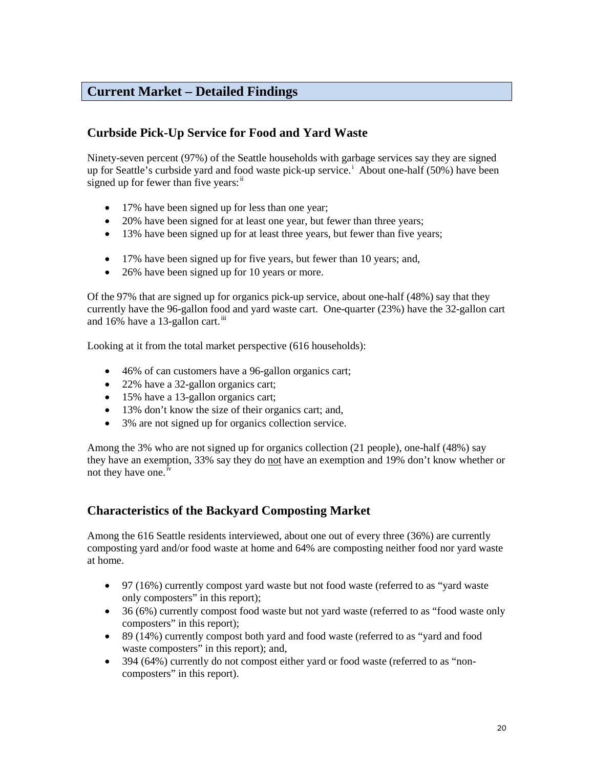### **Current Market – Detailed Findings**

### **Curbside Pick-Up Service for Food and Yard Waste**

Ninety-seven percent (97%) of the Seattle households with garbage services say they are signed up for Seattle's curbside yard and food waste pick-up service.<sup>i</sup> About one-half (50%) have been signed up for fewer than five years:<sup>ii</sup>

- 17% have been signed up for less than one year;
- 20% have been signed for at least one year, but fewer than three years;
- 13% have been signed up for at least three years, but fewer than five years;
- 17% have been signed up for five years, but fewer than 10 years; and,
- 26% have been signed up for 10 years or more.

Of the 97% that are signed up for organics pick-up service, about one-half (48%) say that they currently have the 96-gallon food and yard waste cart. One-quarter (23%) have the 32-gallon cart and 16% have a 13-gallon cart.<sup>iii</sup>

Looking at it from the total market perspective (616 households):

- 46% of can customers have a 96-gallon organics cart;
- 22% have a 32-gallon organics cart;
- 15% have a 13-gallon organics cart;
- 13% don't know the size of their organics cart; and,
- 3% are not signed up for organics collection service.

Among the 3% who are not signed up for organics collection (21 people), one-half (48%) say they have an exemption, 33% say they do not have an exemption and 19% don't know whether or not they have one.<sup>iv</sup>

### **Characteristics of the Backyard Composting Market**

Among the 616 Seattle residents interviewed, about one out of every three (36%) are currently composting yard and/or food waste at home and 64% are composting neither food nor yard waste at home.

- 97 (16%) currently compost yard waste but not food waste (referred to as "yard waste only composters" in this report);
- 36 (6%) currently compost food waste but not yard waste (referred to as "food waste only composters" in this report);
- 89 (14%) currently compost both yard and food waste (referred to as "yard and food waste composters" in this report); and,
- 394 (64%) currently do not compost either yard or food waste (referred to as "noncomposters" in this report).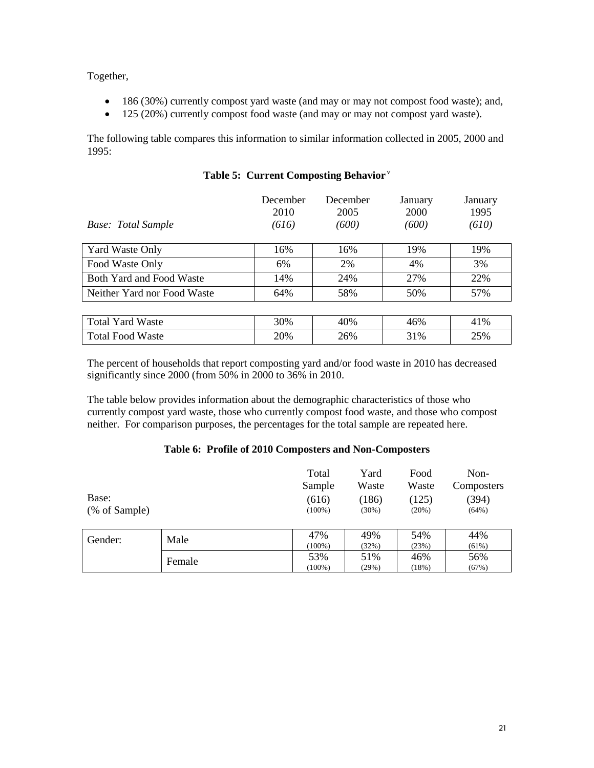Together,

- 186 (30%) currently compost yard waste (and may or may not compost food waste); and,
- 125 (20%) currently compost food waste (and may or may not compost yard waste).

The following table compares this information to similar information collected in 2005, 2000 and 1995:

| Base: Total Sample              | December<br>2010<br>(616) | December<br>2005<br>(600) | January<br>2000<br>(600) | January<br>1995<br>(610) |
|---------------------------------|---------------------------|---------------------------|--------------------------|--------------------------|
| <b>Yard Waste Only</b>          | 16%                       | 16%                       | 19%                      | 19%                      |
| Food Waste Only                 | 6%                        | 2%                        | 4%                       | 3%                       |
| <b>Both Yard and Food Waste</b> | 14%                       | 24%                       | 27%                      | 22%                      |
| Neither Yard nor Food Waste     | 64%                       | 58%                       | 50%                      | 57%                      |
|                                 |                           |                           |                          |                          |
| <b>Total Yard Waste</b>         | 30%                       | 40%                       | 46%                      | 41%                      |
| <b>Total Food Waste</b>         | 20%                       | 26%                       | 31%                      | 25%                      |

### **Table 5: Current Composting Behavior** <sup>v</sup>

The percent of households that report composting yard and/or food waste in 2010 has decreased significantly since 2000 (from 50% in 2000 to 36% in 2010.

The table below provides information about the demographic characteristics of those who currently compost yard waste, those who currently compost food waste, and those who compost neither. For comparison purposes, the percentages for the total sample are repeated here.

#### **Table 6: Profile of 2010 Composters and Non-Composters**

| Base:<br>(% of Sample) |        | Total<br>Sample<br>(616)<br>$(100\%)$ | Yard<br>Waste<br>(186)<br>$(30\%)$ | Food<br>Waste<br>(125)<br>(20%) | Non-<br>Composters<br>(394)<br>(64%) |
|------------------------|--------|---------------------------------------|------------------------------------|---------------------------------|--------------------------------------|
| Gender:                | Male   | 47%<br>$(100\%)$                      | 49%<br>(32%)                       | 54%<br>(23%)                    | 44%<br>(61%)                         |
|                        | Female | 53%<br>$(100\%)$                      | 51%<br>(29%)                       | 46%<br>(18%)                    | 56%<br>(67%)                         |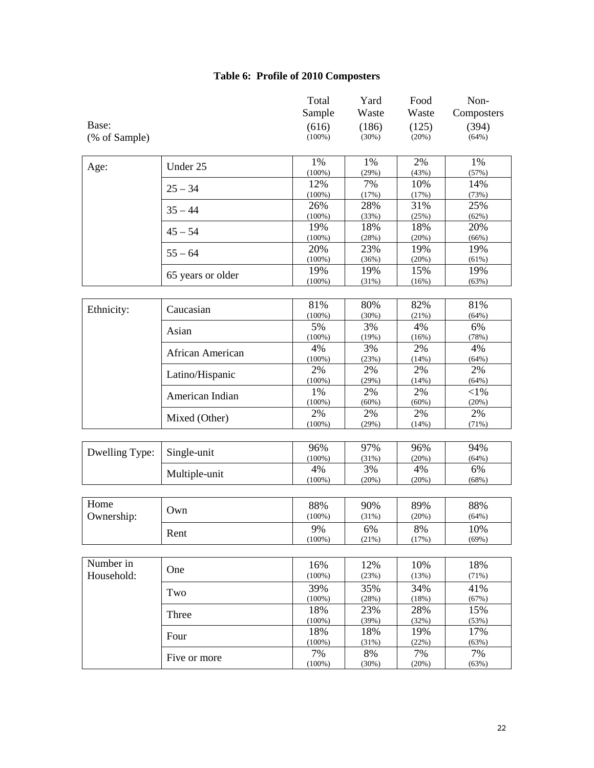### **Table 6: Profile of 2010 Composters**

|                |                   | Total<br>Sample  | Yard<br>Waste | Food<br>Waste | Non-<br>Composters |
|----------------|-------------------|------------------|---------------|---------------|--------------------|
| Base:          |                   | (616)            | (186)         | (125)         | (394)              |
| (% of Sample)  |                   | $(100\%)$        | (30%)         | (20%)         | (64%)              |
|                |                   |                  |               |               |                    |
| Age:           | Under 25          | 1%               | 1%            | 2%            | 1%                 |
|                |                   | $(100\%)$        | (29%)         | (43%)         | (57%)              |
|                | $25 - 34$         | 12%              | 7%            | 10%           | 14%                |
|                |                   | $(100\%)$        | (17%)         | (17%)         | (73%)              |
|                | $35 - 44$         | 26%              | 28%           | 31%           | 25%                |
|                |                   | $(100\%)$<br>19% | (33%)<br>18%  | (25%)<br>18%  | (62%)<br>20%       |
|                | $45 - 54$         | $(100\%)$        | (28%)         | (20%)         | (66%)              |
|                |                   | 20%              | 23%           | 19%           | 19%                |
|                | $55 - 64$         | $(100\%)$        | (36%)         | (20%)         | (61%)              |
|                |                   | 19%              | 19%           | 15%           | 19%                |
|                | 65 years or older | $(100\%)$        | (31%)         | (16%)         | (63%)              |
|                |                   |                  |               |               |                    |
|                | Caucasian         | 81%              | 80%           | 82%           | 81%                |
| Ethnicity:     |                   | $(100\%)$        | (30%)         | (21%)         | (64%)              |
|                | Asian             | 5%               | 3%            | 4%            | 6%                 |
|                |                   | $(100\%)$        | (19%)         | (16%)         | (78%)              |
|                | African American  | 4%               | 3%            | 2%            | 4%                 |
|                |                   | $(100\%)$        | (23%)         | (14%)         | (64%)              |
|                | Latino/Hispanic   | 2%               | 2%            | 2%            | 2%                 |
|                |                   | $(100\%)$        | (29%)         | (14%)         | (64%)              |
|                | American Indian   | 1%<br>$(100\%)$  | 2%<br>(60%)   | 2%<br>(60%)   | ${<}1\%$<br>(20%)  |
|                |                   | 2%               | 2%            | 2%            | 2%                 |
|                | Mixed (Other)     | $(100\%)$        | (29%)         | (14%)         | (71%)              |
|                |                   |                  |               |               |                    |
|                |                   | 96%              | 97%           | 96%           | 94%                |
| Dwelling Type: | Single-unit       | $(100\%)$        | (31%)         | (20%)         | (64%)              |
|                |                   | 4%               | 3%            | 4%            | 6%                 |
|                | Multiple-unit     | $(100\%)$        | (20%)         | (20%)         | (68%)              |
|                |                   |                  |               |               |                    |
| Home           |                   | 88%              | 90%           | 89%           | 88%                |
| Ownership:     | Own               | $(100\%)$        | (31%)         | (20%)         | (64%)              |
|                | Rent              | 9%               | 6%            | 8%            | 10%                |
|                |                   | $(100\%)$        | (21%)         | (17%)         | (69%)              |
|                |                   |                  |               |               |                    |
| Number in      |                   | 16%              | 12%           | 10%           | 18%                |
| Household:     | One               | $(100\%)$        | (23%)         | (13%)         | (71%)              |
|                |                   | 39%              | 35%           | 34%           | 41%                |
|                | Two               | $(100\%)$        | (28%)         | (18%)         | (67%)              |
|                | Three             | 18%              | 23%           | 28%           | 15%                |
|                |                   | $(100\%)$        | (39%)         | (32%)         | (53%)              |
|                | Four              | 18%              | 18%           | 19%           | 17%                |
|                |                   | $(100\%)$        | (31%)         | (22%)         | (63%)              |
|                | Five or more      | 7%               | 8%            | 7%            | 7%                 |
|                |                   | $(100\%)$        | (30%)         | (20%)         | (63%)              |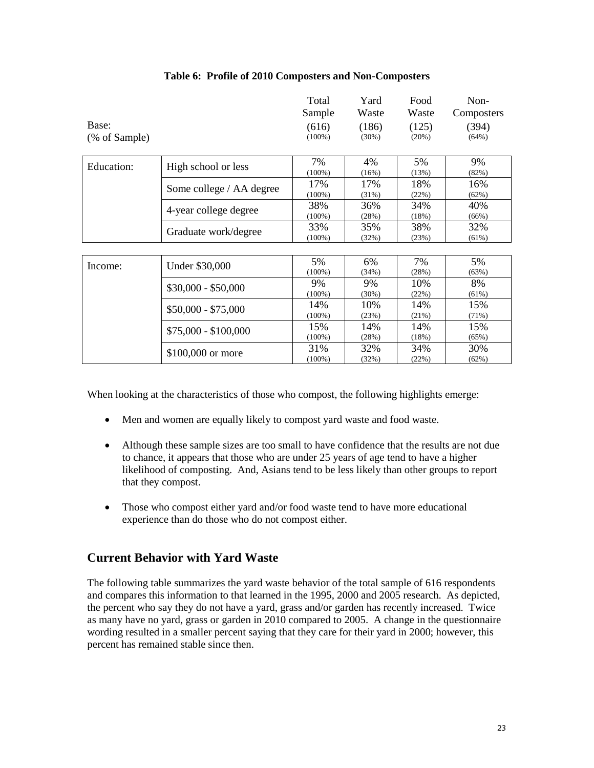|                        |                          | Total<br>Sample    | Yard<br>Waste  | Food<br>Waste  | Non-<br>Composters |
|------------------------|--------------------------|--------------------|----------------|----------------|--------------------|
| Base:<br>(% of Sample) |                          | (616)<br>$(100\%)$ | (186)<br>(30%) | (125)<br>(20%) | (394)<br>(64%)     |
| Education:             | High school or less      | 7%<br>$(100\%)$    | 4%<br>(16%)    | 5%<br>(13%)    | 9%<br>(82%)        |
|                        | Some college / AA degree | 17%<br>$(100\%)$   | 17%<br>(31%)   | 18%<br>(22%)   | 16%<br>(62%)       |
|                        | 4-year college degree    | 38%<br>$(100\%)$   | 36%<br>(28%)   | 34%<br>(18%)   | 40%<br>(66%)       |
|                        | Graduate work/degree     | 33%<br>$(100\%)$   | 35%<br>(32%)   | 38%<br>(23%)   | 32%<br>(61%)       |
|                        |                          |                    |                |                |                    |
| Income:                | Under \$30,000           | 5%<br>$(100\%)$    | 6%<br>(34%)    | 7%<br>(28%)    | 5%<br>(63%)        |
|                        | $$30,000 - $50,000$      | 9%<br>$(100\%)$    | 9%<br>(30%)    | 10%<br>(22%)   | 8%<br>(61%)        |
|                        | $$50,000 - $75,000$      | 14%<br>$(100\%)$   | 10%<br>(23%)   | 14%<br>(21%)   | 15%<br>(71%)       |
|                        | $$75,000 - $100,000$     | 15%<br>$(100\%)$   | 14%<br>(28%)   | 14%<br>(18%)   | 15%<br>(65%)       |
|                        | \$100,000 or more        | 31%<br>$(100\%)$   | 32%<br>(32%)   | 34%<br>(22%)   | 30%<br>(62%)       |

#### **Table 6: Profile of 2010 Composters and Non-Composters**

When looking at the characteristics of those who compost, the following highlights emerge:

- Men and women are equally likely to compost yard waste and food waste.
- Although these sample sizes are too small to have confidence that the results are not due to chance, it appears that those who are under 25 years of age tend to have a higher likelihood of composting. And, Asians tend to be less likely than other groups to report that they compost.
- Those who compost either yard and/or food waste tend to have more educational experience than do those who do not compost either.

### **Current Behavior with Yard Waste**

The following table summarizes the yard waste behavior of the total sample of 616 respondents and compares this information to that learned in the 1995, 2000 and 2005 research. As depicted, the percent who say they do not have a yard, grass and/or garden has recently increased. Twice as many have no yard, grass or garden in 2010 compared to 2005. A change in the questionnaire wording resulted in a smaller percent saying that they care for their yard in 2000; however, this percent has remained stable since then.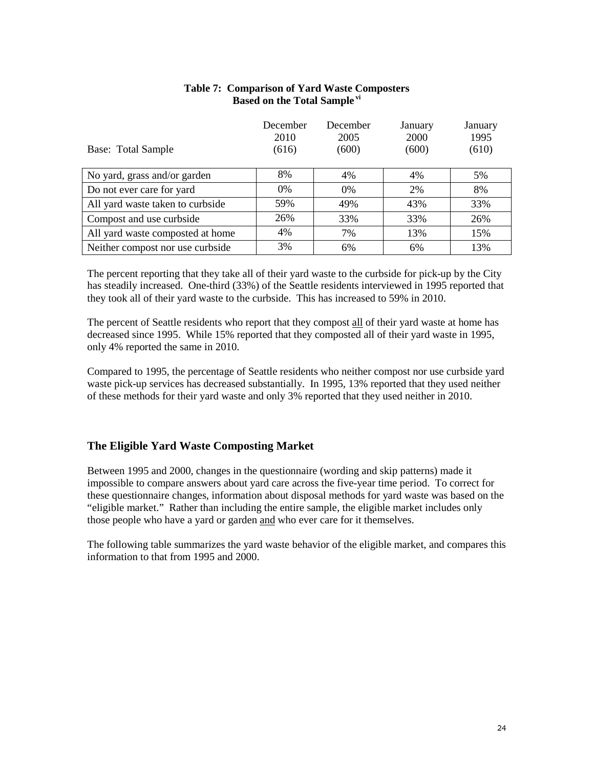|                                  | December      | December      | January       | January       |
|----------------------------------|---------------|---------------|---------------|---------------|
| Base: Total Sample               | 2010<br>(616) | 2005<br>(600) | 2000<br>(600) | 1995<br>(610) |
| No yard, grass and/or garden     | 8%            | 4%            | 4%            | 5%            |
| Do not ever care for yard        | $0\%$         | $0\%$         | 2%            | 8%            |
| All yard waste taken to curbside | 59%           | 49%           | 43%           | 33%           |
| Compost and use curbside         | 26%           | 33%           | 33%           | 26%           |
| All yard waste composted at home | 4%            | 7%            | 13%           | 15%           |
| Neither compost nor use curbside | 3%            | 6%            | 6%            | 13%           |

### **Table 7: Comparison of Yard Waste Composters Based on the Total Sample vi**

The percent reporting that they take all of their yard waste to the curbside for pick-up by the City has steadily increased. One-third (33%) of the Seattle residents interviewed in 1995 reported that they took all of their yard waste to the curbside. This has increased to 59% in 2010.

The percent of Seattle residents who report that they compost all of their yard waste at home has decreased since 1995. While 15% reported that they composted all of their yard waste in 1995, only 4% reported the same in 2010.

Compared to 1995, the percentage of Seattle residents who neither compost nor use curbside yard waste pick-up services has decreased substantially. In 1995, 13% reported that they used neither of these methods for their yard waste and only 3% reported that they used neither in 2010.

### **The Eligible Yard Waste Composting Market**

Between 1995 and 2000, changes in the questionnaire (wording and skip patterns) made it impossible to compare answers about yard care across the five-year time period. To correct for these questionnaire changes, information about disposal methods for yard waste was based on the "eligible market." Rather than including the entire sample, the eligible market includes only those people who have a yard or garden and who ever care for it themselves.

The following table summarizes the yard waste behavior of the eligible market, and compares this information to that from 1995 and 2000.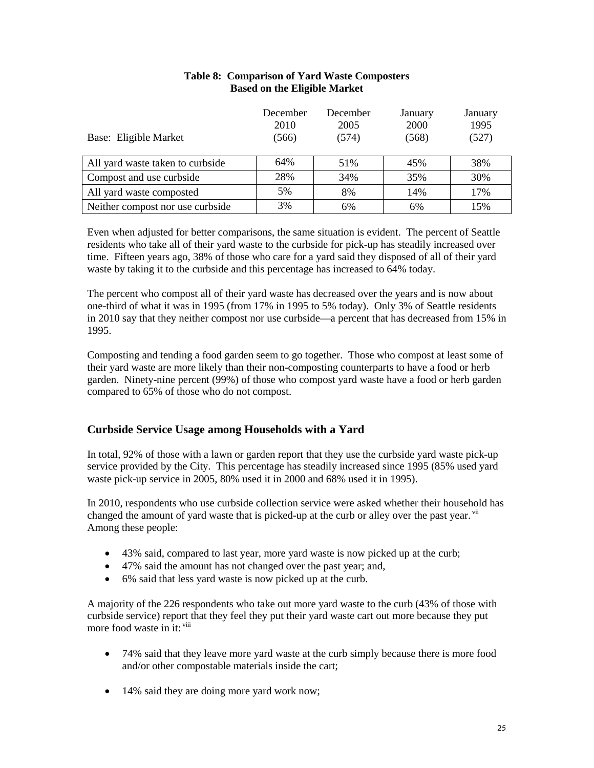|                                  | December<br>2010 | December<br>2005 | January<br>2000 | January<br>1995 |
|----------------------------------|------------------|------------------|-----------------|-----------------|
| Base: Eligible Market            | (566)            | (574)            | (568)           | (527)           |
| All yard waste taken to curbside | 64%              | 51%              | 45%             | 38%             |
| Compost and use curbside         | 28%              | 34%              | 35%             | 30%             |
| All yard waste composted         | 5%               | 8%               | 14%             | 17%             |
| Neither compost nor use curbside | 3%               | 6%               | 6%              | 15%             |

### **Table 8: Comparison of Yard Waste Composters Based on the Eligible Market**

Even when adjusted for better comparisons, the same situation is evident. The percent of Seattle residents who take all of their yard waste to the curbside for pick-up has steadily increased over time. Fifteen years ago, 38% of those who care for a yard said they disposed of all of their yard waste by taking it to the curbside and this percentage has increased to 64% today.

The percent who compost all of their yard waste has decreased over the years and is now about one-third of what it was in 1995 (from 17% in 1995 to 5% today). Only 3% of Seattle residents in 2010 say that they neither compost nor use curbside—a percent that has decreased from 15% in 1995.

Composting and tending a food garden seem to go together. Those who compost at least some of their yard waste are more likely than their non-composting counterparts to have a food or herb garden. Ninety-nine percent (99%) of those who compost yard waste have a food or herb garden compared to 65% of those who do not compost.

### **Curbside Service Usage among Households with a Yard**

In total, 92% of those with a lawn or garden report that they use the curbside yard waste pick-up service provided by the City. This percentage has steadily increased since 1995 (85% used yard waste pick-up service in 2005, 80% used it in 2000 and 68% used it in 1995).

In 2010, respondents who use curbside collection service were asked whether their household has changed the amount of yard waste that is picked-up at the curb or alley over the past year. vii Among these people:

- 43% said, compared to last year, more yard waste is now picked up at the curb;
- 47% said the amount has not changed over the past year; and,
- 6% said that less yard waste is now picked up at the curb.

A majority of the 226 respondents who take out more yard waste to the curb (43% of those with curbside service) report that they feel they put their yard waste cart out more because they put more food waste in it: viii

- 74% said that they leave more yard waste at the curb simply because there is more food and/or other compostable materials inside the cart;
- 14% said they are doing more yard work now;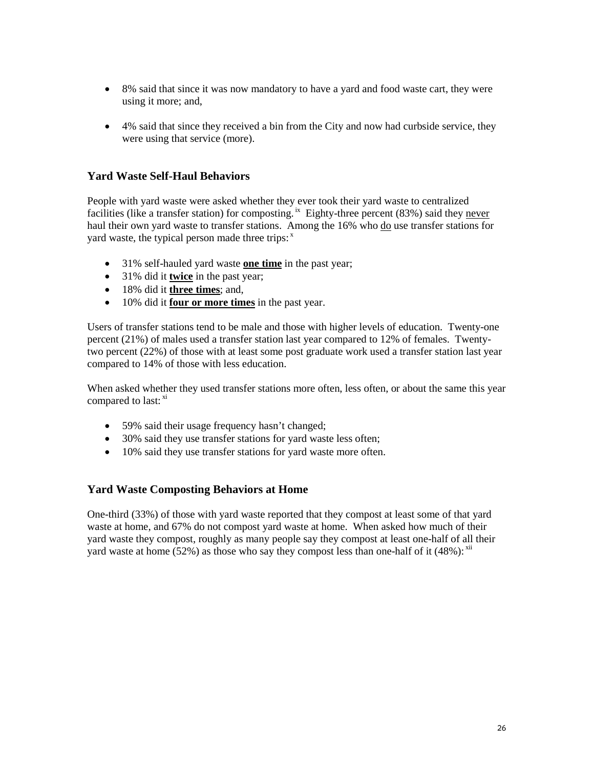- 8% said that since it was now mandatory to have a yard and food waste cart, they were using it more; and,
- 4% said that since they received a bin from the City and now had curbside service, they were using that service (more).

### **Yard Waste Self-Haul Behaviors**

People with yard waste were asked whether they ever took their yard waste to centralized facilities (like a transfer station) for composting.<sup>ix</sup> Eighty-three percent (83%) said they never haul their own yard waste to transfer stations. Among the 16% who do use transfer stations for yard waste, the typical person made three trips:<sup>x</sup>

- 31% self-hauled yard waste **one time** in the past year;
- 31% did it **twice** in the past year;
- 18% did it **three times**; and,
- 10% did it **four or more times** in the past year.

Users of transfer stations tend to be male and those with higher levels of education. Twenty-one percent (21%) of males used a transfer station last year compared to 12% of females. Twentytwo percent (22%) of those with at least some post graduate work used a transfer station last year compared to 14% of those with less education.

When asked whether they used transfer stations more often, less often, or about the same this year compared to last: xi

- 59% said their usage frequency hasn't changed;
- 30% said they use transfer stations for yard waste less often;
- 10% said they use transfer stations for yard waste more often.

### **Yard Waste Composting Behaviors at Home**

One-third (33%) of those with yard waste reported that they compost at least some of that yard waste at home, and 67% do not compost yard waste at home. When asked how much of their yard waste they compost, roughly as many people say they compost at least one-half of all their yard waste at home  $(52%)$  as those who say they compost less than one-half of it  $(48%)$ :  $xii$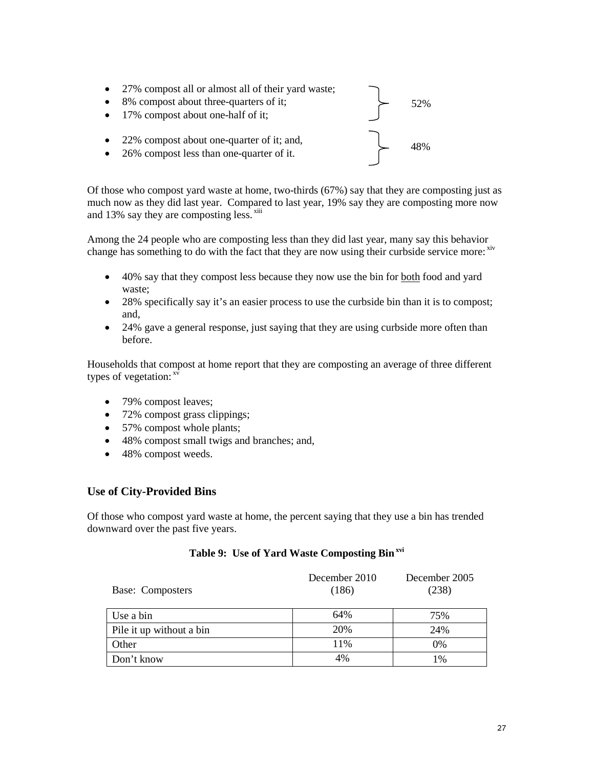• 27% compost all or almost all of their yard waste; • 8% compost about three-quarters of it; • 17% compost about one-half of it; • 22% compost about one-quarter of it; and, • 26% compost less than one-quarter of it. 52% 48%

Of those who compost yard waste at home, two-thirds (67%) say that they are composting just as much now as they did last year. Compared to last year, 19% say they are composting more now and 13% say they are composting less.  $x$ iii

Among the 24 people who are composting less than they did last year, many say this behavior change has something to do with the fact that they are now using their curbside service more: xiv

- 40% say that they compost less because they now use the bin for both food and yard waste;
- 28% specifically say it's an easier process to use the curbside bin than it is to compost; and,
- 24% gave a general response, just saying that they are using curbside more often than before.

Households that compost at home report that they are composting an average of three different types of vegetation: <sup>xv</sup>

- 79% compost leaves;
- 72% compost grass clippings;
- 57% compost whole plants;
- 48% compost small twigs and branches; and,
- 48% compost weeds.

### **Use of City-Provided Bins**

Of those who compost yard waste at home, the percent saying that they use a bin has trended downward over the past five years.

#### **Table 9: Use of Yard Waste Composting Binxvi**

| Base: Composters         | December 2010<br>(186) | December 2005<br>(238) |
|--------------------------|------------------------|------------------------|
| Use a bin                | 64%                    | 75%                    |
| Pile it up without a bin | 20%                    | 24%                    |
| Other                    | 11%                    | 0%                     |
| Don't know               | 4%                     | 1%                     |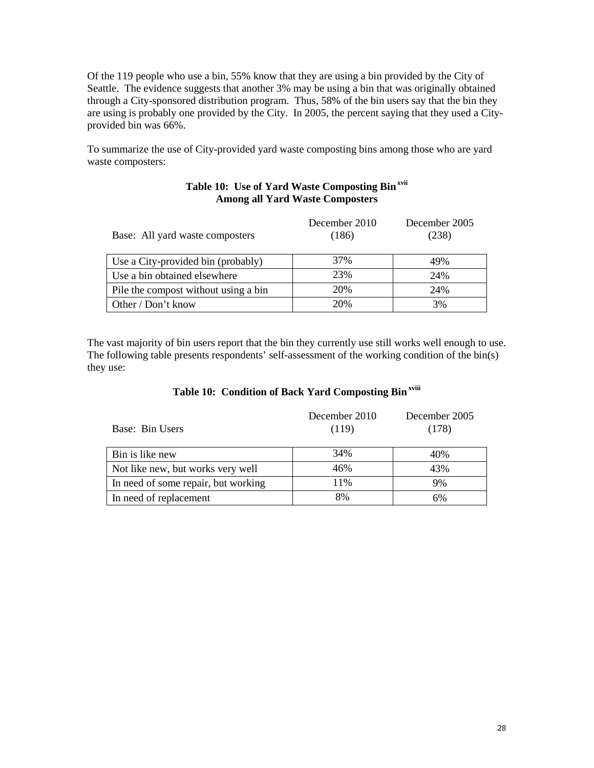Of the 119 people who use a bin, 55% know that they are using a bin provided by the City of Seattle. The evidence suggests that another 3% may be using a bin that was originally obtained through a City-sponsored distribution program. Thus, 58% of the bin users say that the bin they are using is probably one provided by the City. In 2005, the percent saying that they used a Cityprovided bin was 66%.

To summarize the use of City-provided yard waste composting bins among those who are yard waste composters:

### **Table 10: Use of Yard Waste Composting Binxvii Among all Yard Waste Composters**

| Base: All yard waste composters      | December 2010<br>(186) | December 2005<br>(238) |
|--------------------------------------|------------------------|------------------------|
| Use a City-provided bin (probably)   | 37%                    | 49%                    |
| Use a bin obtained elsewhere         | 23%                    | 24%                    |
| Pile the compost without using a bin | 20%                    | 24%                    |
| Other / Don't know                   | 20%                    | 3%                     |

The vast majority of bin users report that the bin they currently use still works well enough to use. The following table presents respondents' self-assessment of the working condition of the bin(s) they use:

### **Table 10: Condition of Back Yard Composting Binxviii**

| Base: Bin Users                     | December 2010<br>(119) | December 2005<br>(178) |
|-------------------------------------|------------------------|------------------------|
| Bin is like new                     | 34%                    | 40%                    |
| Not like new, but works very well   | 46%                    | 43%                    |
| In need of some repair, but working | 11%                    | 9%                     |
| In need of replacement              | 8%                     | 6%                     |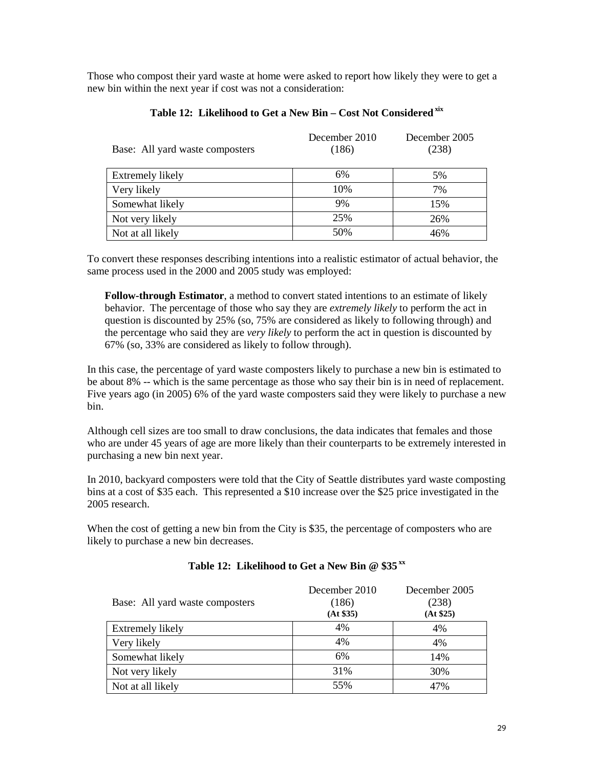Those who compost their yard waste at home were asked to report how likely they were to get a new bin within the next year if cost was not a consideration:

| Base: All yard waste composters | December 2010<br>(186) | December 2005<br>(238) |
|---------------------------------|------------------------|------------------------|
| Extremely likely                | 6%                     | 5%                     |
| Very likely                     | 10%                    | 7%                     |
| Somewhat likely                 | 9%                     | 15%                    |
| Not very likely                 | 25%                    | 26%                    |
| Not at all likely               | 50%                    | 46%                    |

### **Table 12: Likelihood to Get a New Bin – Cost Not Consideredxix**

To convert these responses describing intentions into a realistic estimator of actual behavior, the same process used in the 2000 and 2005 study was employed:

**Follow-through Estimator**, a method to convert stated intentions to an estimate of likely behavior. The percentage of those who say they are *extremely likely* to perform the act in question is discounted by 25% (so, 75% are considered as likely to following through) and the percentage who said they are *very likely* to perform the act in question is discounted by 67% (so, 33% are considered as likely to follow through).

In this case, the percentage of yard waste composters likely to purchase a new bin is estimated to be about 8% -- which is the same percentage as those who say their bin is in need of replacement. Five years ago (in 2005) 6% of the yard waste composters said they were likely to purchase a new bin.

Although cell sizes are too small to draw conclusions, the data indicates that females and those who are under 45 years of age are more likely than their counterparts to be extremely interested in purchasing a new bin next year.

In 2010, backyard composters were told that the City of Seattle distributes yard waste composting bins at a cost of \$35 each. This represented a \$10 increase over the \$25 price investigated in the 2005 research.

When the cost of getting a new bin from the City is \$35, the percentage of composters who are likely to purchase a new bin decreases.

| Base: All yard waste composters | December 2010<br>(186)<br>(At \$35) | December 2005<br>(238)<br>(At \$25) |
|---------------------------------|-------------------------------------|-------------------------------------|
| Extremely likely                | 4%                                  | 4%                                  |
| Very likely                     | 4%                                  | 4%                                  |
| Somewhat likely                 | 6%                                  | 14%                                 |
| Not very likely                 | 31%                                 | 30%                                 |
| Not at all likely               | 55%                                 | 47%                                 |

#### **Table 12: Likelihood to Get a New Bin @ \$35 xx**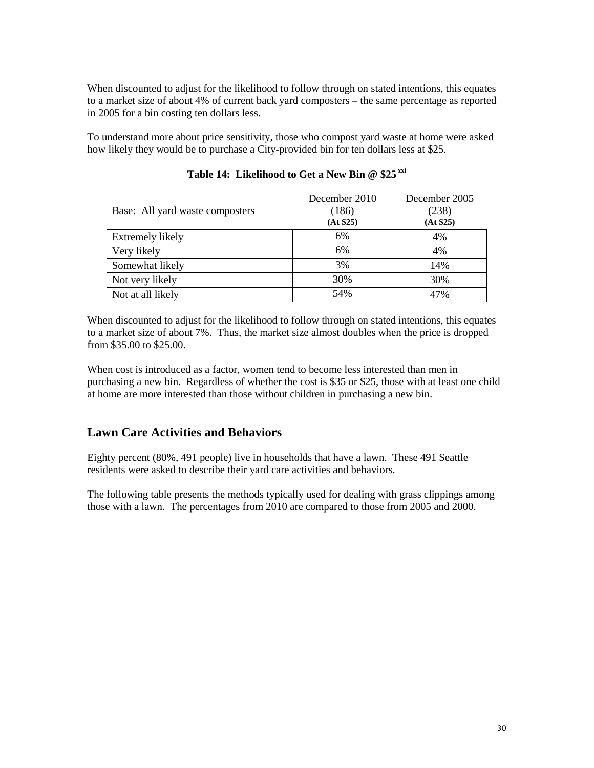When discounted to adjust for the likelihood to follow through on stated intentions, this equates to a market size of about 4% of current back yard composters – the same percentage as reported in 2005 for a bin costing ten dollars less.

To understand more about price sensitivity, those who compost yard waste at home were asked how likely they would be to purchase a City-provided bin for ten dollars less at \$25.

| Base: All yard waste composters | December 2010<br>(186)<br>(At \$25) | December 2005<br>(238)<br>(At \$25) |
|---------------------------------|-------------------------------------|-------------------------------------|
| Extremely likely                | 6%                                  | 4%                                  |
| Very likely                     | 6%                                  | 4%                                  |
| Somewhat likely                 | 3%                                  | 14%                                 |
| Not very likely                 | 30%                                 | 30%                                 |
| Not at all likely               | 54%                                 | 47%                                 |

### **Table 14: Likelihood to Get a New Bin @ \$25 xxi**

When discounted to adjust for the likelihood to follow through on stated intentions, this equates to a market size of about 7%. Thus, the market size almost doubles when the price is dropped from \$35.00 to \$25.00.

When cost is introduced as a factor, women tend to become less interested than men in purchasing a new bin. Regardless of whether the cost is \$35 or \$25, those with at least one child at home are more interested than those without children in purchasing a new bin.

### **Lawn Care Activities and Behaviors**

Eighty percent (80%, 491 people) live in households that have a lawn. These 491 Seattle residents were asked to describe their yard care activities and behaviors.

The following table presents the methods typically used for dealing with grass clippings among those with a lawn. The percentages from 2010 are compared to those from 2005 and 2000.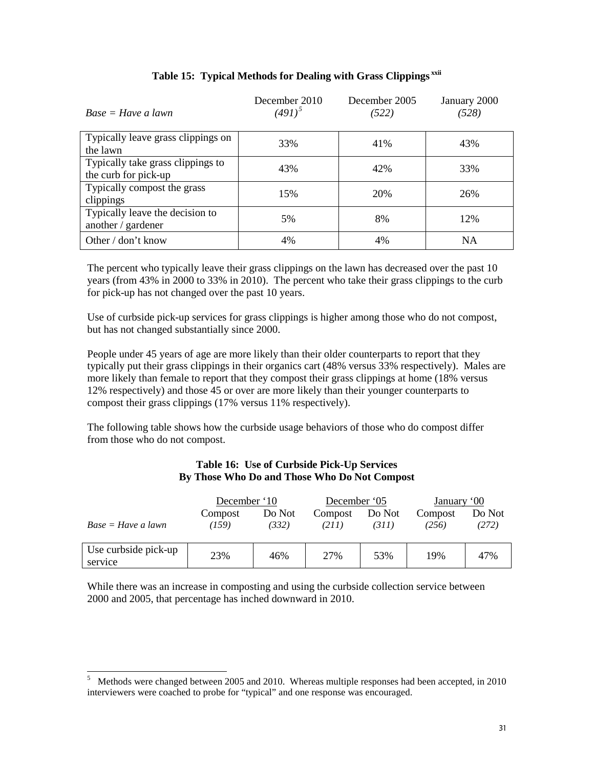| $Base = Have a lawn$                                      | December 2010<br>$(491)^{5}$ | December 2005<br>(522) | January 2000<br>(528) |
|-----------------------------------------------------------|------------------------------|------------------------|-----------------------|
| Typically leave grass clippings on<br>the lawn            | 33%                          | 41%                    | 43%                   |
| Typically take grass clippings to<br>the curb for pick-up | 43%                          | 42%                    | 33%                   |
| Typically compost the grass<br>clippings                  | 15%                          | 20%                    | 26%                   |
| Typically leave the decision to<br>another / gardener     | 5%                           | 8%                     | 12%                   |
| Other / don't know                                        | 4%                           | 4%                     | <b>NA</b>             |

### **Table 15: Typical Methods for Dealing with Grass Clippings xxii**

The percent who typically leave their grass clippings on the lawn has decreased over the past 10 years (from 43% in 2000 to 33% in 2010). The percent who take their grass clippings to the curb for pick-up has not changed over the past 10 years.

Use of curbside pick-up services for grass clippings is higher among those who do not compost, but has not changed substantially since 2000.

People under 45 years of age are more likely than their older counterparts to report that they typically put their grass clippings in their organics cart (48% versus 33% respectively). Males are more likely than female to report that they compost their grass clippings at home (18% versus 12% respectively) and those 45 or over are more likely than their younger counterparts to compost their grass clippings (17% versus 11% respectively).

The following table shows how the curbside usage behaviors of those who do compost differ from those who do not compost.

#### **Table 16: Use of Curbside Pick-Up Services By Those Who Do and Those Who Do Not Compost**

|                                 | December '10     |                 | December '05     |                 | January '00      |                 |
|---------------------------------|------------------|-----------------|------------------|-----------------|------------------|-----------------|
| $Base = Have \ a \ lawn$        | Compost<br>(159) | Do Not<br>(332) | Compost<br>(211) | Do Not<br>(311) | Compost<br>(256) | Do Not<br>(272) |
| Use curbside pick-up<br>service | 23%              | 46%             | 27%              | 53%             | 19%              | 47%             |

While there was an increase in composting and using the curbside collection service between 2000 and 2005, that percentage has inched downward in 2010.

 <sup>5</sup> Methods were changed between 2005 and 2010. Whereas multiple responses had been accepted, in 2010 interviewers were coached to probe for "typical" and one response was encouraged.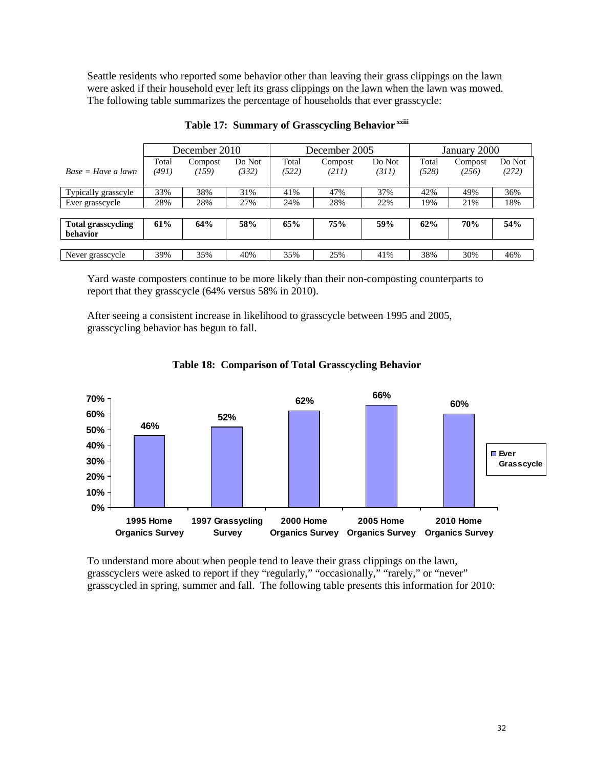Seattle residents who reported some behavior other than leaving their grass clippings on the lawn were asked if their household ever left its grass clippings on the lawn when the lawn was mowed. The following table summarizes the percentage of households that ever grasscycle:

|                           |       | December 2010 |        | December 2005 |         |        | January 2000 |         |        |
|---------------------------|-------|---------------|--------|---------------|---------|--------|--------------|---------|--------|
|                           | Total | Compost       | Do Not | Total         | Compost | Do Not | Total        | Compost | Do Not |
| $Base = Have a lawn$      | (491) | (159)         | (332)  | (522)         | (211)   | (311)  | (528)        | (256)   | (272)  |
|                           |       |               |        |               |         |        |              |         |        |
| Typically grasscyle       | 33%   | 38%           | 31%    | 41%           | 47%     | 37%    | 42%          | 49%     | 36%    |
| Ever grasscycle           | 28%   | 28%           | 27%    | 24%           | 28%     | 22%    | 19%          | 21%     | 18%    |
|                           |       |               |        |               |         |        |              |         |        |
| <b>Total grasscycling</b> | 61%   | 64%           | 58%    | 65%           | 75%     | 59%    | 62%          | 70%     | 54%    |
| behavior                  |       |               |        |               |         |        |              |         |        |
|                           |       |               |        |               |         |        |              |         |        |
| Never grasscycle          | 39%   | 35%           | 40%    | 35%           | 25%     | 41%    | 38%          | 30%     | 46%    |

### **Table 17: Summary of Grasscycling Behavior xxiii**

Yard waste composters continue to be more likely than their non-composting counterparts to report that they grasscycle (64% versus 58% in 2010).

After seeing a consistent increase in likelihood to grasscycle between 1995 and 2005, grasscycling behavior has begun to fall.



#### **Table 18: Comparison of Total Grasscycling Behavior**

To understand more about when people tend to leave their grass clippings on the lawn, grasscyclers were asked to report if they "regularly," "occasionally," "rarely," or "never" grasscycled in spring, summer and fall. The following table presents this information for 2010: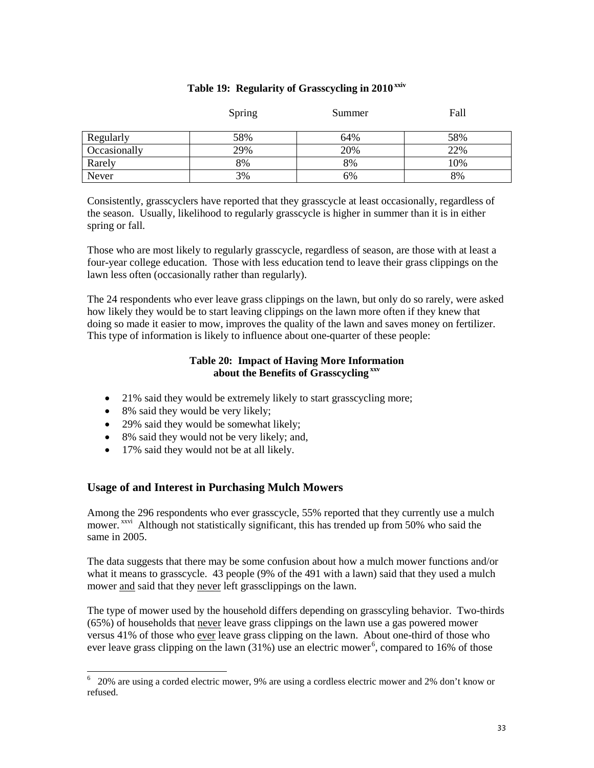#### **Table 19: Regularity of Grasscycling in 2010xxiv**

|              | Spring | Summer | Fall |
|--------------|--------|--------|------|
| Regularly    | 58%    | 64%    | 58%  |
| Occasionally | 29%    | 20%    | 22%  |
| Rarely       | 8%     | 8%     | 10%  |
| Never        | 3%     | 6%     | 8%   |

Consistently, grasscyclers have reported that they grasscycle at least occasionally, regardless of the season. Usually, likelihood to regularly grasscycle is higher in summer than it is in either spring or fall.

Those who are most likely to regularly grasscycle, regardless of season, are those with at least a four-year college education. Those with less education tend to leave their grass clippings on the lawn less often (occasionally rather than regularly).

The 24 respondents who ever leave grass clippings on the lawn, but only do so rarely, were asked how likely they would be to start leaving clippings on the lawn more often if they knew that doing so made it easier to mow, improves the quality of the lawn and saves money on fertilizer. This type of information is likely to influence about one-quarter of these people:

### **Table 20: Impact of Having More Information about the Benefits of Grasscycling xxv**

- 21% said they would be extremely likely to start grasscycling more;
- 8% said they would be very likely;
- 29% said they would be somewhat likely;
- 8% said they would not be very likely; and,
- 17% said they would not be at all likely.

### **Usage of and Interest in Purchasing Mulch Mowers**

Among the 296 respondents who ever grasscycle, 55% reported that they currently use a mulch mower. <sup>xxvi</sup> Although not statistically significant, this has trended up from 50% who said the same in 2005.

The data suggests that there may be some confusion about how a mulch mower functions and/or what it means to grasscycle. 43 people (9% of the 491 with a lawn) said that they used a mulch mower and said that they never left grassclippings on the lawn.

The type of mower used by the household differs depending on grasscyling behavior. Two-thirds (65%) of households that never leave grass clippings on the lawn use a gas powered mower versus 41% of those who ever leave grass clipping on the lawn. About one-third of those who ever leave grass clipping on the lawn (31%) use an electric mower<sup>6</sup>, compared to 16% of those

 <sup>6</sup> 20% are using a corded electric mower, 9% are using a cordless electric mower and 2% don't know or refused.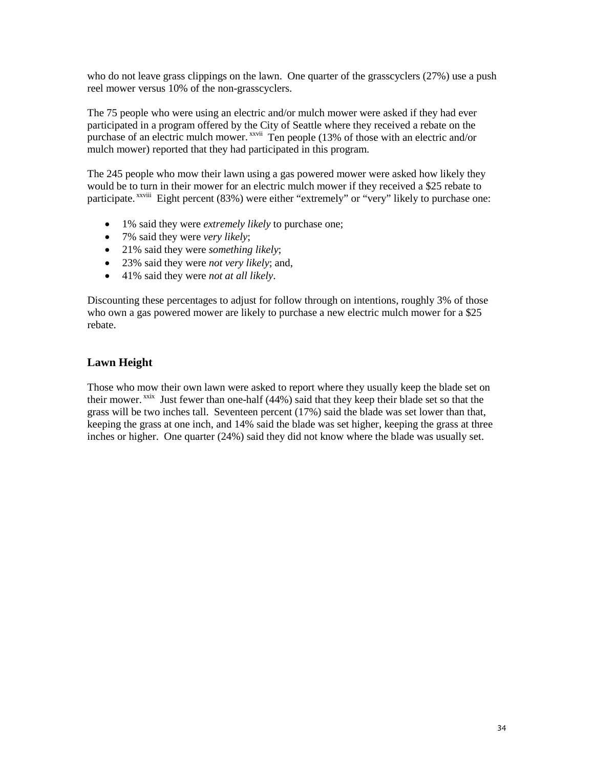who do not leave grass clippings on the lawn. One quarter of the grasscyclers (27%) use a push reel mower versus 10% of the non-grasscyclers.

The 75 people who were using an electric and/or mulch mower were asked if they had ever participated in a program offered by the City of Seattle where they received a rebate on the purchase of an electric mulch mower.<sup>xxvii</sup> Ten people (13% of those with an electric and/or mulch mower) reported that they had participated in this program.

The 245 people who mow their lawn using a gas powered mower were asked how likely they would be to turn in their mower for an electric mulch mower if they received a \$25 rebate to participate.<sup>xxviii</sup> Eight percent (83%) were either "extremely" or "very" likely to purchase one:

- 1% said they were *extremely likely* to purchase one;
- 7% said they were *very likely*;
- 21% said they were *something likely*;
- 23% said they were *not very likely*; and,
- 41% said they were *not at all likely*.

Discounting these percentages to adjust for follow through on intentions, roughly 3% of those who own a gas powered mower are likely to purchase a new electric mulch mower for a \$25 rebate.

### **Lawn Height**

Those who mow their own lawn were asked to report where they usually keep the blade set on their mower.<sup>xxix</sup> Just fewer than one-half (44%) said that they keep their blade set so that the grass will be two inches tall. Seventeen percent (17%) said the blade was set lower than that, keeping the grass at one inch, and 14% said the blade was set higher, keeping the grass at three inches or higher. One quarter (24%) said they did not know where the blade was usually set.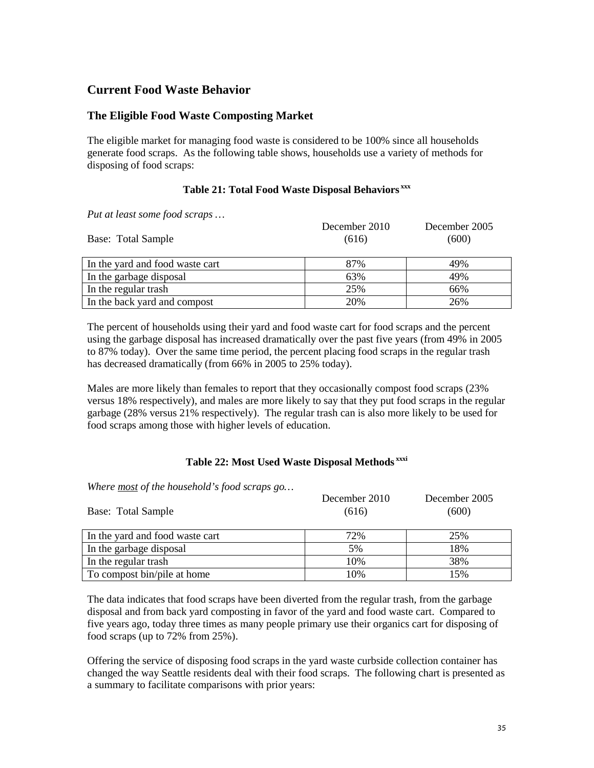### **Current Food Waste Behavior**

### **The Eligible Food Waste Composting Market**

The eligible market for managing food waste is considered to be 100% since all households generate food scraps. As the following table shows, households use a variety of methods for disposing of food scraps:

### **Table 21: Total Food Waste Disposal Behaviors xxx**

*Put at least some food scraps …*

| Base: Total Sample              | December 2010<br>(616) | December 2005<br>(600) |
|---------------------------------|------------------------|------------------------|
| In the yard and food waste cart | 87%                    | 49%                    |
| In the garbage disposal         | 63%                    | 49%                    |
| In the regular trash            | 25%                    | 66%                    |
| In the back yard and compost    | 20%                    | 26%                    |

The percent of households using their yard and food waste cart for food scraps and the percent using the garbage disposal has increased dramatically over the past five years (from 49% in 2005 to 87% today). Over the same time period, the percent placing food scraps in the regular trash has decreased dramatically (from 66% in 2005 to 25% today).

Males are more likely than females to report that they occasionally compost food scraps (23% versus 18% respectively), and males are more likely to say that they put food scraps in the regular garbage (28% versus 21% respectively). The regular trash can is also more likely to be used for food scraps among those with higher levels of education.

#### **Table 22: Most Used Waste Disposal Methods xxxi**

*Where most of the household's food scraps go…*

| Base: Total Sample              | December 2010<br>(616) | December 2005<br>(600) |
|---------------------------------|------------------------|------------------------|
| In the yard and food waste cart | 72%                    | 25%                    |
| In the garbage disposal         | 5%                     | 18%                    |
| In the regular trash            | 10%                    | 38%                    |
| To compost bin/pile at home     | 10%                    | 15%                    |

The data indicates that food scraps have been diverted from the regular trash, from the garbage disposal and from back yard composting in favor of the yard and food waste cart. Compared to five years ago, today three times as many people primary use their organics cart for disposing of food scraps (up to 72% from 25%).

Offering the service of disposing food scraps in the yard waste curbside collection container has changed the way Seattle residents deal with their food scraps. The following chart is presented as a summary to facilitate comparisons with prior years: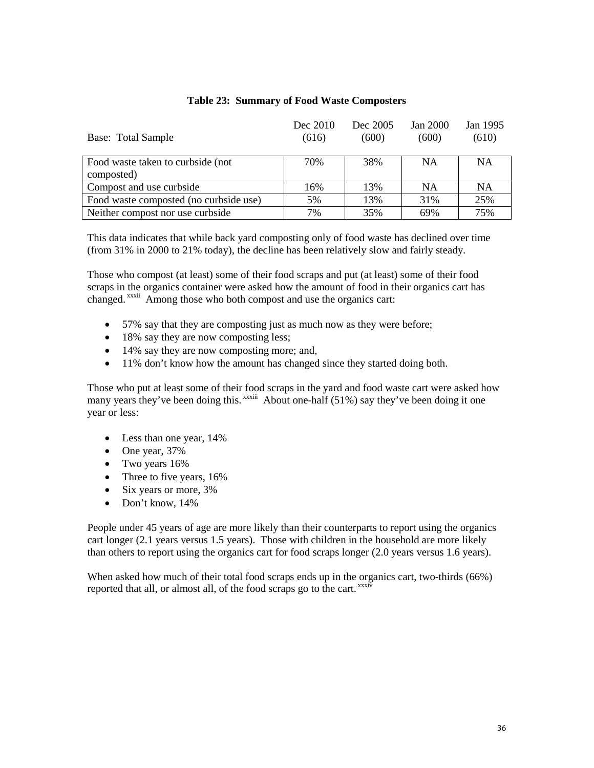| Base: Total Sample                               | Dec 2010<br>(616) | Dec 2005<br>(600) | Jan 2000<br>(600) | Jan 1995<br>(610) |
|--------------------------------------------------|-------------------|-------------------|-------------------|-------------------|
| Food waste taken to curbside (not)<br>composted) | 70%               | 38%               | <b>NA</b>         | <b>NA</b>         |
| Compost and use curbside                         | 16%               | 13%               | <b>NA</b>         | NA                |
| Food waste composted (no curbside use)           | 5%                | 13%               | 31%               | 25%               |
| Neither compost nor use curbside                 | 7%                | 35%               | 69%               | 75%               |

#### **Table 23: Summary of Food Waste Composters**

This data indicates that while back yard composting only of food waste has declined over time (from 31% in 2000 to 21% today), the decline has been relatively slow and fairly steady.

Those who compost (at least) some of their food scraps and put (at least) some of their food scraps in the organics container were asked how the amount of food in their organics cart has changed. xxxii Among those who both compost and use the organics cart:

- 57% say that they are composting just as much now as they were before;
- 18% say they are now composting less;
- 14% say they are now composting more; and,
- 11% don't know how the amount has changed since they started doing both.

Those who put at least some of their food scraps in the yard and food waste cart were asked how many years they've been doing this. <sup>xxxiii</sup> About one-half (51%) say they've been doing it one year or less:

- Less than one year, 14%
- One year, 37%
- Two years 16%
- Three to five years, 16%
- Six years or more, 3%
- Don't know, 14%

People under 45 years of age are more likely than their counterparts to report using the organics cart longer (2.1 years versus 1.5 years). Those with children in the household are more likely than others to report using the organics cart for food scraps longer (2.0 years versus 1.6 years).

When asked how much of their total food scraps ends up in the organics cart, two-thirds (66%) reported that all, or almost all, of the food scraps go to the cart. xxxiv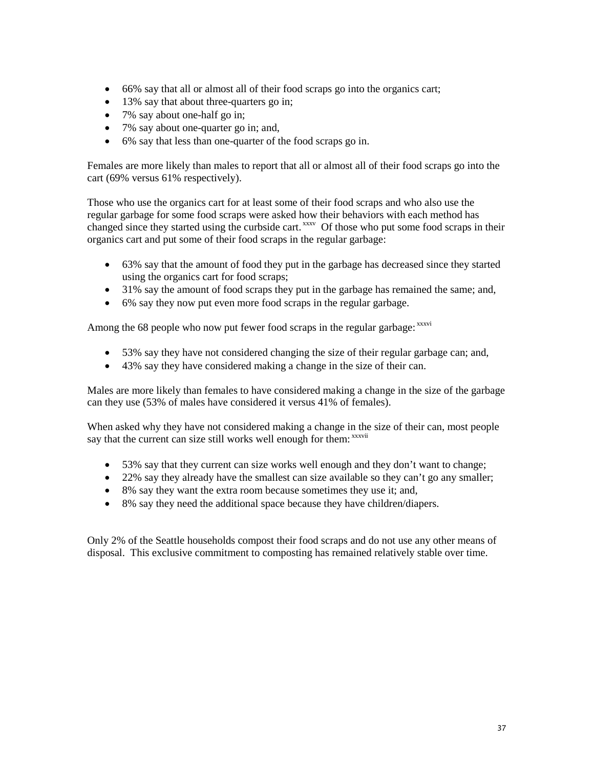- 66% say that all or almost all of their food scraps go into the organics cart;
- 13% say that about three-quarters go in;
- 7% say about one-half go in;
- 7% say about one-quarter go in; and,
- 6% say that less than one-quarter of the food scraps go in.

Females are more likely than males to report that all or almost all of their food scraps go into the cart (69% versus 61% respectively).

Those who use the organics cart for at least some of their food scraps and who also use the regular garbage for some food scraps were asked how their behaviors with each method has changed since they started using the curbside cart.<sup>xxxv</sup> Of those who put some food scraps in their organics cart and put some of their food scraps in the regular garbage:

- 63% say that the amount of food they put in the garbage has decreased since they started using the organics cart for food scraps;
- 31% say the amount of food scraps they put in the garbage has remained the same; and,
- 6% say they now put even more food scraps in the regular garbage.

Among the 68 people who now put fewer food scraps in the regular garbage: xxxvi

- 53% say they have not considered changing the size of their regular garbage can; and,
- 43% say they have considered making a change in the size of their can.

Males are more likely than females to have considered making a change in the size of the garbage can they use (53% of males have considered it versus 41% of females).

When asked why they have not considered making a change in the size of their can, most people say that the current can size still works well enough for them: xxxvii

- 53% say that they current can size works well enough and they don't want to change;
- 22% say they already have the smallest can size available so they can't go any smaller;
- 8% say they want the extra room because sometimes they use it; and,
- 8% say they need the additional space because they have children/diapers.

Only 2% of the Seattle households compost their food scraps and do not use any other means of disposal. This exclusive commitment to composting has remained relatively stable over time.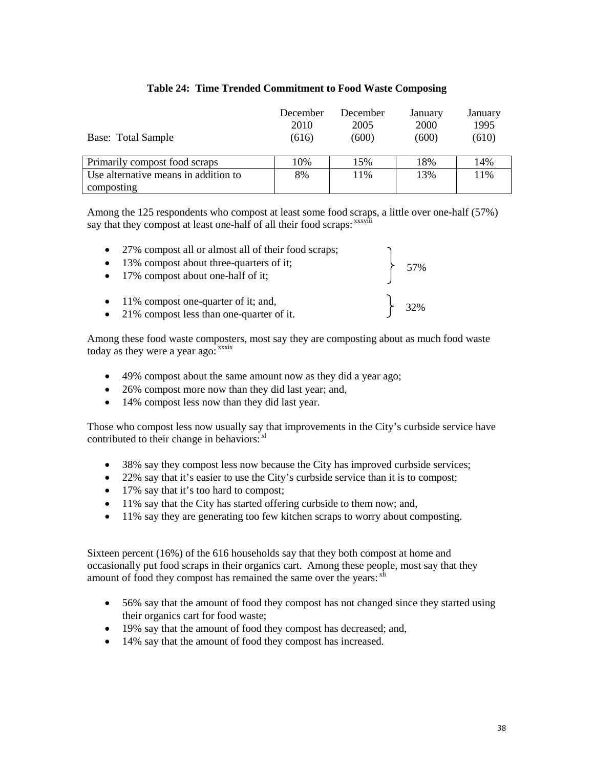| Base: Total Sample                   | December<br>2010<br>(616) | December<br>2005<br>(600) | January<br>2000<br>(600) | January<br>1995<br>(610) |
|--------------------------------------|---------------------------|---------------------------|--------------------------|--------------------------|
| Primarily compost food scraps        | 10%                       | 15%                       | 18%                      | 14%                      |
| Use alternative means in addition to | 8%                        | 11%                       | 13%                      | 11%                      |
| composting                           |                           |                           |                          |                          |

#### **Table 24: Time Trended Commitment to Food Waste Composing**

Among the 125 respondents who compost at least some food scraps, a little over one-half (57%) say that they compost at least one-half of all their food scraps: xxxviii

57%

32%

- 27% compost all or almost all of their food scraps;
- 13% compost about three-quarters of it; • 17% compost about one-half of it;
- 11% compost one-quarter of it; and,
- 21% compost less than one-quarter of it.

Among these food waste composters, most say they are composting about as much food waste today as they were a year ago: xxxix

- 49% compost about the same amount now as they did a year ago;
- 26% compost more now than they did last year; and,
- 14% compost less now than they did last year.

Those who compost less now usually say that improvements in the City's curbside service have contributed to their change in behaviors: x<sup>1</sup>

- 38% say they compost less now because the City has improved curbside services;
- 22% say that it's easier to use the City's curbside service than it is to compost;
- 17% say that it's too hard to compost;
- 11% say that the City has started offering curbside to them now; and,
- 11% say they are generating too few kitchen scraps to worry about composting.

Sixteen percent (16%) of the 616 households say that they both compost at home and occasionally put food scraps in their organics cart. Among these people, most say that they amount of food they compost has remained the same over the years:  $x^{\overline{h}}$ 

- 56% say that the amount of food they compost has not changed since they started using their organics cart for food waste;
- 19% say that the amount of food they compost has decreased; and,
- 14% say that the amount of food they compost has increased.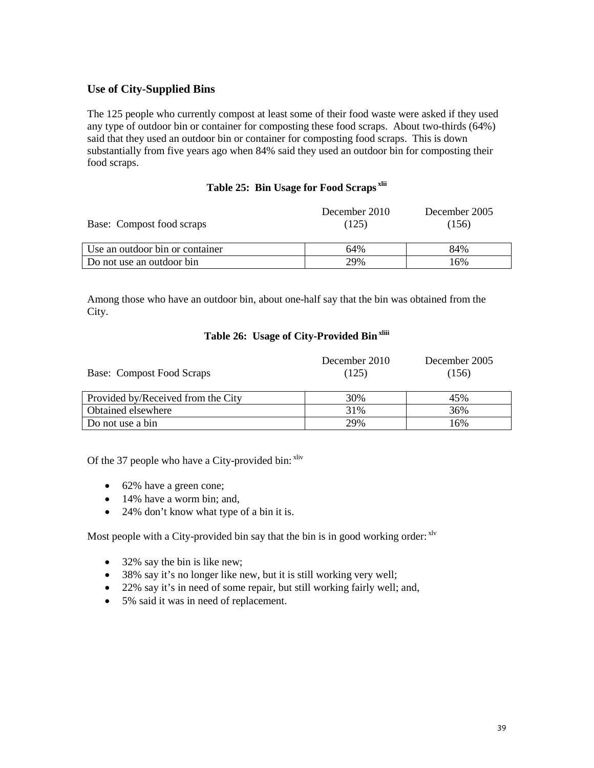#### **Use of City-Supplied Bins**

The 125 people who currently compost at least some of their food waste were asked if they used any type of outdoor bin or container for composting these food scraps. About two-thirds (64%) said that they used an outdoor bin or container for composting food scraps. This is down substantially from five years ago when 84% said they used an outdoor bin for composting their food scraps.

#### **Table 25: Bin Usage for Food Scraps xlii**

| Base: Compost food scraps       | December 2010<br>(125) | December 2005<br>(156) |
|---------------------------------|------------------------|------------------------|
| Use an outdoor bin or container | 64%                    | 84%                    |
| Do not use an outdoor bin       | 29%                    | 16%                    |

Among those who have an outdoor bin, about one-half say that the bin was obtained from the City.

#### **Table 26: Usage of City-Provided Binxliii**

| Base: Compost Food Scraps          | December 2010<br>(125) | December 2005<br>(156) |
|------------------------------------|------------------------|------------------------|
| Provided by/Received from the City | 30%                    | 45%                    |
| Obtained elsewhere                 | 31%                    | 36%                    |
| Do not use a bin                   | 29%                    | 16%                    |

Of the 37 people who have a City-provided bin: xliv

- 62% have a green cone;
- 14% have a worm bin; and,
- 24% don't know what type of a bin it is.

Most people with a City-provided bin say that the bin is in good working order: xlv

- 32% say the bin is like new;
- 38% say it's no longer like new, but it is still working very well;
- 22% say it's in need of some repair, but still working fairly well; and,
- 5% said it was in need of replacement.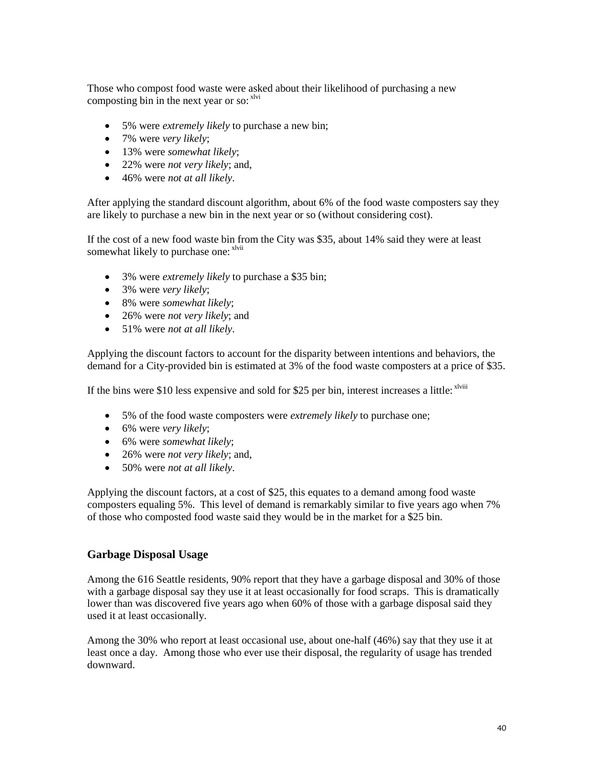Those who compost food waste were asked about their likelihood of purchasing a new composting bin in the next year or so:  $x^{\text{1vi}}$ 

- 5% were *extremely likely* to purchase a new bin;
- 7% were *very likely*;
- 13% were *somewhat likely*;
- 22% were *not very likely*; and,
- 46% were *not at all likely*.

After applying the standard discount algorithm, about 6% of the food waste composters say they are likely to purchase a new bin in the next year or so (without considering cost).

If the cost of a new food waste bin from the City was \$35, about 14% said they were at least somewhat likely to purchase one: xlvii

- 3% were *extremely likely* to purchase a \$35 bin;
- 3% were *very likely*;
- 8% were *somewhat likely*;
- 26% were *not very likely*; and
- 51% were *not at all likely*.

Applying the discount factors to account for the disparity between intentions and behaviors, the demand for a City-provided bin is estimated at 3% of the food waste composters at a price of \$35.

If the bins were \$10 less expensive and sold for \$25 per bin, interest increases a little: <sup>xlviii</sup>

- 5% of the food waste composters were *extremely likely* to purchase one;
- 6% were *very likely*;
- 6% were *somewhat likely*;
- 26% were *not very likely*; and,
- 50% were *not at all likely*.

Applying the discount factors, at a cost of \$25, this equates to a demand among food waste composters equaling 5%. This level of demand is remarkably similar to five years ago when 7% of those who composted food waste said they would be in the market for a \$25 bin.

#### **Garbage Disposal Usage**

Among the 616 Seattle residents, 90% report that they have a garbage disposal and 30% of those with a garbage disposal say they use it at least occasionally for food scraps. This is dramatically lower than was discovered five years ago when 60% of those with a garbage disposal said they used it at least occasionally.

Among the 30% who report at least occasional use, about one-half (46%) say that they use it at least once a day. Among those who ever use their disposal, the regularity of usage has trended downward.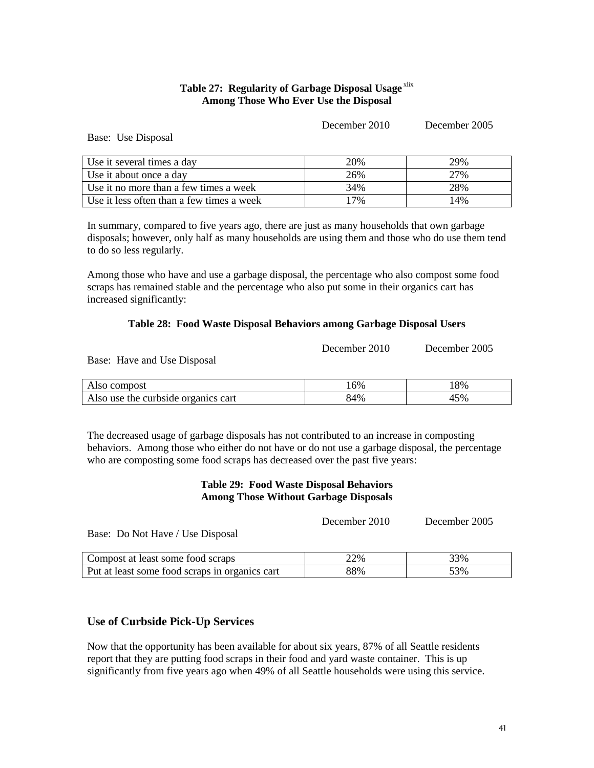#### **Table 27: Regularity of Garbage Disposal Usage**<sup>xlix</sup> **Among Those Who Ever Use the Disposal**

December 2010 December 2005

Base: Use Disposal

| Use it several times a day                | 20% | 29% |
|-------------------------------------------|-----|-----|
| Use it about once a day                   | 26% | 27% |
| Use it no more than a few times a week    | 34% | 28% |
| Use it less often than a few times a week | '7% | 14% |

In summary, compared to five years ago, there are just as many households that own garbage disposals; however, only half as many households are using them and those who do use them tend to do so less regularly.

Among those who have and use a garbage disposal, the percentage who also compost some food scraps has remained stable and the percentage who also put some in their organics cart has increased significantly:

#### **Table 28: Food Waste Disposal Behaviors among Garbage Disposal Users**

| December 2010 | December 2005 |
|---------------|---------------|
|               |               |

Base: Have and Use Disposal

| Also compost                        | 16% | 18% |
|-------------------------------------|-----|-----|
| Also use the curbside organics cart | 84% | 45% |

The decreased usage of garbage disposals has not contributed to an increase in composting behaviors. Among those who either do not have or do not use a garbage disposal, the percentage who are composting some food scraps has decreased over the past five years:

#### **Table 29: Food Waste Disposal Behaviors Among Those Without Garbage Disposals**

December 2010 December 2005

Base: Do Not Have / Use Disposal

| Compost at least some food scraps              | 22% | 33% |
|------------------------------------------------|-----|-----|
| Put at least some food scraps in organics cart | 88% | 53% |

#### **Use of Curbside Pick-Up Services**

Now that the opportunity has been available for about six years, 87% of all Seattle residents report that they are putting food scraps in their food and yard waste container. This is up significantly from five years ago when 49% of all Seattle households were using this service.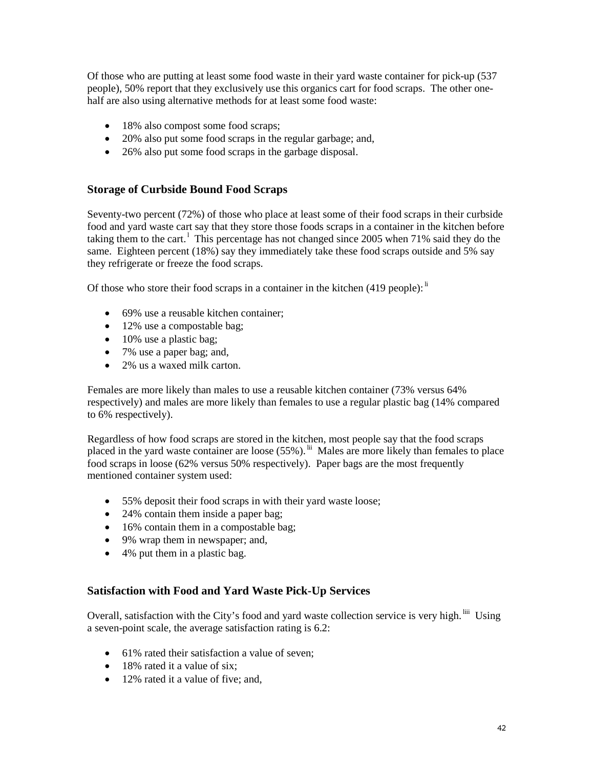Of those who are putting at least some food waste in their yard waste container for pick-up (537 people), 50% report that they exclusively use this organics cart for food scraps. The other onehalf are also using alternative methods for at least some food waste:

- 18% also compost some food scraps;
- 20% also put some food scraps in the regular garbage; and,
- 26% also put some food scraps in the garbage disposal.

#### **Storage of Curbside Bound Food Scraps**

Seventy-two percent (72%) of those who place at least some of their food scraps in their curbside food and yard waste cart say that they store those foods scraps in a container in the kitchen before taking them to the cart.<sup>1</sup> This percentage has not changed since 2005 when 71% said they do the same. Eighteen percent (18%) say they immediately take these food scraps outside and 5% say they refrigerate or freeze the food scraps.

Of those who store their food scraps in a container in the kitchen (419 people): <sup>li</sup>

- 69% use a reusable kitchen container:
- 12% use a compostable bag;
- 10% use a plastic bag;
- 7% use a paper bag; and,
- 2% us a waxed milk carton.

Females are more likely than males to use a reusable kitchen container (73% versus 64% respectively) and males are more likely than females to use a regular plastic bag (14% compared to 6% respectively).

Regardless of how food scraps are stored in the kitchen, most people say that the food scraps placed in the yard waste container are loose (55%). <sup>lii</sup> Males are more likely than females to place food scraps in loose (62% versus 50% respectively). Paper bags are the most frequently mentioned container system used:

- 55% deposit their food scraps in with their yard waste loose;
- 24% contain them inside a paper bag;
- 16% contain them in a compostable bag;
- 9% wrap them in newspaper; and,
- 4% put them in a plastic bag.

#### **Satisfaction with Food and Yard Waste Pick-Up Services**

Overall, satisfaction with the City's food and yard waste collection service is very high. <sup>liii</sup> Using a seven-point scale, the average satisfaction rating is 6.2:

- 61% rated their satisfaction a value of seven;
- 18% rated it a value of six;
- 12% rated it a value of five; and,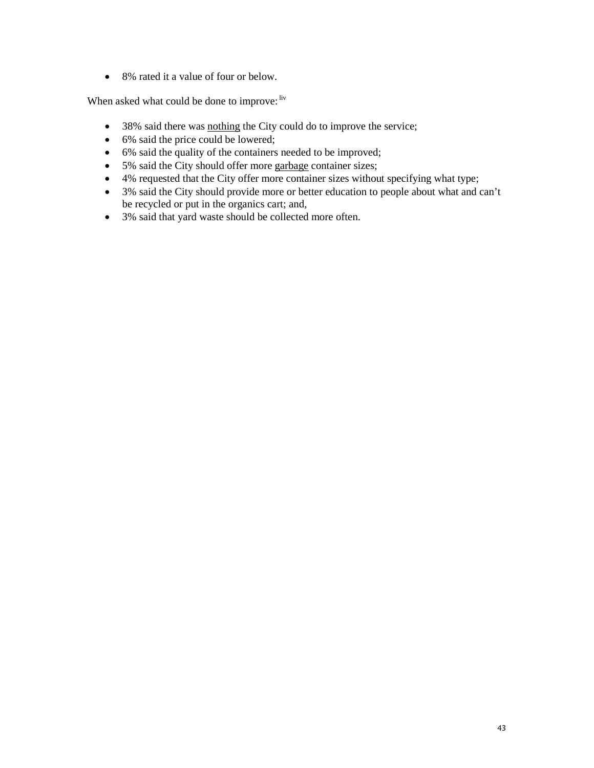• 8% rated it a value of four or below.

When asked what could be done to improve: liv

- 38% said there was nothing the City could do to improve the service;
- 6% said the price could be lowered;
- 6% said the quality of the containers needed to be improved;
- 5% said the City should offer more garbage container sizes;
- 4% requested that the City offer more container sizes without specifying what type;
- 3% said the City should provide more or better education to people about what and can't be recycled or put in the organics cart; and,
- 3% said that yard waste should be collected more often.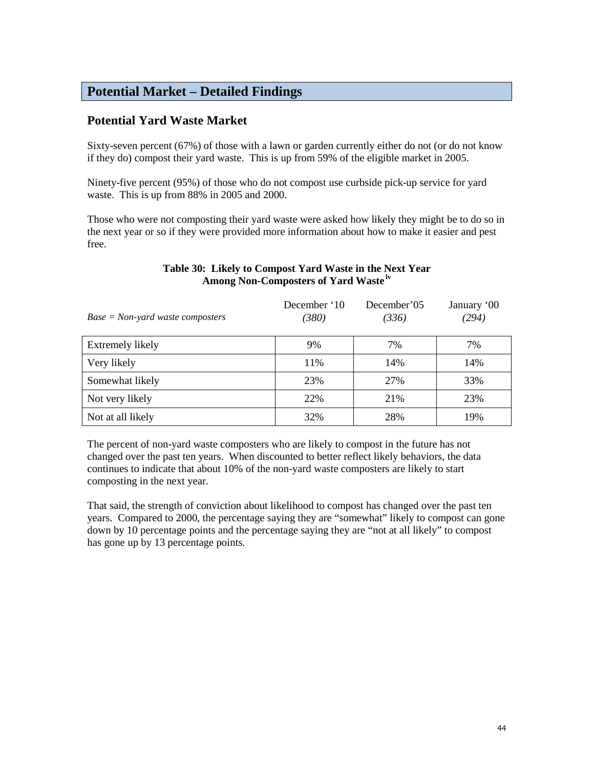# **Potential Market – Detailed Findings**

## **Potential Yard Waste Market**

Sixty-seven percent (67%) of those with a lawn or garden currently either do not (or do not know if they do) compost their yard waste. This is up from 59% of the eligible market in 2005.

Ninety-five percent (95%) of those who do not compost use curbside pick-up service for yard waste. This is up from 88% in 2005 and 2000.

Those who were not composting their yard waste were asked how likely they might be to do so in the next year or so if they were provided more information about how to make it easier and pest free.

| $Base = Non-yard$ waste composters | December '10<br>(380) | December'05<br>(336) | January '00<br>(294) |
|------------------------------------|-----------------------|----------------------|----------------------|
| Extremely likely                   | 9%                    | 7%                   | 7%                   |
| Very likely                        | 11%                   | 14%                  | 14%                  |
| Somewhat likely                    | 23%                   | 27%                  | 33%                  |
| Not very likely                    | 22%                   | 21%                  | 23%                  |
| Not at all likely                  | 32%                   | 28%                  | 19%                  |

#### **Table 30: Likely to Compost Yard Waste in the Next Year Among Non-Composters of Yard Waste lv**

The percent of non-yard waste composters who are likely to compost in the future has not changed over the past ten years. When discounted to better reflect likely behaviors, the data continues to indicate that about 10% of the non-yard waste composters are likely to start composting in the next year.

That said, the strength of conviction about likelihood to compost has changed over the past ten years. Compared to 2000, the percentage saying they are "somewhat" likely to compost can gone down by 10 percentage points and the percentage saying they are "not at all likely" to compost has gone up by 13 percentage points.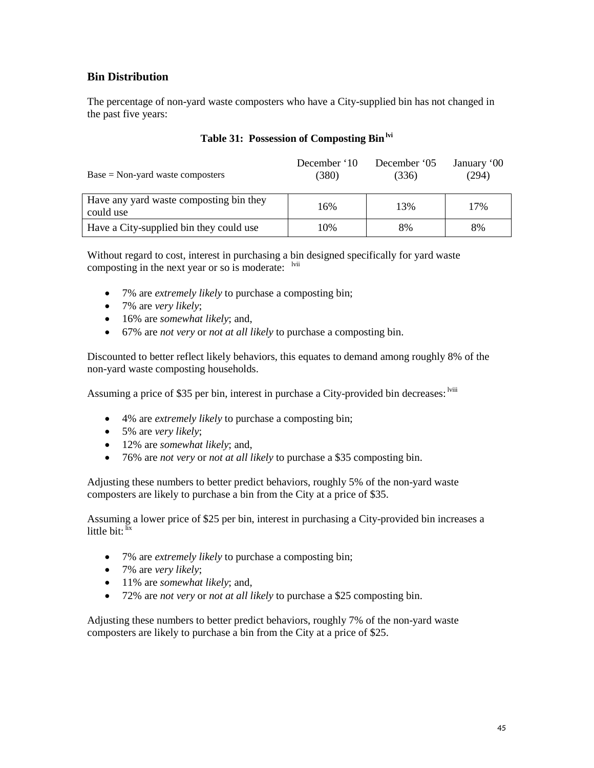#### **Bin Distribution**

The percentage of non-yard waste composters who have a City-supplied bin has not changed in the past five years:

| $Base = Non-yard$ waste composters                   | December '10<br>(380) | December '05<br>(336) | January '00<br>(294) |
|------------------------------------------------------|-----------------------|-----------------------|----------------------|
| Have any yard waste composting bin they<br>could use | 16%                   | 13%                   | 17%                  |
| Have a City-supplied bin they could use              | 10%                   | 8%                    | 8%                   |

#### **Table 31: Possession of Composting Binlvi**

Without regard to cost, interest in purchasing a bin designed specifically for yard waste composting in the next year or so is moderate: <sup>lvii</sup>

- 7% are *extremely likely* to purchase a composting bin;
- 7% are *very likely*;
- 16% are *somewhat likely*; and,
- 67% are *not very* or *not at all likely* to purchase a composting bin.

Discounted to better reflect likely behaviors, this equates to demand among roughly 8% of the non-yard waste composting households.

Assuming a price of \$35 per bin, interest in purchase a City-provided bin decreases: <sup>Iviii</sup>

- 4% are *extremely likely* to purchase a composting bin;
- 5% are *very likely*;
- 12% are *somewhat likely*; and,
- 76% are *not very* or *not at all likely* to purchase a \$35 composting bin.

Adjusting these numbers to better predict behaviors, roughly 5% of the non-yard waste composters are likely to purchase a bin from the City at a price of \$35.

Assuming a lower price of \$25 per bin, interest in purchasing a City-provided bin increases a little bit: lix

- 7% are *extremely likely* to purchase a composting bin;
- 7% are *very likely*;
- 11% are *somewhat likely*; and,
- 72% are *not very* or *not at all likely* to purchase a \$25 composting bin.

Adjusting these numbers to better predict behaviors, roughly 7% of the non-yard waste composters are likely to purchase a bin from the City at a price of \$25.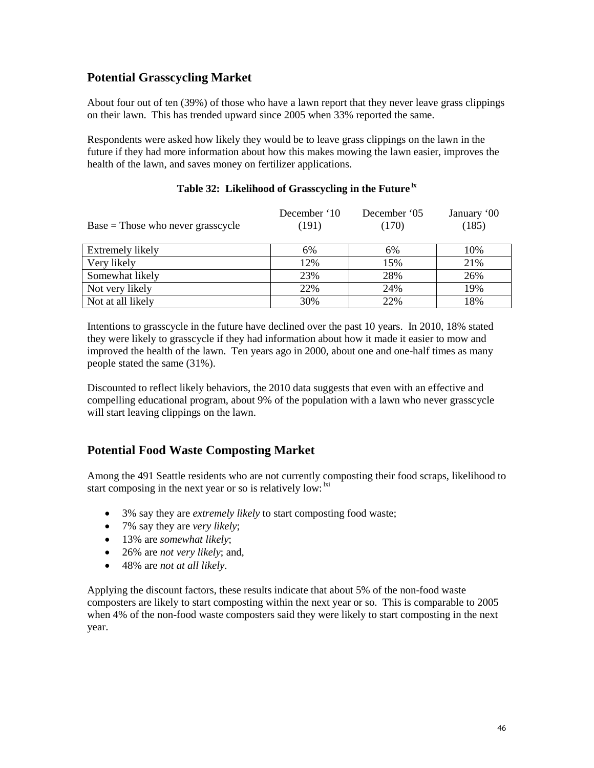## **Potential Grasscycling Market**

About four out of ten (39%) of those who have a lawn report that they never leave grass clippings on their lawn. This has trended upward since 2005 when 33% reported the same.

Respondents were asked how likely they would be to leave grass clippings on the lawn in the future if they had more information about how this makes mowing the lawn easier, improves the health of the lawn, and saves money on fertilizer applications.

| $Base = Those$ who never grasscycle | December '10<br>(191) | December '05<br>(170) | January '00<br>(185) |
|-------------------------------------|-----------------------|-----------------------|----------------------|
| Extremely likely                    | 6%                    | 6%                    | 10%                  |
| Very likely                         | 12%                   | 15%                   | 21%                  |
| Somewhat likely                     | 23%                   | 28%                   | 26%                  |
| Not very likely                     | 22%                   | 24%                   | 19%                  |
| Not at all likely                   | 30%                   | 22%                   | 18%                  |

#### **Table 32: Likelihood of Grasscycling in the Future lx**

Intentions to grasscycle in the future have declined over the past 10 years. In 2010, 18% stated they were likely to grasscycle if they had information about how it made it easier to mow and improved the health of the lawn. Ten years ago in 2000, about one and one-half times as many people stated the same (31%).

Discounted to reflect likely behaviors, the 2010 data suggests that even with an effective and compelling educational program, about 9% of the population with a lawn who never grasscycle will start leaving clippings on the lawn.

## **Potential Food Waste Composting Market**

Among the 491 Seattle residents who are not currently composting their food scraps, likelihood to start composing in the next year or so is relatively low: <sup>1xi</sup>

- 3% say they are *extremely likely* to start composting food waste;
- 7% say they are *very likely*;
- 13% are *somewhat likely*;
- 26% are *not very likely*; and,
- 48% are *not at all likely*.

Applying the discount factors, these results indicate that about 5% of the non-food waste composters are likely to start composting within the next year or so. This is comparable to 2005 when 4% of the non-food waste composters said they were likely to start composting in the next year.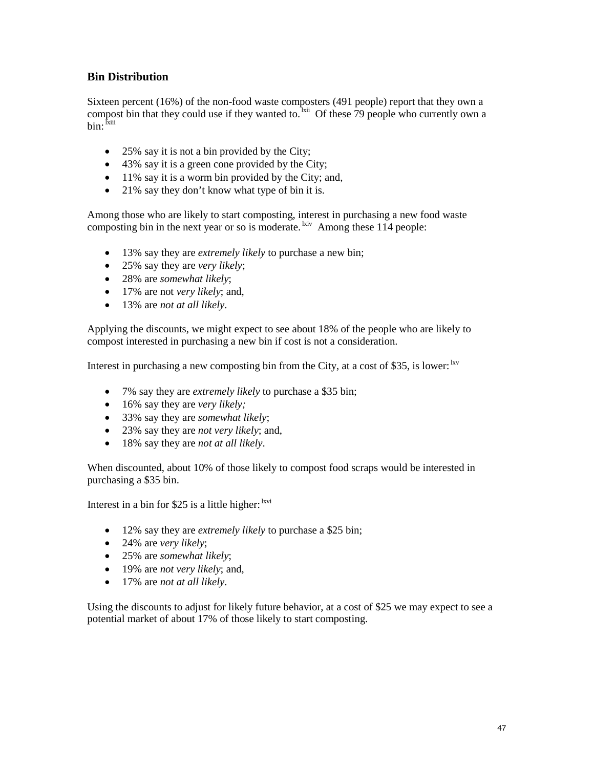#### **Bin Distribution**

Sixteen percent (16%) of the non-food waste composters (491 people) report that they own a compost bin that they could use if they wanted to.  $\frac{1}{x}$  Of these 79 people who currently own a bin: <sup>Ixiii</sup>

- 25% say it is not a bin provided by the City;
- 43% say it is a green cone provided by the City;
- 11% say it is a worm bin provided by the City; and,
- 21% say they don't know what type of bin it is.

Among those who are likely to start composting, interest in purchasing a new food waste composting bin in the next year or so is moderate.  ${}^{kiv}$  Among these 114 people:

- 13% say they are *extremely likely* to purchase a new bin;
- 25% say they are *very likely*;
- 28% are *somewhat likely*;
- 17% are not *very likely*; and,
- 13% are *not at all likely*.

Applying the discounts, we might expect to see about 18% of the people who are likely to compost interested in purchasing a new bin if cost is not a consideration.

Interest in purchasing a new composting bin from the City, at a cost of \$35, is lower:  $\frac{Nv}{N}$ 

- 7% say they are *extremely likely* to purchase a \$35 bin;
- 16% say they are *very likely;*
- 33% say they are *somewhat likely*;
- 23% say they are *not very likely*; and,
- 18% say they are *not at all likely*.

When discounted, about 10% of those likely to compost food scraps would be interested in purchasing a \$35 bin.

Interest in a bin for \$25 is a little higher:  $\frac{1}{x}$ vi

- 12% say they are *extremely likely* to purchase a \$25 bin;
- 24% are *very likely*;
- 25% are *somewhat likely*;
- 19% are *not very likely*; and,
- 17% are *not at all likely*.

Using the discounts to adjust for likely future behavior, at a cost of \$25 we may expect to see a potential market of about 17% of those likely to start composting.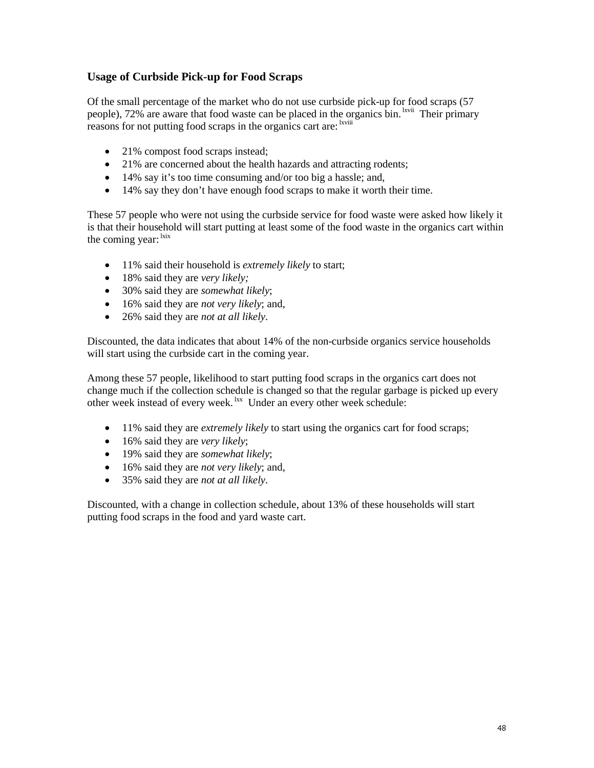## **Usage of Curbside Pick-up for Food Scraps**

Of the small percentage of the market who do not use curbside pick-up for food scraps (57 people), 72% are aware that food waste can be placed in the organics bin. <sup>Ixvii</sup> Their primary reasons for not putting food scraps in the organics cart are: <sup>kviii</sup>

- 21% compost food scraps instead;
- 21% are concerned about the health hazards and attracting rodents;
- 14% say it's too time consuming and/or too big a hassle; and,
- 14% say they don't have enough food scraps to make it worth their time.

These 57 people who were not using the curbside service for food waste were asked how likely it is that their household will start putting at least some of the food waste in the organics cart within the coming year: <sup>lxix</sup>

- 11% said their household is *extremely likely* to start;
- 18% said they are *very likely;*
- 30% said they are *somewhat likely*;
- 16% said they are *not very likely*; and,
- 26% said they are *not at all likely*.

Discounted, the data indicates that about 14% of the non-curbside organics service households will start using the curbside cart in the coming year.

Among these 57 people, likelihood to start putting food scraps in the organics cart does not change much if the collection schedule is changed so that the regular garbage is picked up every other week instead of every week. <sup>lxx</sup> Under an every other week schedule:

- 11% said they are *extremely likely* to start using the organics cart for food scraps;
- 16% said they are *very likely*;
- 19% said they are *somewhat likely*;
- 16% said they are *not very likely*; and,
- 35% said they are *not at all likely*.

Discounted, with a change in collection schedule, about 13% of these households will start putting food scraps in the food and yard waste cart.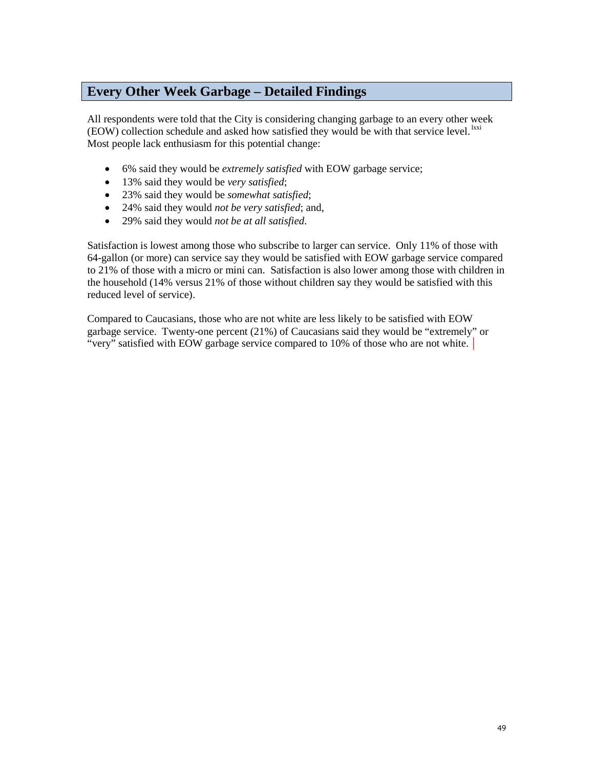# **Every Other Week Garbage – Detailed Findings**

All respondents were told that the City is considering changing garbage to an every other week  $(EOW)$  collection schedule and asked how satisfied they would be with that service level.  $k$ xxi Most people lack enthusiasm for this potential change:

- 6% said they would be *extremely satisfied* with EOW garbage service;
- 13% said they would be *very satisfied*;
- 23% said they would be *somewhat satisfied*;
- 24% said they would *not be very satisfied*; and,
- 29% said they would *not be at all satisfied*.

Satisfaction is lowest among those who subscribe to larger can service. Only 11% of those with 64-gallon (or more) can service say they would be satisfied with EOW garbage service compared to 21% of those with a micro or mini can. Satisfaction is also lower among those with children in the household (14% versus 21% of those without children say they would be satisfied with this reduced level of service).

Compared to Caucasians, those who are not white are less likely to be satisfied with EOW garbage service. Twenty-one percent (21%) of Caucasians said they would be "extremely" or "very" satisfied with EOW garbage service compared to 10% of those who are not white.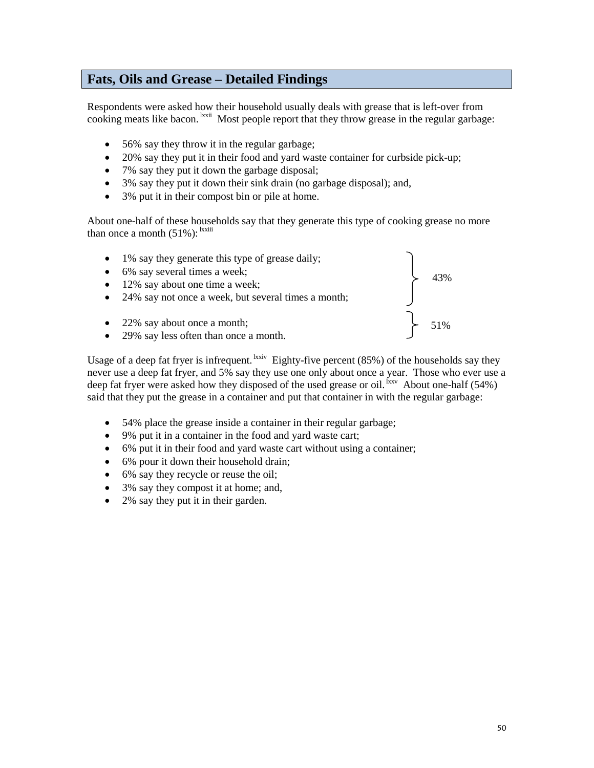# **Fats, Oils and Grease – Detailed Findings**

Respondents were asked how their household usually deals with grease that is left-over from cooking meats like bacon. <sup>Ixxii</sup> Most people report that they throw grease in the regular garbage:

- 56% say they throw it in the regular garbage;
- 20% say they put it in their food and yard waste container for curbside pick-up;
- 7% say they put it down the garbage disposal;
- 3% say they put it down their sink drain (no garbage disposal); and,
- 3% put it in their compost bin or pile at home.

About one-half of these households say that they generate this type of cooking grease no more than once a month  $(51\%)$ :  $\frac{\text{hxiii}}{\text{At}}$ 

- 1% say they generate this type of grease daily;
- 6% say several times a week;
- 12% say about one time a week;
- 24% say not once a week, but several times a month;
- 22% say about once a month;
- 29% say less often than once a month.



Usage of a deep fat fryer is infrequent. <sup>Ixxiv</sup> Eighty-five percent  $(85%)$  of the households say they never use a deep fat fryer, and 5% say they use one only about once a year. Those who ever use a deep fat fryer were asked how they disposed of the used grease or oil.  $\frac{f_{xx}}{g}$  About one-half (54%) said that they put the grease in a container and put that container in with the regular garbage:

- 54% place the grease inside a container in their regular garbage;
- 9% put it in a container in the food and yard waste cart;
- 6% put it in their food and yard waste cart without using a container;
- 6% pour it down their household drain;
- 6% say they recycle or reuse the oil;
- 3% say they compost it at home; and,
- 2% say they put it in their garden.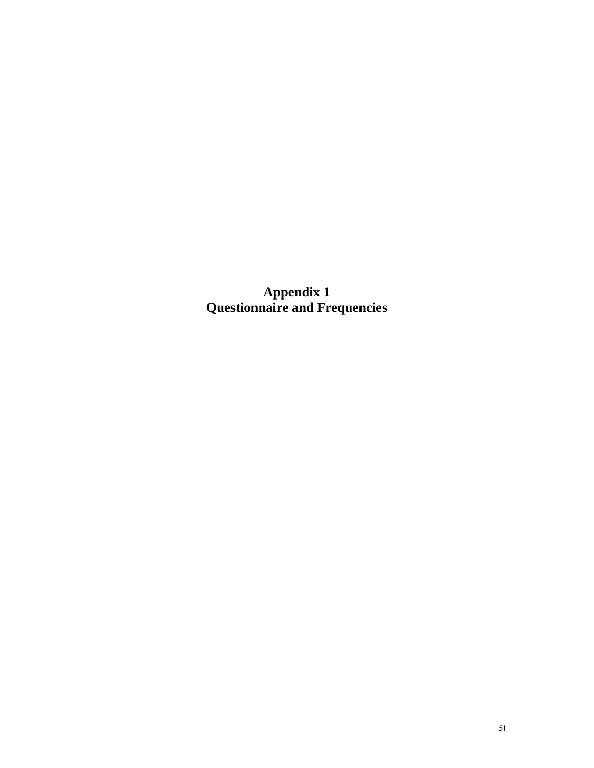**Appendix 1 Questionnaire and Frequencies**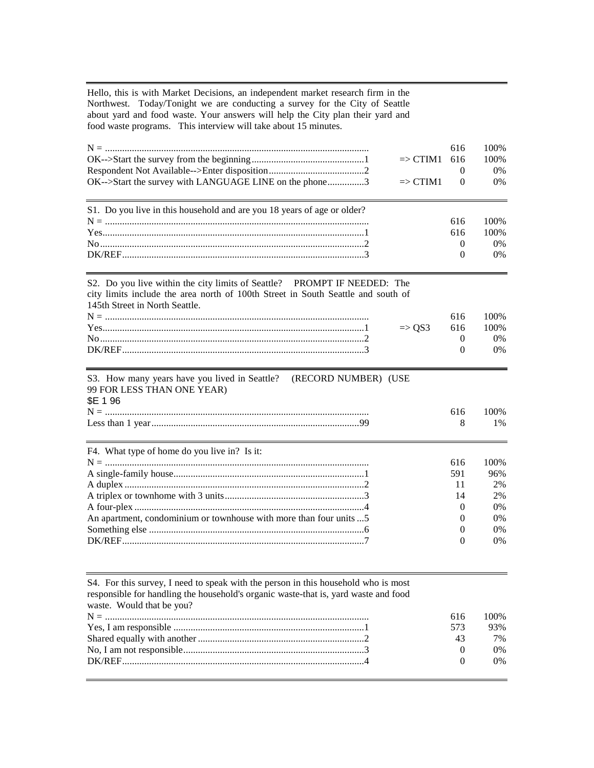Hello, this is with Market Decisions, an independent market research firm in the Northwest. Today/Tonight we are conducting a survey for the City of Seattle about yard and food waste. Your answers will help the City plan their yard and food waste programs. This interview will take about 15 minutes.

|                                                        |                         | 616 | 100%  |
|--------------------------------------------------------|-------------------------|-----|-------|
|                                                        | $\Rightarrow$ CTIM1 616 |     | 100%  |
|                                                        |                         |     | $0\%$ |
| OK-->Start the survey with LANGUAGE LINE on the phone3 | $\Rightarrow$ CTIM1 0   |     | $0\%$ |
|                                                        |                         |     |       |

| S1. Do you live in this household and are you 18 years of age or older? |     |               |
|-------------------------------------------------------------------------|-----|---------------|
|                                                                         |     | $616$ $100\%$ |
|                                                                         | 616 | 100%          |
|                                                                         |     | 0%            |
|                                                                         |     | 0%            |

S2. Do you live within the city limits of Seattle? PROMPT IF NEEDED: The city limits include the area north of 100th Street in South Seattle and south of 145th Street in North Seattle.

|                   | 100%                       |
|-------------------|----------------------------|
| $\Rightarrow$ OS3 | 616 100%                   |
|                   | $^{\prime}$ <sup>0</sup> % |
|                   | $^{\prime}$ )%             |

## S3. How many years have you lived in Seattle? (RECORD NUMBER) (USE 99 FOR LESS THAN ONE YEAR) \$E 1 96 N = ............................................................................................................ 616 100% Less than 1 year.....................................................................................99 8 1%

| F4. What type of home do you live in? Is it:                        |     |       |
|---------------------------------------------------------------------|-----|-------|
|                                                                     | 616 | 100%  |
|                                                                     | 591 | 96%   |
|                                                                     | 11  | 2%    |
|                                                                     | 14  | $2\%$ |
|                                                                     |     | $0\%$ |
| An apartment, condominium or townhouse with more than four units  5 |     | $0\%$ |
|                                                                     |     | $0\%$ |
|                                                                     |     | 0%    |

| S4. For this survey, I need to speak with the person in this household who is most<br>responsible for handling the household's organic waste-that is, yard waste and food<br>waste. Would that be you? |          |      |
|--------------------------------------------------------------------------------------------------------------------------------------------------------------------------------------------------------|----------|------|
|                                                                                                                                                                                                        | 616      | 100% |
|                                                                                                                                                                                                        | 573      | 93%  |
|                                                                                                                                                                                                        | 43       | 7%   |
|                                                                                                                                                                                                        | $\theta$ | 0%   |
|                                                                                                                                                                                                        | $\Omega$ | 0%   |
|                                                                                                                                                                                                        |          |      |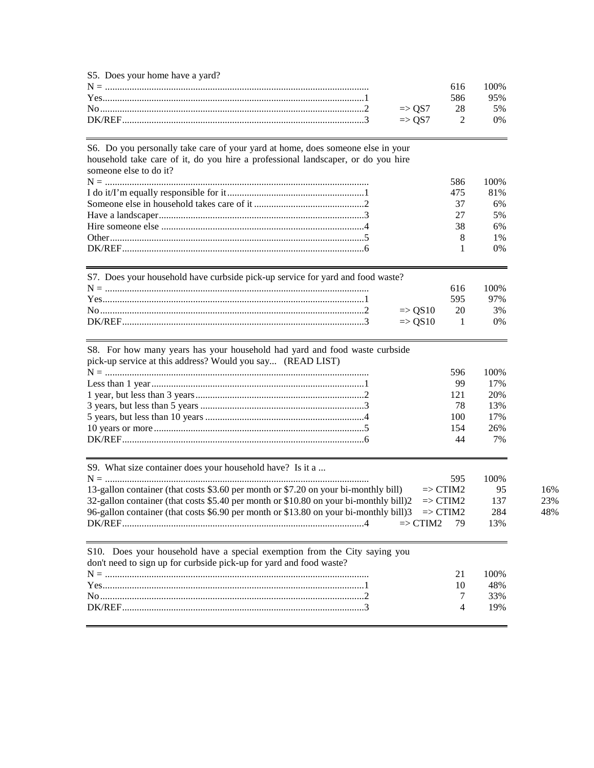| S5. Does your home have a yard?                                                                                                                                                                                                                                                                                                            |  |               |
|--------------------------------------------------------------------------------------------------------------------------------------------------------------------------------------------------------------------------------------------------------------------------------------------------------------------------------------------|--|---------------|
|                                                                                                                                                                                                                                                                                                                                            |  | $616$ $100\%$ |
|                                                                                                                                                                                                                                                                                                                                            |  | 95%           |
| No $\ldots$ $\ldots$ $\ldots$ $\ldots$ $\ldots$ $\ldots$ $\ldots$ $\ldots$ $\ldots$ $\ldots$ $\ldots$ $\ldots$ $\ldots$ $\ldots$ $\ldots$ $\ldots$ $\ldots$ $\ldots$ $\ldots$ $\ldots$ $\ldots$ $\ldots$ $\ldots$ $\ldots$ $\ldots$ $\ldots$ $\ldots$ $\ldots$ $\ldots$ $\ldots$ $\ldots$ $\ldots$ $\ldots$ $\ldots$ $\ldots$ $\ldots$ $\$ |  |               |
|                                                                                                                                                                                                                                                                                                                                            |  |               |

| S6. Do you personally take care of your yard at home, does someone else in your<br>household take care of it, do you hire a professional landscaper, or do you hire<br>someone else to do it? |     |       |
|-----------------------------------------------------------------------------------------------------------------------------------------------------------------------------------------------|-----|-------|
|                                                                                                                                                                                               | 586 | 100%  |
|                                                                                                                                                                                               | 475 | 81%   |
|                                                                                                                                                                                               | 37  | 6%    |
|                                                                                                                                                                                               | 27  | 5%    |
|                                                                                                                                                                                               | 38  | 6%    |
|                                                                                                                                                                                               | 8   | $1\%$ |
|                                                                                                                                                                                               |     | $0\%$ |
| S7. Does your household have curbside pick-up service for yard and food waste?                                                                                                                | 616 | 100%  |

|  | 616. | 100% |
|--|------|------|
|  |      | 97%  |
|  |      |      |
|  |      | 0%   |
|  |      |      |

| S8. For how many years has your household had yard and food waste curbside |  |  |  |  |  |  |
|----------------------------------------------------------------------------|--|--|--|--|--|--|
| pick-up service at this address? Would you say (READ LIST)                 |  |  |  |  |  |  |

|     | 596 100% |
|-----|----------|
| 99  | 17%      |
| 121 | 20%      |
| 78  | 13%      |
|     | 100 17%  |
| 154 | 26%      |
|     | 7%<br>44 |

| S9. What size container does your household have? Is it a                                                  |                     |      |
|------------------------------------------------------------------------------------------------------------|---------------------|------|
|                                                                                                            | 595                 | 100% |
| 13-gallon container (that costs \$3.60 per month or \$7.20 on your bi-monthly bill)                        | $\Rightarrow$ CTIM2 | -95  |
| 32-gallon container (that costs \$5.40 per month or \$10.80 on your bi-monthly bill)2 $\Rightarrow$ CTIM2  |                     | 137  |
| 96-gallon container (that costs \$6.90 per month or \$13.80 on your bi-monthly bill) $3 \Rightarrow$ CTIM2 |                     | 284  |
|                                                                                                            |                     | 13%  |

16% 23% 48%

| S10. Does your household have a special exemption from the City saying you<br>don't need to sign up for curbside pick-up for yard and food waste? |    |        |
|---------------------------------------------------------------------------------------------------------------------------------------------------|----|--------|
|                                                                                                                                                   | 21 | $00\%$ |
|                                                                                                                                                   |    | 48%    |
|                                                                                                                                                   |    | 33%    |
|                                                                                                                                                   |    | 19%    |
|                                                                                                                                                   |    |        |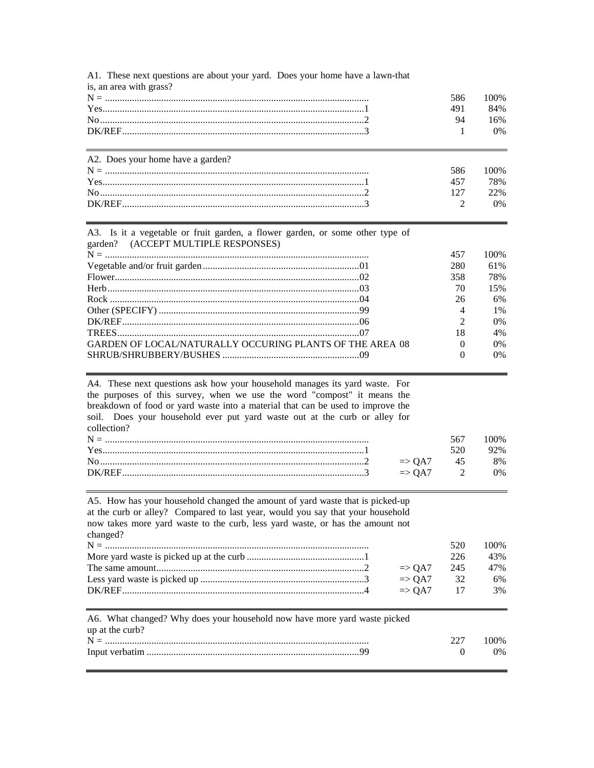| A1. These next questions are about your yard. Does your home have a lawn-that |     |       |
|-------------------------------------------------------------------------------|-----|-------|
| is, an area with grass?                                                       |     |       |
|                                                                               | 586 | 100\% |
|                                                                               | 491 | 84%   |
|                                                                               | 94  | 16%   |
|                                                                               |     | $0\%$ |
|                                                                               |     |       |
| A2. Does your home have a garden?                                             |     |       |
|                                                                               | 586 | 100\% |
|                                                                               | 457 | 78%   |
|                                                                               | 127 | 22%   |

 $\overline{2}$ 

0%

| A3. Is it a vegetable or fruit garden, a flower garden, or some other type of |          |       |
|-------------------------------------------------------------------------------|----------|-------|
| garden? (ACCEPT MULTIPLE RESPONSES)                                           |          |       |
|                                                                               | 457      | 100%  |
|                                                                               | 280      | 61%   |
|                                                                               | 358      | 78%   |
|                                                                               | 70       | 15%   |
|                                                                               | 26       | 6%    |
|                                                                               |          | $1\%$ |
|                                                                               | $\gamma$ | 0%    |
|                                                                               | 18       | 4%    |
| GARDEN OF LOCAL/NATURALLY OCCURING PLANTS OF THE AREA 08                      |          | 0%    |
|                                                                               |          | $0\%$ |
|                                                                               |          |       |

A4. These next questions ask how your household manages its yard waste. For the purposes of this survey, when we use the word "compost" it means the breakdown of food or yard waste into a material that can be used to improve the soil. Does your household ever put yard waste out at the curb or alley for collection?

|         |  | 00%   |
|---------|--|-------|
| $Yes$ 1 |  | 92%   |
|         |  | 8%    |
|         |  | $0\%$ |
|         |  |       |

A5. How has your household changed the amount of yard waste that is picked-up at the curb or alley? Compared to last year, would you say that your household now takes more yard waste to the curb, less yard waste, or has the amount not changed?

|                           | 520. | 100\% |
|---------------------------|------|-------|
|                           | 226  | 43%   |
| $\Rightarrow$ OA7 245 47% |      |       |
| $\Rightarrow$ OA7 32      |      | 6%    |
| $\Rightarrow$ OA7 17      |      | 3%    |
|                           |      |       |

| A6. What changed? Why does your household now have more yard waste picked |     |       |
|---------------------------------------------------------------------------|-----|-------|
| up at the curb?                                                           |     |       |
|                                                                           | 227 | 100\% |
|                                                                           |     | $0\%$ |
|                                                                           |     |       |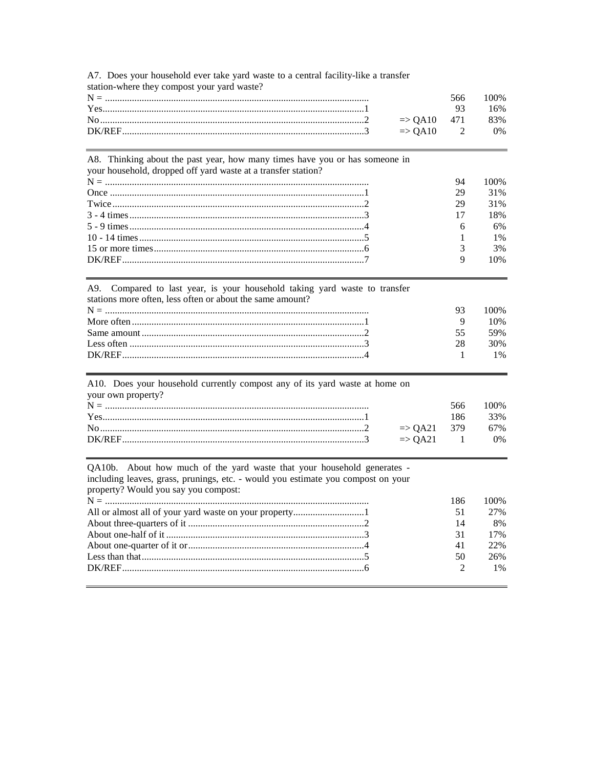A7. Does your household ever take yard waste to a central facility-like a transfer station-where they compost your yard waste?

|  | 566 100\% |
|--|-----------|
|  | 16%       |
|  |           |
|  | $0\%$     |
|  |           |

100%

31%

31%

18%

6%

1%

3%

10%

100% 10% 59% 30% 1%

100% 33% 67%

 $0%$ 

27%

8%

17%

22%

26%

 $1\%$ 

 $\overline{2}$ 

#### A8. Thinking about the past year, how many times have you or has someone in your household, dropped off yard waste at a transfer station? 94 29 29 17 6  $\mathbf{1}$ 3 9

| A9. Compared to last year, is your household taking yard waste to transfer<br>stations more often, less often or about the same amount? |  |
|-----------------------------------------------------------------------------------------------------------------------------------------|--|
|                                                                                                                                         |  |
|                                                                                                                                         |  |
|                                                                                                                                         |  |
|                                                                                                                                         |  |
|                                                                                                                                         |  |

| A10. Does your household currently compost any of its yard waste at home on |                        |     |
|-----------------------------------------------------------------------------|------------------------|-----|
| your own property?                                                          |                        |     |
|                                                                             |                        | 566 |
|                                                                             |                        | 186 |
|                                                                             | $\Rightarrow$ OA21 379 |     |
|                                                                             | $\Rightarrow$ OA21 1   |     |

QA10b. About how much of the yard waste that your household generates including leaves, grass, prunings, etc. - would you estimate you compost on your property? Would you say you compost: 186 100% All or almost all of your yard waste on your property................................1 51 14 31 41 50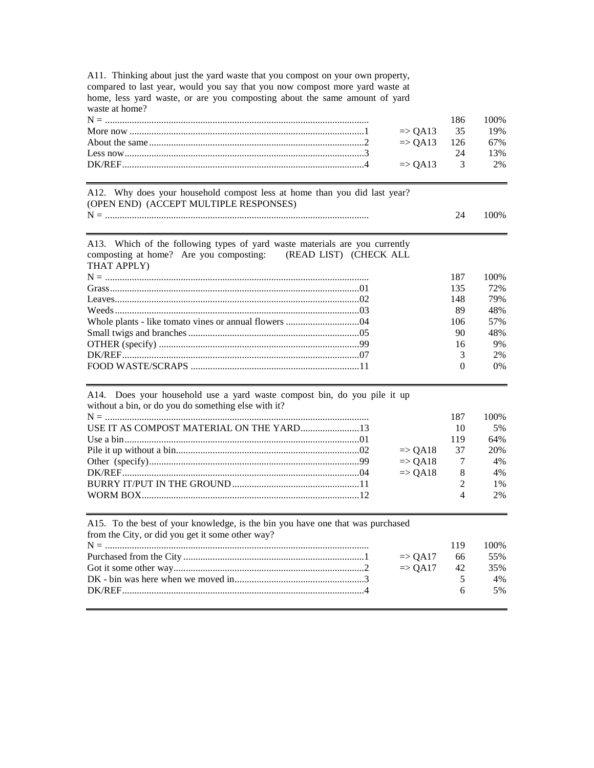A11. Thinking about just the yard waste that you compost on your own property, compared to last year, would you say that you now compost more yard waste at home, less yard waste, or are you composting about the same amount of yard waste at home?

|                                                                                                                                                                                                                                                                                                                                         |  | 186 100% |
|-----------------------------------------------------------------------------------------------------------------------------------------------------------------------------------------------------------------------------------------------------------------------------------------------------------------------------------------|--|----------|
| More now $\ldots$ $\ldots$ $\ldots$ $\ldots$ $\ldots$ $\ldots$ $\ldots$ $\ldots$ $\ldots$ $\ldots$ $\ldots$ $\ldots$ $\ldots$ $\ldots$ $\ldots$ $\ldots$ $\ldots$ $\ldots$ $\ldots$ $\ldots$ $\ldots$ $\ldots$ $\ldots$ $\ldots$ $\ldots$ $\ldots$ $\ldots$ $\ldots$ $\ldots$ $\ldots$ $\ldots$ $\ldots$ $\ldots$ $\ldots$ $\ldots$ $\$ |  |          |
|                                                                                                                                                                                                                                                                                                                                         |  |          |
| Less now $\frac{13\%}{13\%}$                                                                                                                                                                                                                                                                                                            |  |          |
|                                                                                                                                                                                                                                                                                                                                         |  |          |

A12. Why does your household compost less at home than you did last year? (OPEN END) (ACCEPT MULTIPLE RESPONSES) N = ............................................................................................................ 24 100%

| A13. Which of the following types of yard waste materials are you currently<br>composting at home? Are you composting: (READ LIST) (CHECK ALL |               |      |
|-----------------------------------------------------------------------------------------------------------------------------------------------|---------------|------|
| THAT APPLY)                                                                                                                                   |               |      |
|                                                                                                                                               | 187           | 100% |
|                                                                                                                                               | 135           | 72%  |
|                                                                                                                                               | 148           | 79%  |
|                                                                                                                                               | 89            | 48%  |
|                                                                                                                                               | 106           | 57%  |
|                                                                                                                                               | 90            | 48%  |
|                                                                                                                                               | 16            | 9%   |
|                                                                                                                                               | $\mathcal{R}$ | 2%   |
|                                                                                                                                               |               | 0%   |
|                                                                                                                                               |               |      |

#### A14. Does your household use a yard waste compost bin, do you pile it up without a bin, or do you do something else with it?

| 187                   | 100%  |
|-----------------------|-------|
| 10                    | 5%    |
| 119                   | 64%   |
| $\Rightarrow$ QA18 37 | 20\%  |
| $\Rightarrow$ OA18 7  | 4%    |
| $\Rightarrow$ QA18 8  | 4%    |
| $\mathcal{D}$         | $1\%$ |
| $\Delta$              | 2%    |

| A15. To the best of your knowledge, is the bin you have one that was purchased |                       |     |       |
|--------------------------------------------------------------------------------|-----------------------|-----|-------|
| from the City, or did you get it some other way?                               |                       |     |       |
|                                                                                |                       | 119 | 100\% |
|                                                                                | $\Rightarrow$ OA17 66 |     | 55%   |
|                                                                                | $\Rightarrow$ OA17 42 |     | 35%   |
|                                                                                |                       |     | 4%    |
|                                                                                |                       | - 6 | 5%    |
|                                                                                |                       |     |       |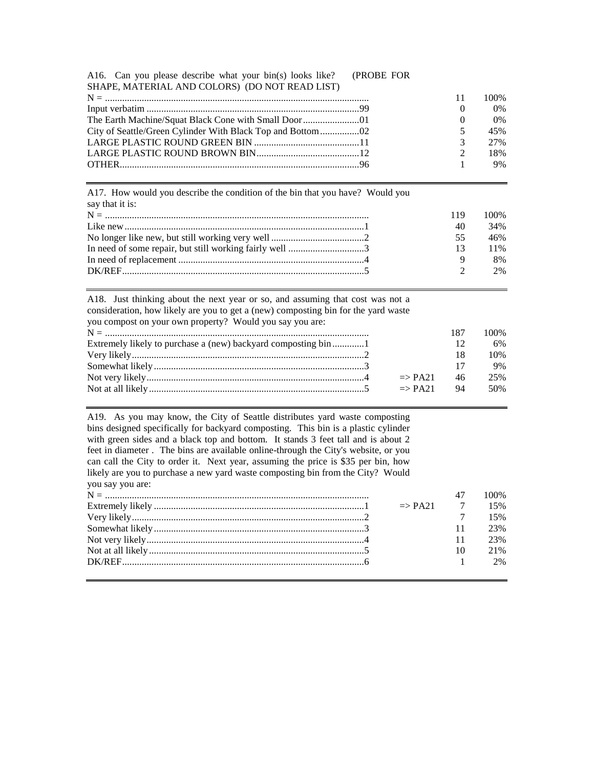| A16. Can you please describe what your bin(s) looks like? (PROBE FOR |  |  |
|----------------------------------------------------------------------|--|--|
| SHAPE, MATERIAL AND COLORS) (DO NOT READ LIST)                       |  |  |

| 100%  |
|-------|
| $0\%$ |
| 0%    |
| 45%   |
| 2.7%  |
| 18%   |
| 9%    |
|       |

A17. How would you describe the condition of the bin that you have? Would you say that it is:

| . за учили п. 13.                                       |     |                   |
|---------------------------------------------------------|-----|-------------------|
|                                                         | 119 | 100%              |
|                                                         | 40  | 34%               |
|                                                         | 55. | 46%               |
| In need of some repair, but still working fairly well 3 | 13  | 11%               |
|                                                         |     | 8%                |
|                                                         |     | $\gamma$<br>$2\%$ |
|                                                         |     |                   |

| A18. Just thinking about the next year or so, and assuming that cost was not a<br>consideration, how likely are you to get a (new) composting bin for the yard waste<br>you compost on your own property? Would you say you are: |     |      |
|----------------------------------------------------------------------------------------------------------------------------------------------------------------------------------------------------------------------------------|-----|------|
|                                                                                                                                                                                                                                  | 187 | 100% |
| Extremely likely to purchase a (new) backyard composting bin 1                                                                                                                                                                   | 12  | 6%   |
|                                                                                                                                                                                                                                  | 18  | 10%  |
|                                                                                                                                                                                                                                  | 17  | 9%   |
| $\Rightarrow$ PA21                                                                                                                                                                                                               | 46  | 25%  |
| $\Rightarrow$ PA21                                                                                                                                                                                                               | 94  | 50%  |

A19. As you may know, the City of Seattle distributes yard waste composting bins designed specifically for backyard composting. This bin is a plastic cylinder with green sides and a black top and bottom. It stands 3 feet tall and is about 2 feet in diameter . The bins are available online-through the City's website, or you can call the City to order it. Next year, assuming the price is \$35 per bin, how likely are you to purchase a new yard waste composting bin from the City? Would you say you are:

|  |                          |       | 100% |
|--|--------------------------|-------|------|
|  | $\Rightarrow$ PA21 7 15% |       |      |
|  |                          |       | 15%  |
|  |                          | $-11$ | 23%  |
|  |                          | 11    | 23%  |
|  |                          | 10    | 21\% |
|  |                          |       | 2%   |
|  |                          |       |      |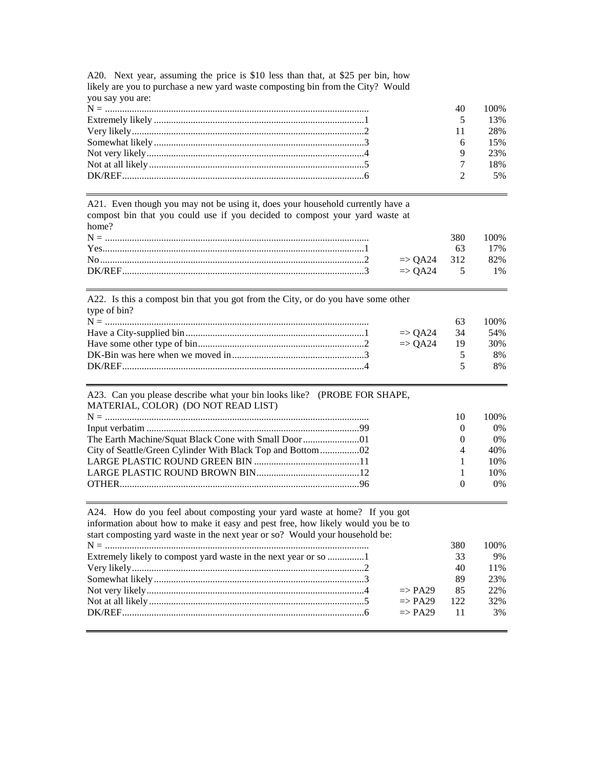| you say you are: |        |          |
|------------------|--------|----------|
|                  | 40     | 100\%    |
|                  | $\sim$ | 13%      |
|                  | 11     | 28%      |
|                  |        | 6 $15\%$ |
|                  |        | 23%      |
|                  |        | 18%      |
|                  |        | 5%       |

A20. Next year, assuming the price is \$10 less than that, at \$25 per bin, how likely are you to purchase a new yard waste composting bin from the City? Would you say you are:

A21. Even though you may not be using it, does your household currently have a compost bin that you could use if you decided to compost your yard waste at home?

|                                                                                                                                                                                                                                                        | 380 <b>B</b> | - 100% |
|--------------------------------------------------------------------------------------------------------------------------------------------------------------------------------------------------------------------------------------------------------|--------------|--------|
|                                                                                                                                                                                                                                                        |              | 63 17% |
| No $\mu$ and $\mu$ and $\mu$ and $\mu$ and $\mu$ and $\mu$ and $\mu$ and $\mu$ and $\mu$ and $\mu$ and $\mu$ and $\mu$ and $\mu$ and $\mu$ and $\mu$ and $\mu$ and $\mu$ and $\mu$ and $\mu$ and $\mu$ and $\mu$ and $\mu$ and $\mu$ and $\mu$ and $\$ |              |        |
|                                                                                                                                                                                                                                                        |              |        |

A22. Is this a compost bin that you got from the City, or do you have some other type of bin?

|                            |          | 100% |
|----------------------------|----------|------|
| $\Rightarrow$ OA24 34 54\% |          |      |
| $\Rightarrow$ OA24 19 30\% |          |      |
|                            |          | 8%   |
|                            | $\sim$ 5 | 8%   |

#### A23. Can you please describe what your bin looks like? (PROBE FOR SHAPE, MATERIAL, COLOR) (DO NOT READ LIST) N = ............................................................................................................ 10 100% Input verbatim .......................................................................................99 0 0% The Earth Machine/Squat Black Cone with Small Door........................01 City of Seattle/Green Cylinder With Black Top and Bottom................02 4 40% LARGE PLASTIC ROUND GREEN BIN ...........................................11 1 10% LARGE PLASTIC ROUND BROWN BIN..........................................12 1 10% OTHER..................................................................................................96 0 0%

| A24. How do you feel about composting your yard waste at home? If you got       |                    |     |      |
|---------------------------------------------------------------------------------|--------------------|-----|------|
| information about how to make it easy and pest free, how likely would you be to |                    |     |      |
| start composting yard waste in the next year or so? Would your household be:    |                    |     |      |
|                                                                                 |                    | 380 | 100% |
|                                                                                 |                    | 33  | 9%   |
|                                                                                 |                    | 40  | 11%  |
|                                                                                 |                    | 89  | 23%  |
|                                                                                 | $\Rightarrow$ PA29 | 85  | 22%  |
|                                                                                 | $\Rightarrow$ PA29 | 122 | 32%  |
|                                                                                 | $\Rightarrow$ PA29 | 11  | 3%   |
|                                                                                 |                    |     |      |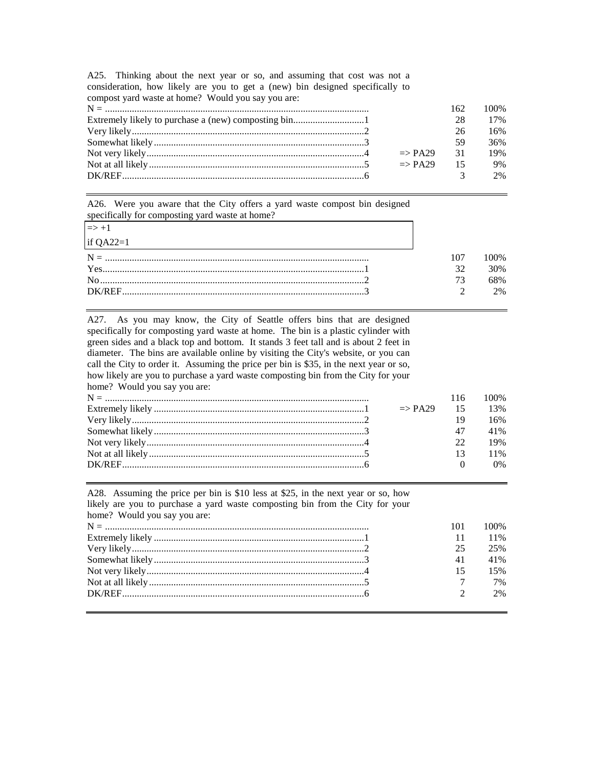| compost yard waste at home? Would you say you are: |                       |                |       |
|----------------------------------------------------|-----------------------|----------------|-------|
|                                                    |                       | 162            | 100\% |
|                                                    |                       | 28             | 17%   |
|                                                    |                       | 26             | 16%   |
|                                                    |                       | 59             | 36%   |
|                                                    | $\Rightarrow$ PA29 31 |                | 19%   |
|                                                    | $\Rightarrow$ PA29    | $\frac{15}{2}$ | 9%    |
|                                                    |                       |                | 2%    |

A25. Thinking about the next year or so, and assuming that cost was not a consideration, how likely are you to get a (new) bin designed specifically to

A26. Were you aware that the City offers a yard waste compost bin designed specifically for composting yard waste at home?

| $\Rightarrow$ +1 |     |     |
|------------------|-----|-----|
| if QA22=1        |     |     |
|                  | 107 | )0% |
|                  | 32  | 30% |
|                  |     | 8%  |
|                  |     | 2%  |

A27. As you may know, the City of Seattle offers bins that are designed specifically for composting yard waste at home. The bin is a plastic cylinder with green sides and a black top and bottom. It stands 3 feet tall and is about 2 feet in diameter. The bins are available online by visiting the City's website, or you can call the City to order it. Assuming the price per bin is \$35, in the next year or so, how likely are you to purchase a yard waste composting bin from the City for your home? Would you say you are: N = ............................................................................................................ 116 100% Extremely likely ......................................................................................1 => PA29 15 13% Very likely...............................................................................................2 19 16% Somewhat likely ......................................................................................3 47 41% Not very likely.........................................................................................4 22 19% Not at all likely ........................................................................................5 13 11%

A28. Assuming the price per bin is \$10 less at \$25, in the next year or so, how likely are you to purchase a yard waste composting bin from the City for your home? Would you say you are: N = ............................................................................................................ 101 100% Extremely likely ......................................................................................1 11 11% Very likely...............................................................................................2 25 25% Somewhat likely ......................................................................................3 41 41% Not very likely.........................................................................................4 15 15% Not at all likely ........................................................................................5 7 7% DK/REF...................................................................................................6 2 2%

DK/REF...................................................................................................6 0 0%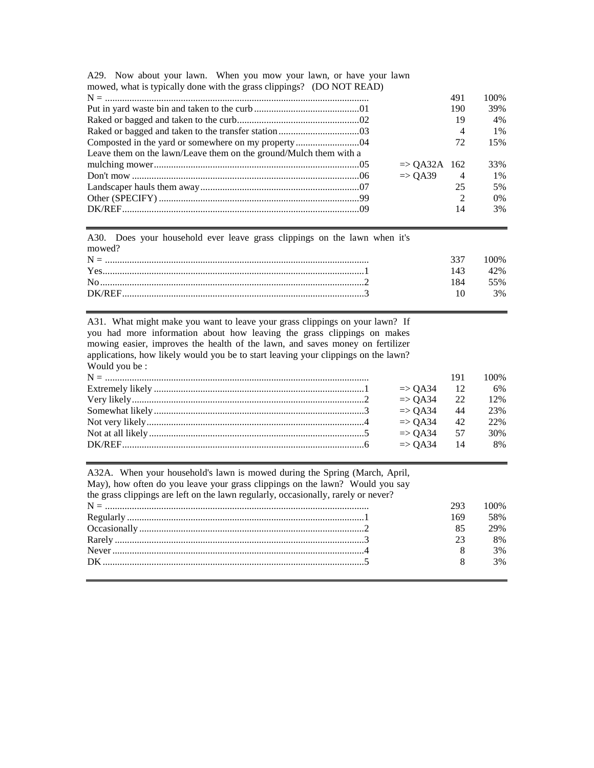| $\mu$ mowed, what is typically done with the grass crippings $\mu$ . (DO NOT KEAD) |                         |                             |       |
|------------------------------------------------------------------------------------|-------------------------|-----------------------------|-------|
|                                                                                    |                         | 491                         | 100\% |
|                                                                                    |                         | 190                         | 39%   |
|                                                                                    |                         | 19                          | 4%    |
|                                                                                    |                         | $\overline{4}$              | $1\%$ |
|                                                                                    |                         | 72                          | 15%   |
| Leave them on the lawn/Leave them on the ground/Mulch them with a                  |                         |                             |       |
|                                                                                    | $\Rightarrow$ OA32A 162 |                             | 33%   |
|                                                                                    | $\Rightarrow$ OA39 4    |                             | 1%    |
|                                                                                    |                         | 25                          | 5%    |
|                                                                                    |                         | $\mathcal{D}_{\mathcal{A}}$ | $0\%$ |
|                                                                                    |                         | 14                          | 3%    |
|                                                                                    |                         |                             |       |

A29. Now about your lawn. When you mow your lawn, or have your lawn mowed, what is typically done with the grass clippings? (DO NOT READ)

A30. Does your household ever leave grass clippings on the lawn when it's mowed?

|  | 00% |
|--|-----|
|  | 42% |
|  | 55% |
|  | 3%  |
|  |     |

A31. What might make you want to leave your grass clippings on your lawn? If you had more information about how leaving the grass clippings on makes mowing easier, improves the health of the lawn, and saves money on fertilizer applications, how likely would you be to start leaving your clippings on the lawn? Would you be :

|  |                       | 191 | 100% |
|--|-----------------------|-----|------|
|  | $\Rightarrow$ QA34 12 |     | 6%   |
|  | $\Rightarrow$ OA34 22 |     | 12%  |
|  | $\Rightarrow$ OA34 44 |     | 23%  |
|  | $\Rightarrow$ OA34 42 |     | 22%  |
|  | $\Rightarrow$ OA34 57 |     | 30%  |
|  | $\Rightarrow$ OA34 14 |     | 8%   |
|  |                       |     |      |

| A32A. When your household's lawn is mowed during the Spring (March, April,         |     |      |
|------------------------------------------------------------------------------------|-----|------|
| May), how often do you leave your grass clippings on the lawn? Would you say       |     |      |
| the grass clippings are left on the lawn regularly, occasionally, rarely or never? |     |      |
|                                                                                    | 293 | 100% |
|                                                                                    | 169 | 58%  |
|                                                                                    | 85  | 29%  |
|                                                                                    | 23  | 8%   |
|                                                                                    |     | 3%   |
|                                                                                    | 8   | 3%   |
|                                                                                    |     |      |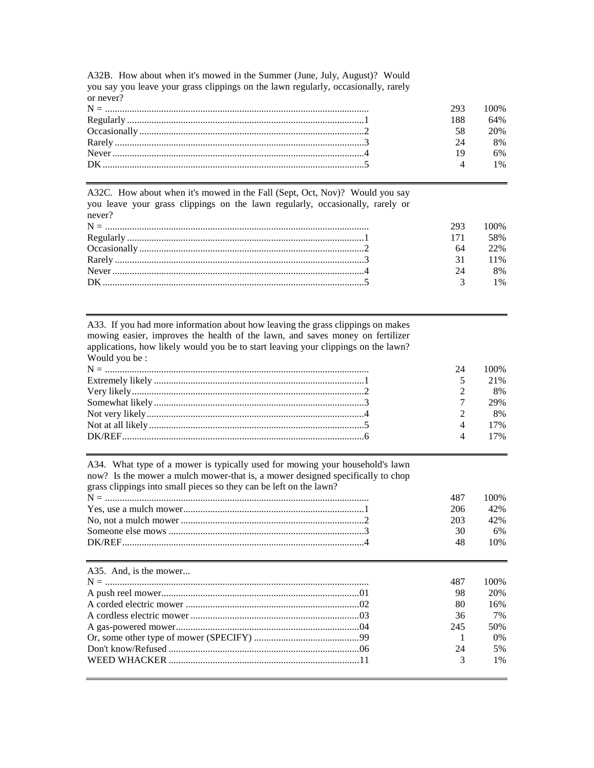| you say you icave your grass emploings on the lawn regularly, occasionally, raility |     |      |
|-------------------------------------------------------------------------------------|-----|------|
| or never?                                                                           |     |      |
|                                                                                     | 293 | 100% |
|                                                                                     | 188 | 64%  |
|                                                                                     | 58  | 20%  |
|                                                                                     | 24  | 8%   |
|                                                                                     |     | 6%   |
|                                                                                     |     | 1%   |
|                                                                                     |     |      |

A32B. How about when it's mowed in the Summer (June, July, August)? Would you say you leave your grass clippings on the lawn regularly occasionally rarely

A32C. How about when it's mowed in the Fall (Sept, Oct, Nov)? Would you say you leave your grass clippings on the lawn regularly, occasionally, rarely or never?

| 293. | 100%   |
|------|--------|
|      | 58%    |
| 64   | 22%    |
| 31   | $11\%$ |
| 24   | 8%     |
|      | $1\%$  |

A33. If you had more information about how leaving the grass clippings on makes mowing easier, improves the health of the lawn, and saves money on fertilizer applications, how likely would you be to start leaving your clippings on the lawn? Would you be:

| 24 | 100%                      |
|----|---------------------------|
|    | 21%                       |
|    | 8%                        |
|    | 29%                       |
|    | 8%                        |
|    | 4 17%                     |
|    | $\mathbf{\Lambda}$<br>17% |

A34. What type of a mower is typically used for mowing your household's lawn now? Is the mower a mulch mower-that is, a mower designed specifically to chop

grass clippings into small pieces so they can be left on the lawn?

| 487 | 100%          |
|-----|---------------|
|     | $206 \t 42\%$ |
| 203 | 42%           |
| 30. | 6%            |
| 48  | 10%           |
|     |               |

| A35. And, is the mower | 487           | 100%  |
|------------------------|---------------|-------|
|                        | 98            | 20%   |
|                        | 80            | 16%   |
|                        | 36            | 7%    |
|                        | 245           | 50%   |
|                        |               | $0\%$ |
|                        | 24            | 5%    |
|                        | $\mathcal{R}$ | $1\%$ |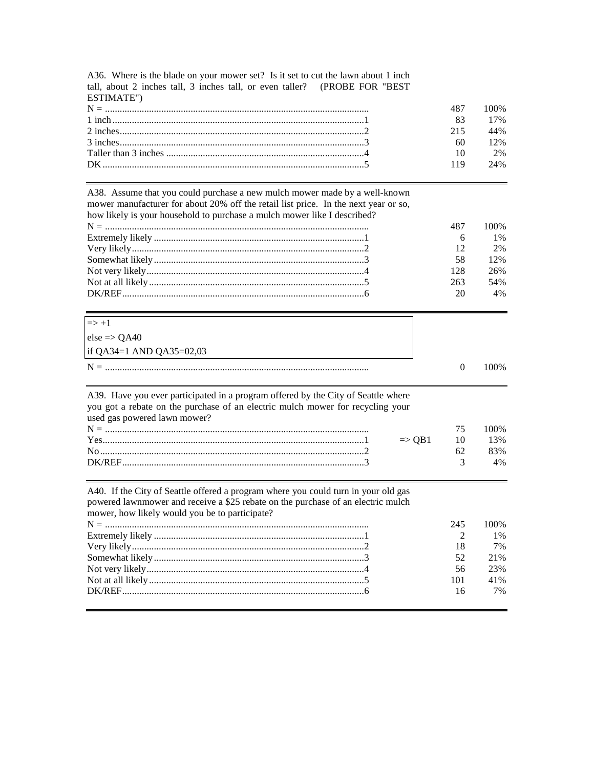| A36. Where is the blade on your mower set? Is it set to cut the lawn about 1 inch |  |
|-----------------------------------------------------------------------------------|--|
| tall, about 2 inches tall, 3 inches tall, or even taller? (PROBE FOR "BEST"       |  |
| ESTIMATE")                                                                        |  |
|                                                                                   |  |
|                                                                                   |  |
|                                                                                   |  |
|                                                                                   |  |

|  |      | 17% |
|--|------|-----|
|  | 215. | 44% |
|  | 60.  | 12% |
|  |      | 2%  |
|  | 119  | 24% |
|  |      |     |

100%

487 83

A38. Assume that you could purchase a new mulch mower made by a well-known mower manufacturer for about 20% off the retail list price. In the next year or so,

|  |  |  |  |  | how likely is your household to purchase a mulch mower like I described? |
|--|--|--|--|--|--------------------------------------------------------------------------|
|  |  |  |  |  |                                                                          |

|                 | 100%  |
|-----------------|-------|
|                 | $1\%$ |
| 12 <sub>1</sub> | 2%    |
| 58              | 12%   |
| 128.            | 26%   |
| 263.            | 54%   |
| 20              | 4%    |
|                 |       |

| $\Rightarrow$ +1         |       |
|--------------------------|-------|
| $else => QA40$           |       |
| if QA34=1 AND QA35=02,03 |       |
|                          | 100\% |

| A39. Have you ever participated in a program offered by the City of Seattle where                                                                                                                                                                                                                                                         |                   |           |      |
|-------------------------------------------------------------------------------------------------------------------------------------------------------------------------------------------------------------------------------------------------------------------------------------------------------------------------------------------|-------------------|-----------|------|
| you got a rebate on the purchase of an electric mulch mower for recycling your                                                                                                                                                                                                                                                            |                   |           |      |
| used gas powered lawn mower?                                                                                                                                                                                                                                                                                                              |                   |           |      |
|                                                                                                                                                                                                                                                                                                                                           |                   | 75        | 100% |
| $Yes$ $\ldots$ $\ldots$ $\ldots$ $\ldots$ $\ldots$ $\ldots$ $\ldots$ $\ldots$ $\ldots$ $\ldots$ $\ldots$ $\ldots$ $\ldots$ $\ldots$ $\ldots$ $\ldots$ $\ldots$ $\ldots$ $\ldots$ $\ldots$ $\ldots$ $\ldots$ $\ldots$ $\ldots$ $\ldots$ $\ldots$ $\ldots$ $\ldots$ $\ldots$ $\ldots$ $\ldots$ $\ldots$ $\ldots$ $\ldots$ $\ldots$ $\ldots$ | $\Rightarrow$ OB1 | $\sim$ 10 | 13%  |
|                                                                                                                                                                                                                                                                                                                                           |                   | 62.       | 83%  |
|                                                                                                                                                                                                                                                                                                                                           |                   |           | 4%   |
|                                                                                                                                                                                                                                                                                                                                           |                   |           |      |

| A40. If the City of Seattle offered a program where you could turn in your old gas |
|------------------------------------------------------------------------------------|
| powered lawnmower and receive a \$25 rebate on the purchase of an electric mulch   |
| mower, how likely would you be to participate?                                     |
| $\mathbf{M} =$                                                                     |

|  |       | 245 100\% |
|--|-------|-----------|
|  |       | 1%        |
|  | 18 —  | 7%        |
|  |       | 52 21%    |
|  |       | 56 23%    |
|  |       | 101 41%   |
|  | $-16$ | 7%        |
|  |       |           |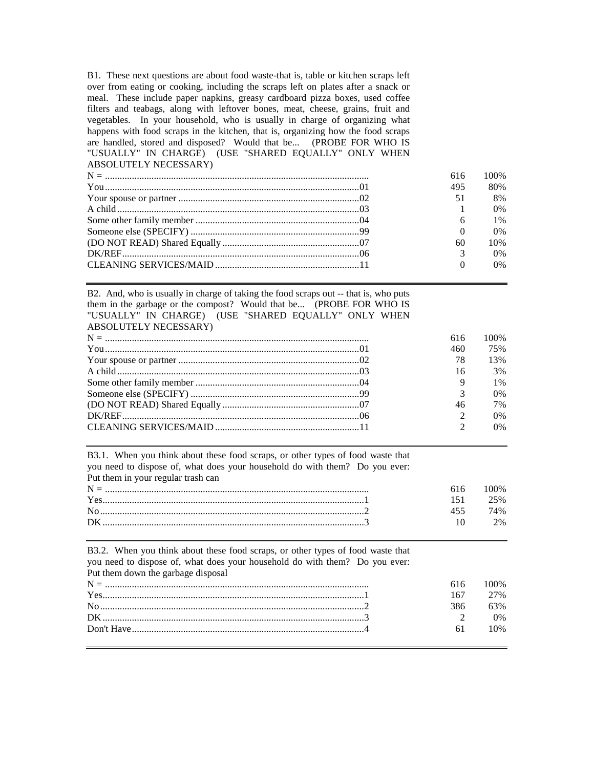B1. These next questions are about food waste-that is, table or kitchen scraps left over from eating or cooking, including the scraps left on plates after a snack or meal. These include paper napkins, greasy cardboard pizza boxes, used coffee filters and teabags, along with leftover bones, meat, cheese, grains, fruit and vegetables. In your household, who is usually in charge of organizing what happens with food scraps in the kitchen, that is, organizing how the food scraps are handled, stored and disposed? Would that be... (PROBE FOR WHO IS "USUALLY" IN CHARGE) (USE "SHARED EQUALLY" ONLY WHEN ABSOLUTELY NECESSARY)

|  | 616 | 100%  |
|--|-----|-------|
|  | 495 | 80%   |
|  | 51  | 8%    |
|  |     | $0\%$ |
|  |     | $1\%$ |
|  |     | $0\%$ |
|  | 60  | 10%   |
|  |     | $0\%$ |
|  |     | $0\%$ |
|  |     |       |

B2. And, who is usually in charge of taking the food scraps out -- that is, who puts them in the garbage or the compost? Would that be... (PROBE FOR WHO IS "USUALLY" IN CHARGE) (USE "SHARED EQUALLY" ONLY WHEN ABSOLUTELY NECESSARY)

|  | 616                         | 100%  |
|--|-----------------------------|-------|
|  | 460                         | 75%   |
|  | 78                          | 13%   |
|  | 16                          | 3%    |
|  | $\mathbf Q$                 | $1\%$ |
|  | $\mathcal{R}$               | $0\%$ |
|  | 46                          | 7%    |
|  | $\mathcal{D}_{\mathcal{L}}$ | $0\%$ |
|  | $\gamma$                    | $0\%$ |
|  |                             |       |

B3.1. When you think about these food scraps, or other types of food waste that you need to dispose of, what does your household do with them? Do you ever: Put them in your regular trash can

|  | 10%   |
|--|-------|
|  | 25%   |
|  | $4\%$ |
|  | $2\%$ |
|  |       |

| B3.2. When you think about these food scraps, or other types of food waste that |     |       |
|---------------------------------------------------------------------------------|-----|-------|
| you need to dispose of, what does your household do with them? Do you ever:     |     |       |
| Put them down the garbage disposal                                              |     |       |
|                                                                                 | 616 | 100\% |
|                                                                                 | 167 | 2.7%  |
|                                                                                 | 386 | 63%   |
|                                                                                 |     | 0%    |
|                                                                                 | 61  | 10%   |
|                                                                                 |     |       |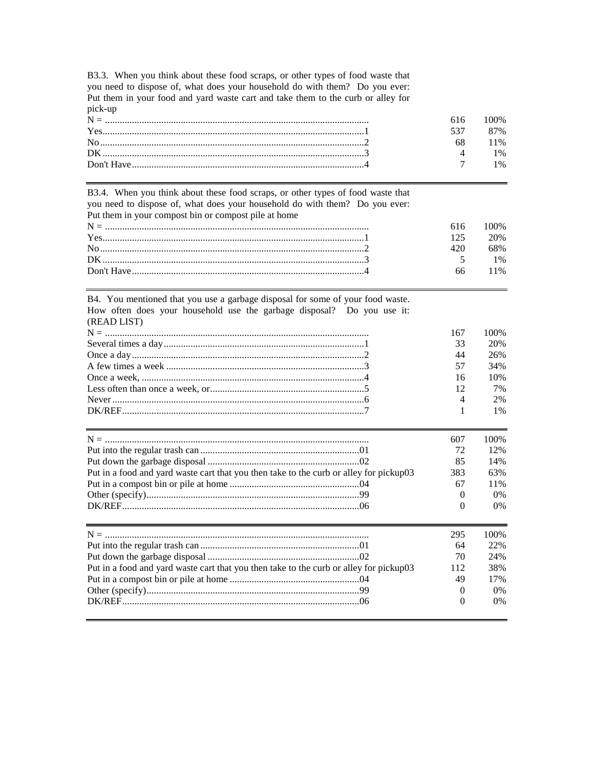B3.3. When you think about these food scraps, or other types of food waste that you need to dispose of, what does your household do with them? Do you ever:<br>Put them in your food and yard waste cart and take them to the curb or alley for pick-up

|          | 00%   |
|----------|-------|
|          | 87%   |
|          | 11%   |
|          | $1\%$ |
|          | 1%    |
| Yes. 1 1 |       |

B3.4. When you think about these food scraps, or other types of food waste that you need to dispose of, what does your household do with them? Do you ever: Put them in your compost bin or compost pile at home

|  |      | $616$ $100\%$ |
|--|------|---------------|
|  | 125  | 20%           |
|  | 420. | 68%           |
|  |      | $1\%$         |
|  |      | 66 11%        |
|  |      |               |

| B4. You mentioned that you use a garbage disposal for some of your food waste.         |          |       |
|----------------------------------------------------------------------------------------|----------|-------|
| How often does your household use the garbage disposal? Do you use it:<br>(READ LIST)  |          |       |
|                                                                                        | 167      | 100%  |
|                                                                                        | 33       | 20%   |
|                                                                                        | 44       | 26%   |
|                                                                                        | 57       | 34%   |
|                                                                                        | 16       | 10%   |
|                                                                                        | 12       | 7%    |
|                                                                                        | 4        | 2%    |
|                                                                                        | 1        | 1%    |
|                                                                                        |          |       |
|                                                                                        | 607      | 100%  |
|                                                                                        | 72       | 12%   |
|                                                                                        | 85       | 14%   |
| Put in a food and yard waste cart that you then take to the curb or alley for pickup03 | 383      | 63%   |
|                                                                                        | 67       | 11%   |
|                                                                                        | $\Omega$ | $0\%$ |
|                                                                                        | $\Omega$ | $0\%$ |
|                                                                                        | 295      | 100\% |
|                                                                                        | 64       | 22%   |
|                                                                                        | 70       | 24%   |
| Put in a food and yard waste cart that you then take to the curb or alley for pickup03 | 112      | 38%   |
|                                                                                        | 49       | 17%   |
|                                                                                        | $\Omega$ | 0%    |
|                                                                                        | $\Omega$ | 0%    |
|                                                                                        |          |       |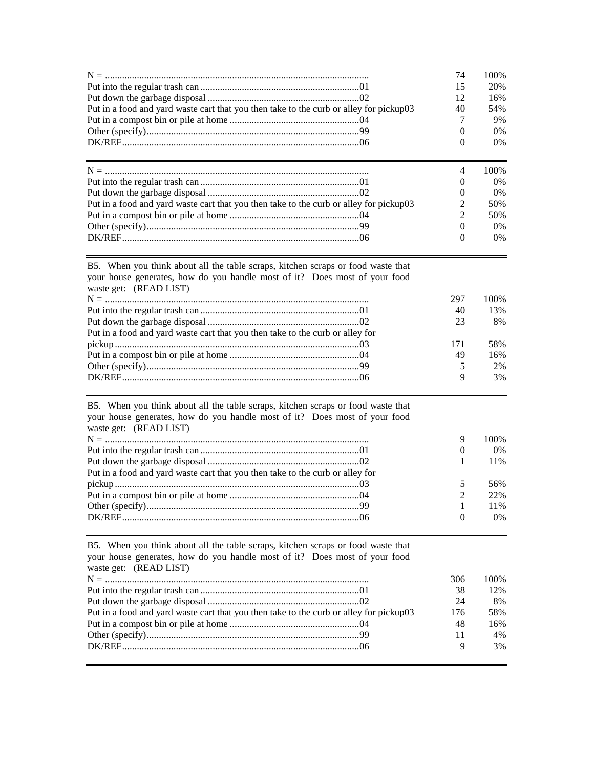|                                                                                        | 74             | 100\%          |
|----------------------------------------------------------------------------------------|----------------|----------------|
|                                                                                        | 15             | 20%            |
|                                                                                        | 12             | 16%            |
| Put in a food and yard waste cart that you then take to the curb or alley for pickup03 | 40             | 54%            |
|                                                                                        |                | 9%             |
|                                                                                        | $\Omega$       | $0\%$          |
|                                                                                        | 0              | $0\%$          |
|                                                                                        |                |                |
|                                                                                        |                |                |
|                                                                                        | $\overline{4}$ |                |
|                                                                                        |                | $0\%$          |
|                                                                                        | 0              | $0\%$          |
| Put in a food and yard waste cart that you then take to the curb or alley for pickup03 | 2              | 50%            |
|                                                                                        | $\mathfrak{D}$ | 50%            |
|                                                                                        |                | $0\%$          |
|                                                                                        | $\Omega$       | 100\%<br>$0\%$ |

| your house generates, how do you handle most of it? Does most of your food    |             |      |
|-------------------------------------------------------------------------------|-------------|------|
| waste get: (READ LIST)                                                        |             |      |
|                                                                               | 297         | 100% |
|                                                                               | 40          | 13%  |
|                                                                               | 23          | 8%   |
| Put in a food and yard waste cart that you then take to the curb or alley for |             |      |
|                                                                               | 171         | 58%  |
|                                                                               | 49          | 16%  |
|                                                                               | 5           | 2%   |
|                                                                               | $\mathbf Q$ | 3%   |

B5. When you think about all the table scraps, kitchen scraps or food waste that

| waste get: (READ LIST)<br>9<br>$\Omega$<br>Put in a food and yard waste cart that you then take to the curb or alley for<br>$\mathfrak{D}$ | B5. When you think about all the table scraps, kitchen scraps or food waste that<br>your house generates, how do you handle most of it? Does most of your food |  |      |
|--------------------------------------------------------------------------------------------------------------------------------------------|----------------------------------------------------------------------------------------------------------------------------------------------------------------|--|------|
|                                                                                                                                            |                                                                                                                                                                |  |      |
|                                                                                                                                            |                                                                                                                                                                |  | 100% |
|                                                                                                                                            |                                                                                                                                                                |  | 0%   |
|                                                                                                                                            |                                                                                                                                                                |  | 11%  |
|                                                                                                                                            |                                                                                                                                                                |  |      |
|                                                                                                                                            |                                                                                                                                                                |  | 56%  |
|                                                                                                                                            |                                                                                                                                                                |  | 22%  |
|                                                                                                                                            |                                                                                                                                                                |  | 11%  |
| $\Omega$                                                                                                                                   |                                                                                                                                                                |  | 0%   |

B5. When you think about all the table scraps, kitchen scraps or food waste that your house generates, how do you handle most of it? Does most of your food waste get: (READ LIST) N = ............................................................................................................ 306 100% Put into the regular trash can .................................................................01 38 12% Put down the garbage disposal ..............................................................02 24 8% Put in a food and yard waste cart that you then take to the curb or alley for pickup03 176 58% Put in a compost bin or pile at home .....................................................04 48 16% Other (specify).......................................................................................99 11 4% DK/REF.................................................................................................06 9 3%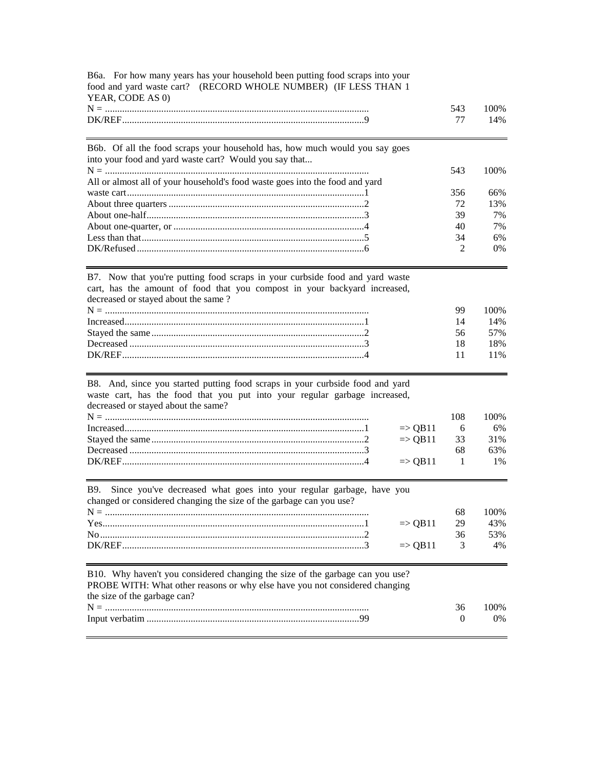| YEAR, CODE AS 0)                                                                                                                                                                                 |                    |              |            |
|--------------------------------------------------------------------------------------------------------------------------------------------------------------------------------------------------|--------------------|--------------|------------|
|                                                                                                                                                                                                  |                    | 543          | 100%       |
|                                                                                                                                                                                                  |                    | 77           | 14%        |
| B6b. Of all the food scraps your household has, how much would you say goes                                                                                                                      |                    |              |            |
| into your food and yard waste cart? Would you say that                                                                                                                                           |                    |              |            |
|                                                                                                                                                                                                  |                    | 543          | 100%       |
| All or almost all of your household's food waste goes into the food and yard                                                                                                                     |                    |              |            |
|                                                                                                                                                                                                  |                    | 356<br>72    | 66%<br>13% |
|                                                                                                                                                                                                  |                    | 39           | 7%         |
|                                                                                                                                                                                                  |                    | 40           | 7%         |
|                                                                                                                                                                                                  |                    | 34           | 6%         |
|                                                                                                                                                                                                  |                    | 2            | 0%         |
| B7. Now that you're putting food scraps in your curbside food and yard waste<br>cart, has the amount of food that you compost in your backyard increased,<br>decreased or stayed about the same? |                    |              |            |
|                                                                                                                                                                                                  |                    | 99           | 100%       |
|                                                                                                                                                                                                  |                    | 14           | 14%        |
|                                                                                                                                                                                                  |                    | 56           | 57%        |
|                                                                                                                                                                                                  |                    | 18           | 18%        |
|                                                                                                                                                                                                  |                    | 11           | 11%        |
| B8. And, since you started putting food scraps in your curbside food and yard                                                                                                                    |                    |              |            |
| waste cart, has the food that you put into your regular garbage increased,<br>decreased or stayed about the same?                                                                                |                    |              |            |
|                                                                                                                                                                                                  |                    | 108          | 100%       |
|                                                                                                                                                                                                  | $\Rightarrow$ QB11 | 6            | 6%         |
|                                                                                                                                                                                                  | $\Rightarrow$ QB11 | 33           | 31%        |
|                                                                                                                                                                                                  |                    | 68           | 63%        |
|                                                                                                                                                                                                  | $\Rightarrow$ QB11 | $\mathbf{1}$ | 1%         |
| Since you've decreased what goes into your regular garbage, have you<br><b>B</b> 9.                                                                                                              |                    |              |            |
| changed or considered changing the size of the garbage can you use?                                                                                                                              |                    |              |            |
|                                                                                                                                                                                                  |                    | 68           | 100%       |
|                                                                                                                                                                                                  | $\Rightarrow$ QB11 | 29           | 43%        |
|                                                                                                                                                                                                  |                    | 36           | 53%        |
|                                                                                                                                                                                                  | $\Rightarrow$ QB11 | 3            | 4%         |
| B10. Why haven't you considered changing the size of the garbage can you use?                                                                                                                    |                    |              |            |
| PROBE WITH: What other reasons or why else have you not considered changing                                                                                                                      |                    |              |            |
| the size of the garbage can?                                                                                                                                                                     |                    | 36           | 100%       |
|                                                                                                                                                                                                  |                    |              |            |
|                                                                                                                                                                                                  |                    | 0            | 0%         |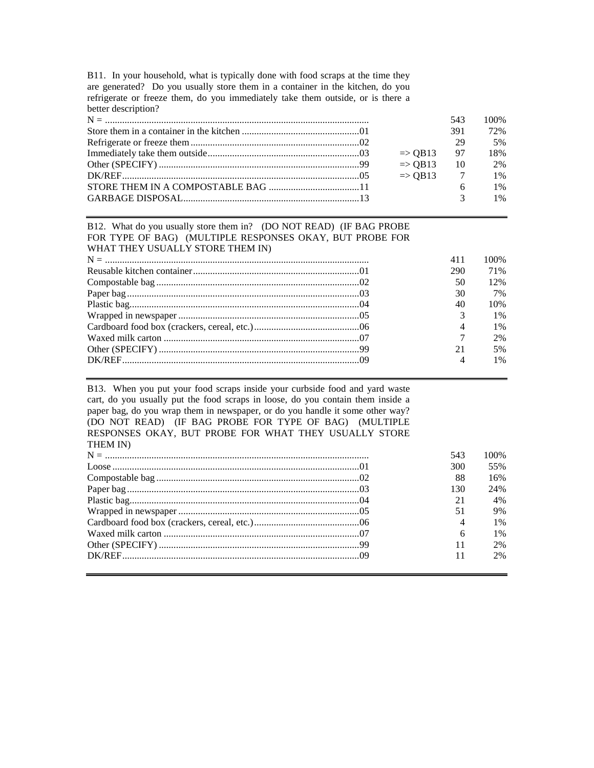| B11. In your household, what is typically done with food scraps at the time they |
|----------------------------------------------------------------------------------|
| are generated? Do you usually store them in a container in the kitchen, do you   |
| refrigerate or freeze them, do you immediately take them outside, or is there a  |
| better description?                                                              |

|  |                       | 543            | 100% |
|--|-----------------------|----------------|------|
|  |                       | 391            | 72%  |
|  |                       | 29             | .5%  |
|  | $\Rightarrow$ QB13 97 |                | 18%  |
|  | $\Rightarrow$ OB13    | $\frac{10}{2}$ | 2%   |
|  | $\Rightarrow$ QB13 7  |                | 1%   |
|  |                       | 6              | 1%   |
|  |                       |                | 1%   |
|  |                       |                |      |

#### B12. What do you usually store them in? (DO NOT READ) (IF BAG PROBE FOR TYPE OF BAG) (MULTIPLE RESPONSES OKAY, BUT PROBE FOR WHAT THEY USUALLY STORE THEM IN)

|  | 411                      | 100\% |
|--|--------------------------|-------|
|  | 290                      | 71%   |
|  | 50                       | 12%   |
|  | 30                       | 7%    |
|  | 40                       | 10%   |
|  |                          | $1\%$ |
|  | 4                        | 1%    |
|  | 7                        | 2%    |
|  | 21                       | 5%    |
|  | $\overline{\mathcal{A}}$ | $1\%$ |

B13. When you put your food scraps inside your curbside food and yard waste cart, do you usually put the food scraps in loose, do you contain them inside a paper bag, do you wrap them in newspaper, or do you handle it some other way? (DO NOT READ) (IF BAG PROBE FOR TYPE OF BAG) (MULTIPLE RESPONSES OKAY, BUT PROBE FOR WHAT THEY USUALLY STORE THEM IN)

|  | 543            | 100%  |
|--|----------------|-------|
|  | 300            | 55%   |
|  | 88             | 16%   |
|  | 130            | 24%   |
|  | 21             | 4%    |
|  | 51             | 9%    |
|  | $\overline{4}$ | $1\%$ |
|  | 6              | $1\%$ |
|  | 11             | 2%    |
|  | 11             | 2%    |
|  |                |       |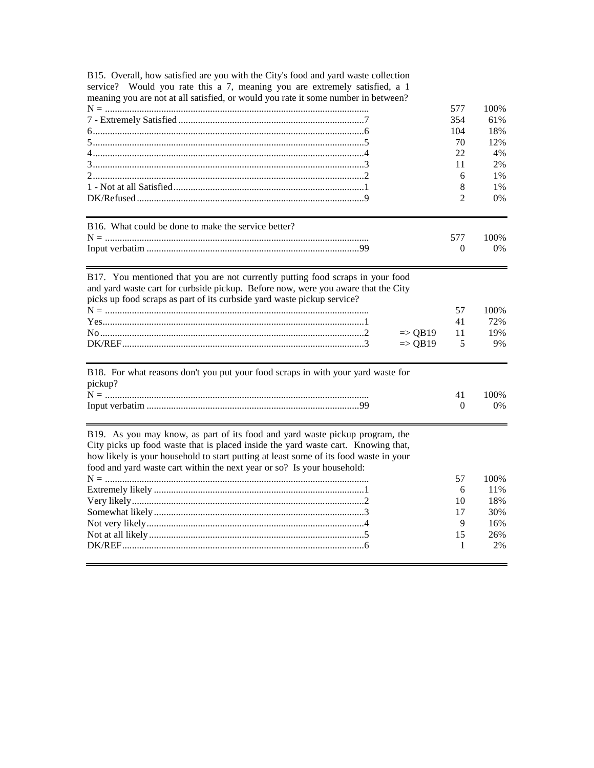| B15. Overall, how satisfied are you with the City's food and yard waste collection |  |
|------------------------------------------------------------------------------------|--|
| service? Would you rate this a 7, meaning you are extremely satisfied, a 1         |  |
| meaning you are not at all satisfied, or would you rate it some number in between? |  |

|     | በ%    |
|-----|-------|
| 354 | 61%   |
| 104 | 18%   |
|     | 12%   |
|     | 4%    |
|     | 2%    |
|     | $1\%$ |
|     | 1%    |
|     | $2\%$ |
|     |       |

| B16. What could be done to make the service better? |     |       |
|-----------------------------------------------------|-----|-------|
|                                                     | 577 | 100%  |
|                                                     |     | $0\%$ |

| B17. You mentioned that you are not currently putting food scraps in your food    |    |       |
|-----------------------------------------------------------------------------------|----|-------|
| and yard waste cart for curbside pickup. Before now, were you aware that the City |    |       |
| picks up food scraps as part of its curbside yard waste pickup service?           |    |       |
|                                                                                   | 57 | 100\% |
|                                                                                   | 41 | 72%   |
| $\Rightarrow$ OB19 11                                                             |    | 19%   |
| $\Rightarrow$ OB19 5                                                              |    | 9%    |

41

 $\mathbf{0}$ 

100%

 $0\%$ 

| B18. For what reasons don't you put your food scraps in with your yard waste for |  |
|----------------------------------------------------------------------------------|--|
| pickup?                                                                          |  |
|                                                                                  |  |
|                                                                                  |  |

B19. As you may know, as part of its food and yard waste pickup program, the City picks up food waste that is placed inside the yard waste cart. Knowing that, how likely is your household to start putting at least some of its food waste in your food and vard waste cart within the next year or so? Is your household:

| food and vard waste cart within the next year or so? Is your household: |
|-------------------------------------------------------------------------|
|                                                                         |

|  |    | 57 100\% |
|--|----|----------|
|  |    | 6 $11\%$ |
|  |    | 18%      |
|  | 17 | 30%      |
|  |    | 16%      |
|  | 15 | 26%      |
|  |    | 2%       |
|  |    |          |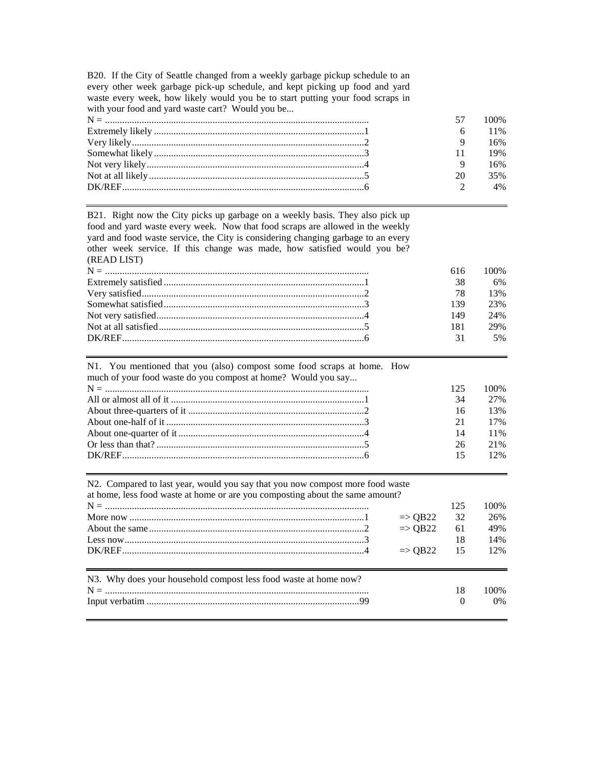B20. If the City of Seattle changed from a weekly garbage pickup schedule to an every other week garbage pick-up schedule, and kept picking up food and yard waste every week, how likely would you be to start putting your food scraps in with your food and yard waste cart? Would you be...

|  |    | 57 100\% |
|--|----|----------|
|  |    | 6 11%    |
|  |    | 16%      |
|  |    | 19%      |
|  |    | 16%      |
|  | 20 | 35%      |
|  |    | 4%       |
|  |    |          |

B21. Right now the City picks up garbage on a weekly basis. They also pick up food and yard waste every week. Now that food scraps are allowed in the weekly yard and food waste service, the City is considering changing garbage to an every other week service. If this change was made, how satisfied would you be? (READ LIST)

|  | 616 — | 100% |
|--|-------|------|
|  | 38    | 6%   |
|  | 78    | 13%  |
|  | 139   | 23%  |
|  | 149   | 24%  |
|  | 181   | 29%  |
|  | 31    | 5%   |
|  |       |      |

| N1. You mentioned that you (also) compost some food scraps at home. How |     |      |
|-------------------------------------------------------------------------|-----|------|
| much of your food waste do you compost at home? Would you say           |     |      |
|                                                                         | 125 | 100% |
|                                                                         | 34  | 2.7% |
|                                                                         | 16  | 13%  |
|                                                                         | 21  | 17%  |
|                                                                         | 14  | 11%  |
|                                                                         | 26  | 21%  |
|                                                                         | 15  | 12%  |
|                                                                         |     |      |

|  |  |  |  |  |  | N2. Compared to last year, would you say that you now compost more food waste |
|--|--|--|--|--|--|-------------------------------------------------------------------------------|
|--|--|--|--|--|--|-------------------------------------------------------------------------------|

| at home, less food waste at home or are you composting about the same amount? |                       |     |       |  |  |
|-------------------------------------------------------------------------------|-----------------------|-----|-------|--|--|
| 125                                                                           |                       |     |       |  |  |
|                                                                               | $\Rightarrow$ QB22    | -32 | 26%   |  |  |
|                                                                               | $\Rightarrow$ OB22    | -61 | 49%   |  |  |
|                                                                               |                       | 18  | 14%   |  |  |
|                                                                               | $\Rightarrow$ OB22 15 |     | 12%   |  |  |
|                                                                               |                       |     |       |  |  |
| N3. Why does your household compost less food waste at home now?              |                       |     |       |  |  |
|                                                                               |                       | 18  | 100\% |  |  |
|                                                                               |                       |     | $0\%$ |  |  |
|                                                                               |                       |     |       |  |  |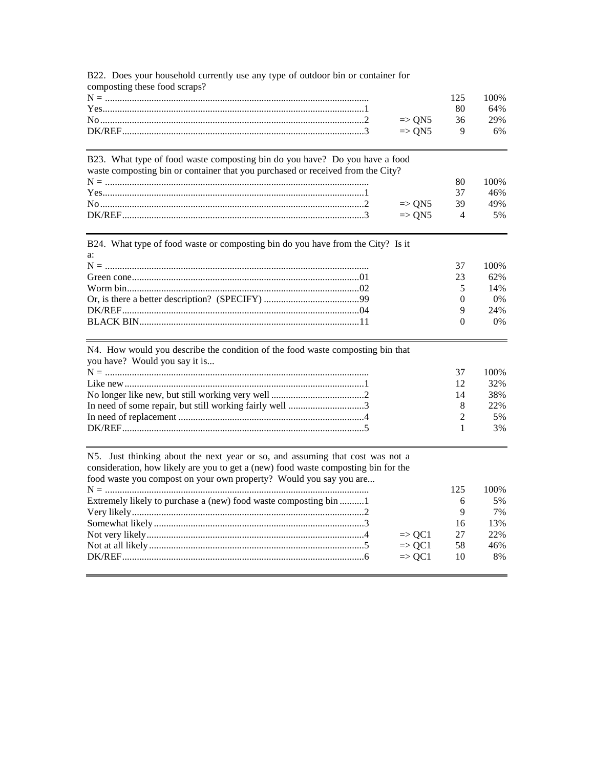| composting these food scraps?                                                                                                                                  |                |       |
|----------------------------------------------------------------------------------------------------------------------------------------------------------------|----------------|-------|
|                                                                                                                                                                | 125            | 100%  |
|                                                                                                                                                                | 80             | 64%   |
| $\Rightarrow$ QN5                                                                                                                                              | 36             | 29%   |
| $\Rightarrow$ QN5                                                                                                                                              | 9              | 6%    |
|                                                                                                                                                                |                |       |
| B23. What type of food waste composting bin do you have? Do you have a food<br>waste composting bin or container that you purchased or received from the City? |                |       |
|                                                                                                                                                                | 80             | 100%  |
|                                                                                                                                                                | 37             | 46%   |
| $\Rightarrow$ QN5                                                                                                                                              | 39             | 49%   |
| $\Rightarrow$ QN5                                                                                                                                              | 4              | 5%    |
|                                                                                                                                                                |                |       |
| B24. What type of food waste or composting bin do you have from the City? Is it                                                                                |                |       |
| a:                                                                                                                                                             | 37             | 100%  |
|                                                                                                                                                                | 23             | 62%   |
|                                                                                                                                                                |                |       |
|                                                                                                                                                                | 5              | 14%   |
|                                                                                                                                                                | $\theta$       | 0%    |
|                                                                                                                                                                | 9              | 24%   |
|                                                                                                                                                                | $\overline{0}$ | $0\%$ |
| N4. How would you describe the condition of the food waste composting bin that<br>you have? Would you say it is                                                |                |       |
|                                                                                                                                                                | 37             | 100%  |
|                                                                                                                                                                | 12             | 32%   |
|                                                                                                                                                                | 14             | 38%   |
|                                                                                                                                                                | 8              | 22%   |
|                                                                                                                                                                | 2              | 5%    |
|                                                                                                                                                                | $\mathbf{1}$   | 3%    |
| N5. Just thinking about the next year or so, and assuming that cost was not a                                                                                  |                |       |
| consideration, how likely are you to get a (new) food waste composting bin for the                                                                             |                |       |
| food waste you compost on your own property? Would you say you are                                                                                             |                |       |
|                                                                                                                                                                | 125            | 100%  |
| Extremely likely to purchase a (new) food waste composting bin 1                                                                                               | 6              | 5%    |
|                                                                                                                                                                | 9              | 7%    |
|                                                                                                                                                                | 16             | 13%   |
| $\Rightarrow$ QC1                                                                                                                                              | 27             | 22%   |
| $\Rightarrow$ QC1                                                                                                                                              | 58             | 46%   |
| $\Rightarrow$ QC1                                                                                                                                              | 10             | 8%    |
|                                                                                                                                                                |                |       |

B22. Does your household currently use any type of outdoor bin or container for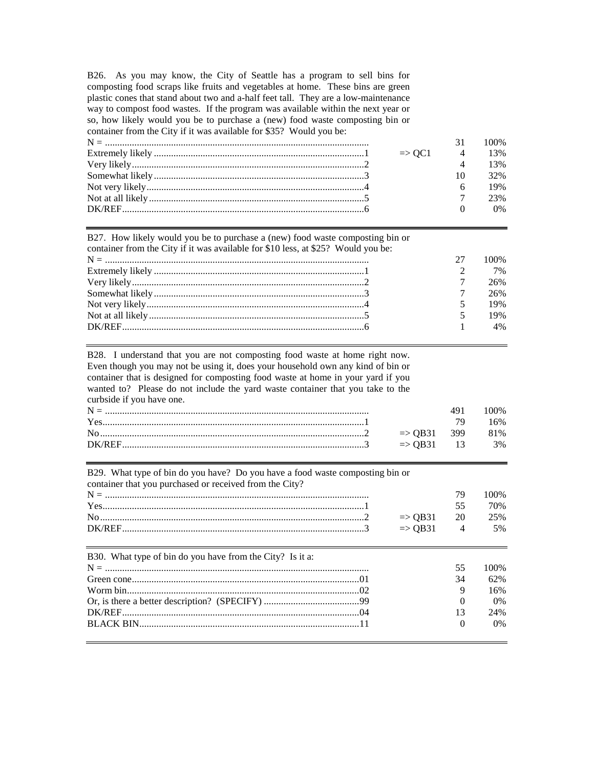B26. As you may know, the City of Seattle has a program to sell bins for composting food scraps like fruits and vegetables at home. These bins are green plastic cones that stand about two and a-half feet tall. They are a low-maintenance way to compost food wastes. If the program was available within the next year or so, how likely would you be to purchase a (new) food waste composting bin or container from the City if it was available for \$35? Would you be:

|  |                         | 100% |
|--|-------------------------|------|
|  | $\Rightarrow$ OC1 4 13% |      |
|  |                         | 13%  |
|  |                         | 32%  |
|  |                         | 19%  |
|  |                         | 23%  |
|  |                         | 0%   |
|  |                         |      |

| B27. How likely would you be to purchase a (new) food waste composting bin or     |    |      |
|-----------------------------------------------------------------------------------|----|------|
| container from the City if it was available for \$10 less, at \$25? Would you be: |    |      |
|                                                                                   | 27 | 100% |
|                                                                                   |    | 7%   |
|                                                                                   |    | 26%  |
|                                                                                   |    | 26%  |
|                                                                                   |    | 19%  |
|                                                                                   |    | 19%  |
|                                                                                   |    | 4%   |

B28. I understand that you are not composting food waste at home right now. Even though you may not be using it, does your household own any kind of bin or container that is designed for composting food waste at home in your yard if you wanted to? Please do not include the yard waste container that you take to the curbside if you have one.<br> $N -$ 

|  | 100% |
|--|------|
|  | 16%  |
|  |      |
|  |      |

| B29. What type of bin do you have? Do you have a food waste composting bin or<br>container that you purchased or received from the City? |  |                    |                |       |  |
|------------------------------------------------------------------------------------------------------------------------------------------|--|--------------------|----------------|-------|--|
|                                                                                                                                          |  |                    | 79             | 100\% |  |
|                                                                                                                                          |  |                    | 55             | 70%   |  |
|                                                                                                                                          |  | $\Rightarrow$ QB31 | 20             | 25%   |  |
|                                                                                                                                          |  | $\Rightarrow$ QB31 | $\overline{4}$ | 5%    |  |
| B30. What type of bin do you have from the City? Is it a:                                                                                |  |                    |                |       |  |
|                                                                                                                                          |  |                    | 55             | 100%  |  |
|                                                                                                                                          |  |                    | 34             | 62%   |  |
|                                                                                                                                          |  |                    | 9              | 16%   |  |
|                                                                                                                                          |  |                    | 0              | $0\%$ |  |
|                                                                                                                                          |  |                    | 13             | 24%   |  |

BLACK BIN..........................................................................................11 0 0%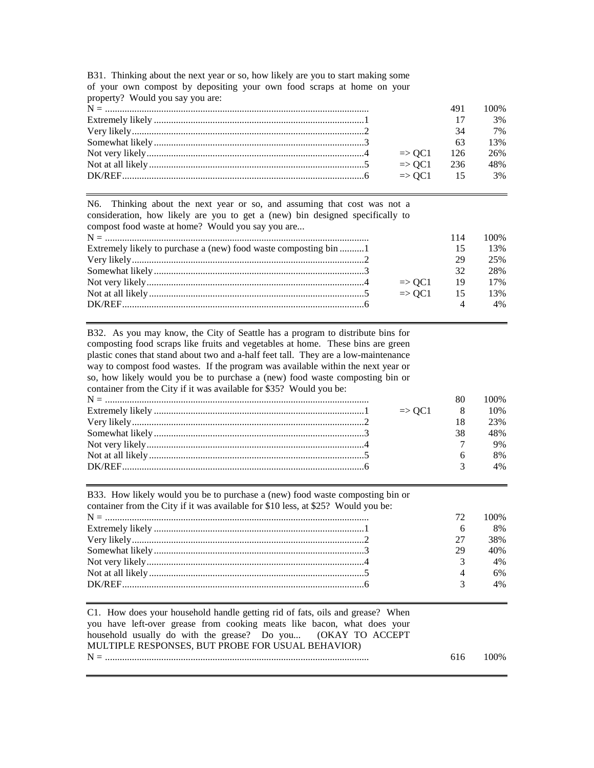| property? Would you say you are: |                       |     |      |
|----------------------------------|-----------------------|-----|------|
|                                  |                       | 491 | 100% |
|                                  |                       | 17  | 3%   |
|                                  |                       | 34  | 7%   |
|                                  |                       | 63  | 13%  |
|                                  | $\Rightarrow$ OC1     | 126 | 26%  |
|                                  | $\Rightarrow$ OC1 236 |     | 48%  |
|                                  | $\Rightarrow$ OC1 15  |     | 3%   |
|                                  |                       |     |      |

B31. Thinking about the next year or so, how likely are you to start making some of your own compost by depositing your own food scraps at home on your property? Would you say you are:

N6. Thinking about the next year or so, and assuming that cost was not a consideration, how likely are you to get a (new) bin designed specifically to compost food waste at home? Would you say you are...

|                                                                  |                   | 114  | 100\% |
|------------------------------------------------------------------|-------------------|------|-------|
| Extremely likely to purchase a (new) food waste composting bin 1 |                   | 15   | 13%   |
|                                                                  |                   | 29   | 25%   |
|                                                                  |                   | 32   | 28%   |
|                                                                  | $\Rightarrow$ OC1 | - 19 | 17%   |
|                                                                  | $\Rightarrow$ OC1 | 15   | 13%   |
|                                                                  |                   |      | 4%    |

B32. As you may know, the City of Seattle has a program to distribute bins for composting food scraps like fruits and vegetables at home. These bins are green plastic cones that stand about two and a-half feet tall. They are a low-maintenance way to compost food wastes. If the program was available within the next year or so, how likely would you be to purchase a (new) food waste composting bin or container from the City if it was available for \$35? Would you be:

|  |                     |    | $00\%$ |
|--|---------------------|----|--------|
|  | $\Rightarrow$ OC1 8 |    | 10%    |
|  |                     |    | 23%    |
|  |                     | 38 | 48%    |
|  |                     |    | 9%     |
|  |                     |    | 8%     |
|  |                     |    | 4%     |
|  |                     |    |        |

| B33. How likely would you be to purchase a (new) food waste composting bin or<br>container from the City if it was available for \$10 less, at \$25? Would you be: |                |      |
|--------------------------------------------------------------------------------------------------------------------------------------------------------------------|----------------|------|
|                                                                                                                                                                    | 72             | 100% |
|                                                                                                                                                                    | 6              | 8%   |
|                                                                                                                                                                    | 27             | 38%  |
|                                                                                                                                                                    | 29             | 40%  |
|                                                                                                                                                                    |                | 4%   |
|                                                                                                                                                                    | $\overline{4}$ | 6%   |
|                                                                                                                                                                    | $\mathbf{R}$   | 4%   |
|                                                                                                                                                                    |                |      |

C1. How does your household handle getting rid of fats, oils and grease? When you have left-over grease from cooking meats like bacon, what does your household usually do with the grease? Do you... (OKAY TO ACCEPT MULTIPLE RESPONSES, BUT PROBE FOR USUAL BEHAVIOR) N = ............................................................................................................ 616 100%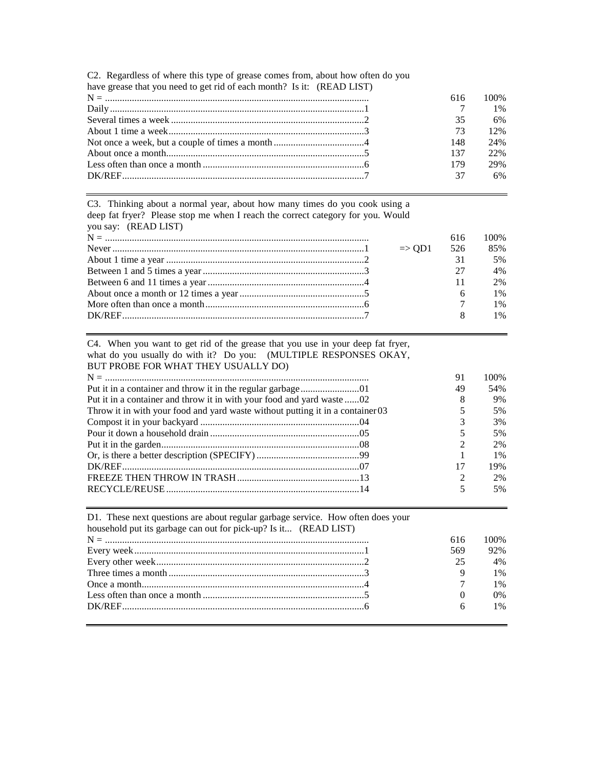C2. Regardless of where this type of grease comes from, about how often do you have grease that you need to get rid of each month? Is it: (READ LIST)

|     | $616$ $100\%$ |
|-----|---------------|
|     | 1%            |
| 35  | 6%            |
| 73  | 12%           |
| 148 | 24%           |
| 137 | 22%           |
| 179 | 29%           |
|     | 6%            |

C3. Thinking about a normal year, about how many times do you cook using a deep fat fryer? Please stop me when I reach the correct category for you. Would

| you say: (READ LIST) |                   |     |       |
|----------------------|-------------------|-----|-------|
|                      |                   | 616 | 100%  |
|                      | $\Rightarrow$ OD1 | 526 | 85%   |
|                      |                   | 31  | 5%    |
|                      |                   | 27  | 4%    |
|                      |                   | 11  | 2%    |
|                      |                   |     | 1%    |
|                      |                   |     | $1\%$ |
|                      |                   |     | $1\%$ |
|                      |                   |     |       |

C4. When you want to get rid of the grease that you use in your deep fat fryer, what do you usually do with it? Do you: (MULTIPLE RESPONSES OKAY, BUT PROBE FOR WHAT THEY USUALLY DO)

|                                                                                | 91 | 100%  |
|--------------------------------------------------------------------------------|----|-------|
|                                                                                | 49 | 54%   |
| Put it in a container and throw it in with your food and yard waste02          |    | 9%    |
| Throw it in with your food and yard waste without putting it in a container 03 |    | 5%    |
|                                                                                |    | 3%    |
|                                                                                |    | 5%    |
|                                                                                |    | 2%    |
|                                                                                |    | $1\%$ |
|                                                                                | 17 | 19%   |
|                                                                                |    | 2%    |
|                                                                                |    | 5%    |

| D1. These next questions are about regular garbage service. How often does your |     |      |
|---------------------------------------------------------------------------------|-----|------|
| household put its garbage can out for pick-up? Is it (READ LIST)                |     |      |
|                                                                                 | 616 | 100% |
|                                                                                 | 569 | 92%  |
|                                                                                 | 25  | 4%   |
|                                                                                 |     | 1%   |
|                                                                                 |     | 1%   |
|                                                                                 |     | 0%   |
|                                                                                 |     | 1%   |
|                                                                                 |     |      |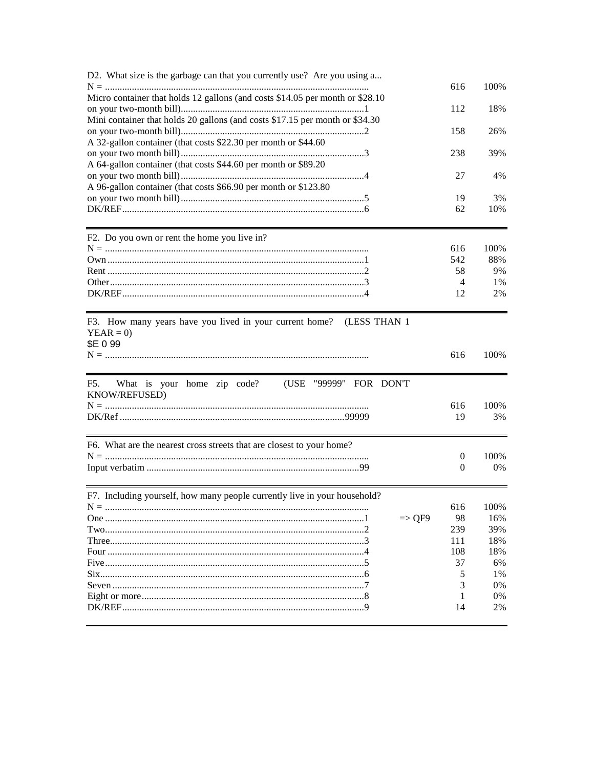| D2. What size is the garbage can that you currently use? Are you using a      | 616              | 100%       |
|-------------------------------------------------------------------------------|------------------|------------|
| Micro container that holds 12 gallons (and costs \$14.05 per month or \$28.10 |                  |            |
|                                                                               | 112              | 18%        |
| Mini container that holds 20 gallons (and costs \$17.15 per month or \$34.30  |                  |            |
|                                                                               | 158              | 26%        |
| A 32-gallon container (that costs \$22.30 per month or \$44.60                |                  |            |
|                                                                               | 238              | 39%        |
| A 64-gallon container (that costs \$44.60 per month or \$89.20                |                  |            |
|                                                                               | 27               | 4%         |
| A 96-gallon container (that costs \$66.90 per month or \$123.80               |                  |            |
|                                                                               | 19               | 3%         |
|                                                                               | 62               | 10%        |
|                                                                               |                  |            |
| F2. Do you own or rent the home you live in?                                  |                  |            |
|                                                                               | 616              | 100%       |
|                                                                               | 542              | 88%        |
|                                                                               | 58               | 9%         |
|                                                                               | 4                | 1%         |
|                                                                               | 12               | 2%         |
|                                                                               |                  |            |
| F3. How many years have you lived in your current home? (LESS THAN 1          |                  |            |
| $YEAR = 0$                                                                    |                  |            |
|                                                                               |                  |            |
| \$E 0 99                                                                      |                  |            |
|                                                                               | 616              | 100%       |
|                                                                               |                  |            |
| What is your home zip code?<br>(USE "99999" FOR DON'T<br>F5.                  |                  |            |
| KNOW/REFUSED)                                                                 |                  |            |
|                                                                               | 616<br>19        | 100%<br>3% |
|                                                                               |                  |            |
| F6. What are the nearest cross streets that are closest to your home?         |                  |            |
|                                                                               | $\boldsymbol{0}$ | 100%       |
|                                                                               | 0                | 0%         |
|                                                                               |                  |            |
| F7. Including yourself, how many people currently live in your household?     |                  | 100%       |
|                                                                               | 616              |            |
| $\Rightarrow$ QF9                                                             | 98               | 16%        |
|                                                                               | 239              | 39%        |
|                                                                               | 111              | 18%        |
|                                                                               | 108              | 18%        |
|                                                                               | 37               | 6%         |
|                                                                               | 5                | 1%         |
|                                                                               | 3                | 0%         |
|                                                                               | 14               | 0%<br>2%   |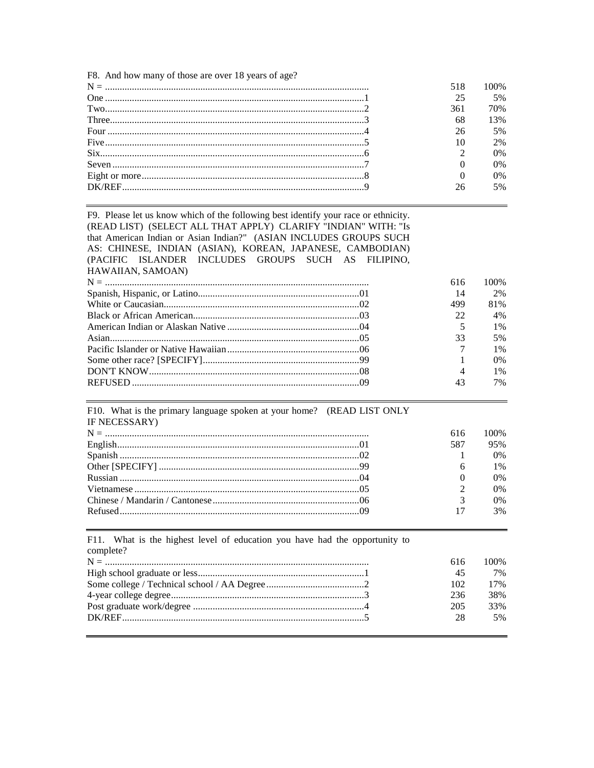F8. And how many of those are over 18 years of age?

|  | 518 | 100% |
|--|-----|------|
|  |     | 5%   |
|  | 361 | 70%  |
|  | 68  | 13%  |
|  | 26  | 5%   |
|  | 10  | 2%   |
|  |     | 0%   |
|  |     | 0%   |
|  |     | 0%   |
|  | 26  | 5%   |
|  |     |      |

F9. Please let us know which of the following best identify your race or ethnicity. (READ LIST) (SELECT ALL THAT APPLY) CLARIFY "INDIAN" WITH: "Is that American Indian or Asian Indian?" (ASIAN INCLUDES GROUPS SUCH AS: CHINESE, INDIAN (ASIAN), KOREAN, JAPANESE, CAMBODIAN) (PACIFIC ISLANDER INCLUDES GROUPS SUCH AS FILIPINO, HAWAIIAN, SAMOAN)

|            | 616                      | 100\% |
|------------|--------------------------|-------|
|            | 14                       | 2%    |
|            | 499                      | 81%   |
|            | $22^{\circ}$             | 4%    |
|            | $\overline{5}$           | $1\%$ |
|            | 33                       | 5%    |
|            |                          | $1\%$ |
|            |                          | $0\%$ |
| DON'T KNOW | $\overline{\mathcal{A}}$ | $1\%$ |
|            | 43                       | 7%    |
|            |                          |       |

F10. What is the primary language spoken at your home? (READ LIST ONLY IF NECESSARY)

| 616 | 100%  |
|-----|-------|
| 587 | 95%   |
|     | $0\%$ |
|     | $1\%$ |
|     | $0\%$ |
|     | $0\%$ |
|     | 0%    |
| 17  | 3%    |

| complete? | 616 | 100% |
|-----------|-----|------|
|           | 45  | 7%   |
|           | 102 | 17%  |
|           | 236 | 38%  |
|           | 205 | 33%  |
|           | 28  | 5%   |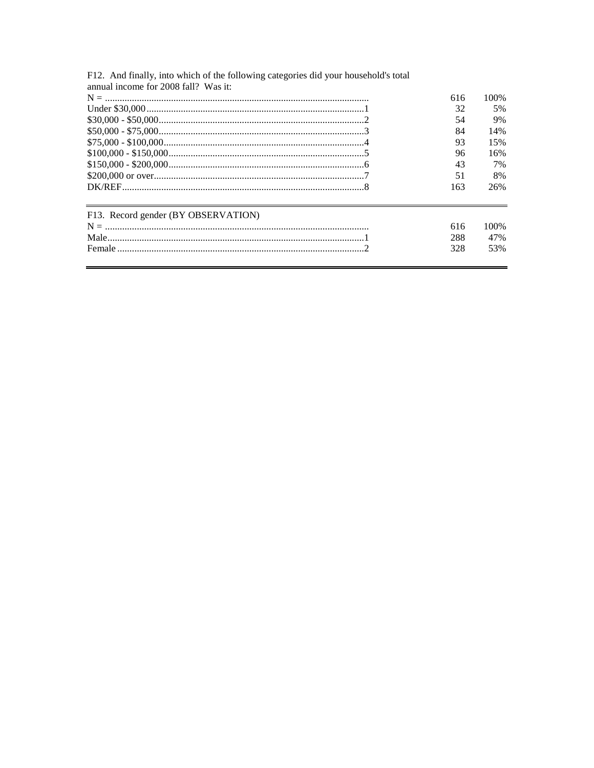| F12. And finally, into which of the following categories did your household's total |     |       |
|-------------------------------------------------------------------------------------|-----|-------|
| annual income for 2008 fall? Was it:                                                |     |       |
|                                                                                     | 616 | 100\% |
|                                                                                     | 32  | 5%    |
|                                                                                     | 54  | 9%    |
|                                                                                     | 84  | 14%   |
|                                                                                     | 93  | 15%   |
|                                                                                     | 96  | 16%   |
|                                                                                     | 43  | 7%    |
|                                                                                     | 51  | 8%    |
|                                                                                     | 163 | 26%   |
| F13. Record gender (BY OBSERVATION)                                                 |     |       |
|                                                                                     | 616 | 100\% |
|                                                                                     | 288 | 47%   |
|                                                                                     | 328 | 53%   |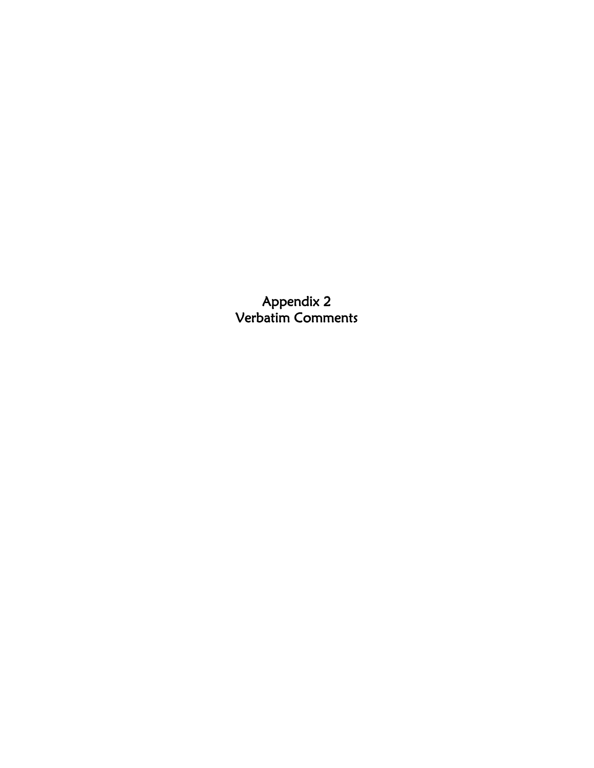Appendix 2 Verbatim Comments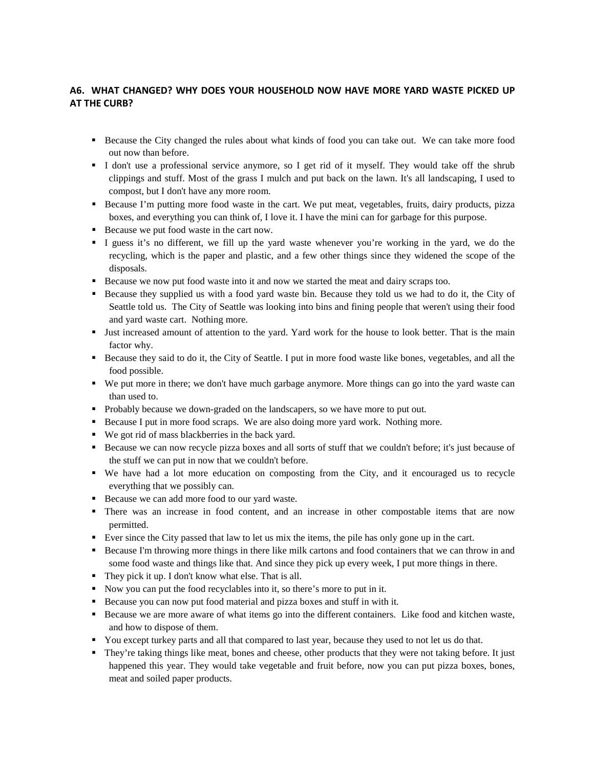# **A6. WHAT CHANGED? WHY DOES YOUR HOUSEHOLD NOW HAVE MORE YARD WASTE PICKED UP AT THE CURB?**

- Because the City changed the rules about what kinds of food you can take out. We can take more food out now than before.
- I don't use a professional service anymore, so I get rid of it myself. They would take off the shrub clippings and stuff. Most of the grass I mulch and put back on the lawn. It's all landscaping, I used to compost, but I don't have any more room.
- Because I'm putting more food waste in the cart. We put meat, vegetables, fruits, dairy products, pizza boxes, and everything you can think of, I love it. I have the mini can for garbage for this purpose.
- Because we put food waste in the cart now.
- I guess it's no different, we fill up the yard waste whenever you're working in the yard, we do the recycling, which is the paper and plastic, and a few other things since they widened the scope of the disposals.
- Because we now put food waste into it and now we started the meat and dairy scraps too.
- Because they supplied us with a food yard waste bin. Because they told us we had to do it, the City of Seattle told us. The City of Seattle was looking into bins and fining people that weren't using their food and yard waste cart. Nothing more.
- Just increased amount of attention to the yard. Yard work for the house to look better. That is the main factor why.
- Because they said to do it, the City of Seattle. I put in more food waste like bones, vegetables, and all the food possible.
- We put more in there; we don't have much garbage anymore. More things can go into the yard waste can than used to.
- Probably because we down-graded on the landscapers, so we have more to put out.
- Because I put in more food scraps. We are also doing more yard work. Nothing more.
- We got rid of mass blackberries in the back yard.
- Because we can now recycle pizza boxes and all sorts of stuff that we couldn't before; it's just because of the stuff we can put in now that we couldn't before.
- We have had a lot more education on composting from the City, and it encouraged us to recycle everything that we possibly can.
- Because we can add more food to our yard waste.
- There was an increase in food content, and an increase in other compostable items that are now permitted.
- Ever since the City passed that law to let us mix the items, the pile has only gone up in the cart.
- Because I'm throwing more things in there like milk cartons and food containers that we can throw in and some food waste and things like that. And since they pick up every week, I put more things in there.
- They pick it up. I don't know what else. That is all.
- Now you can put the food recyclables into it, so there's more to put in it.
- Because you can now put food material and pizza boxes and stuff in with it.
- Because we are more aware of what items go into the different containers. Like food and kitchen waste, and how to dispose of them.
- You except turkey parts and all that compared to last year, because they used to not let us do that.
- They're taking things like meat, bones and cheese, other products that they were not taking before. It just happened this year. They would take vegetable and fruit before, now you can put pizza boxes, bones, meat and soiled paper products.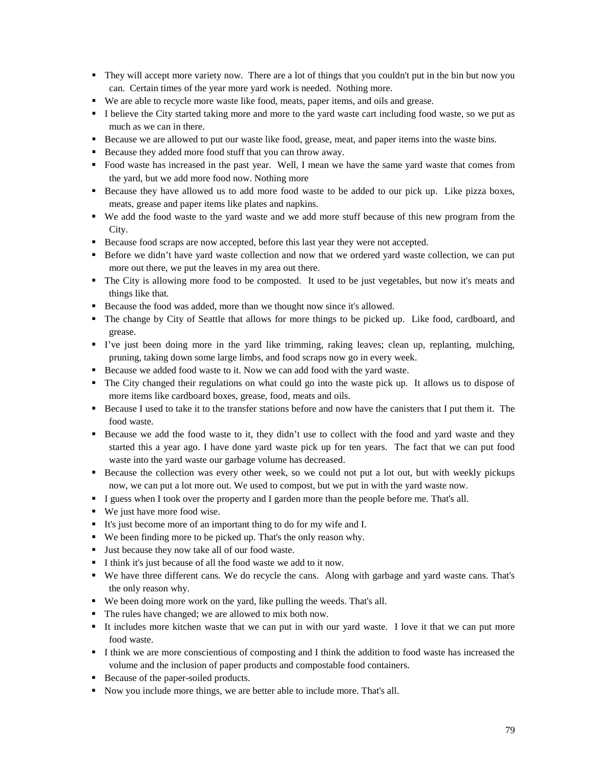- They will accept more variety now. There are a lot of things that you couldn't put in the bin but now you can. Certain times of the year more yard work is needed. Nothing more.
- We are able to recycle more waste like food, meats, paper items, and oils and grease.
- I believe the City started taking more and more to the yard waste cart including food waste, so we put as much as we can in there.
- Because we are allowed to put our waste like food, grease, meat, and paper items into the waste bins.
- Because they added more food stuff that you can throw away.
- Food waste has increased in the past year. Well, I mean we have the same yard waste that comes from the yard, but we add more food now. Nothing more
- Because they have allowed us to add more food waste to be added to our pick up. Like pizza boxes, meats, grease and paper items like plates and napkins.
- We add the food waste to the yard waste and we add more stuff because of this new program from the City.
- Because food scraps are now accepted, before this last year they were not accepted.
- Before we didn't have yard waste collection and now that we ordered yard waste collection, we can put more out there, we put the leaves in my area out there.
- The City is allowing more food to be composted. It used to be just vegetables, but now it's meats and things like that.
- Because the food was added, more than we thought now since it's allowed.
- The change by City of Seattle that allows for more things to be picked up. Like food, cardboard, and grease.
- I've just been doing more in the yard like trimming, raking leaves; clean up, replanting, mulching, pruning, taking down some large limbs, and food scraps now go in every week.
- Because we added food waste to it. Now we can add food with the yard waste.
- The City changed their regulations on what could go into the waste pick up. It allows us to dispose of more items like cardboard boxes, grease, food, meats and oils.
- Because I used to take it to the transfer stations before and now have the canisters that I put them it. The food waste.
- Because we add the food waste to it, they didn't use to collect with the food and yard waste and they started this a year ago. I have done yard waste pick up for ten years. The fact that we can put food waste into the yard waste our garbage volume has decreased.
- Because the collection was every other week, so we could not put a lot out, but with weekly pickups now, we can put a lot more out. We used to compost, but we put in with the yard waste now.
- I guess when I took over the property and I garden more than the people before me. That's all.
- We just have more food wise.
- It's just become more of an important thing to do for my wife and I.
- We been finding more to be picked up. That's the only reason why.
- Just because they now take all of our food waste.
- I think it's just because of all the food waste we add to it now.
- We have three different cans. We do recycle the cans. Along with garbage and yard waste cans. That's the only reason why.
- We been doing more work on the yard, like pulling the weeds. That's all.
- The rules have changed; we are allowed to mix both now.
- It includes more kitchen waste that we can put in with our yard waste. I love it that we can put more food waste.
- I think we are more conscientious of composting and I think the addition to food waste has increased the volume and the inclusion of paper products and compostable food containers.
- Because of the paper-soiled products.
- Now you include more things, we are better able to include more. That's all.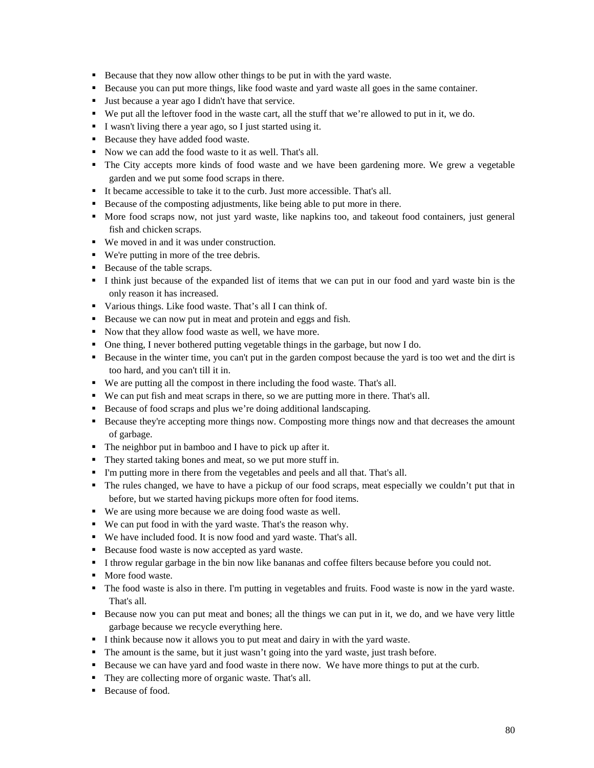- Because that they now allow other things to be put in with the yard waste.
- Because you can put more things, like food waste and yard waste all goes in the same container.
- Just because a year ago I didn't have that service.
- We put all the leftover food in the waste cart, all the stuff that we're allowed to put in it, we do.
- I wasn't living there a year ago, so I just started using it.
- Because they have added food waste.
- Now we can add the food waste to it as well. That's all.
- The City accepts more kinds of food waste and we have been gardening more. We grew a vegetable garden and we put some food scraps in there.
- It became accessible to take it to the curb. Just more accessible. That's all.
- Because of the composting adjustments, like being able to put more in there.
- More food scraps now, not just yard waste, like napkins too, and takeout food containers, just general fish and chicken scraps.
- We moved in and it was under construction.
- We're putting in more of the tree debris.
- Because of the table scraps.
- I think just because of the expanded list of items that we can put in our food and yard waste bin is the only reason it has increased.
- Various things. Like food waste. That's all I can think of.
- Because we can now put in meat and protein and eggs and fish.
- Now that they allow food waste as well, we have more.
- One thing, I never bothered putting vegetable things in the garbage, but now I do.
- Because in the winter time, you can't put in the garden compost because the yard is too wet and the dirt is too hard, and you can't till it in.
- We are putting all the compost in there including the food waste. That's all.
- We can put fish and meat scraps in there, so we are putting more in there. That's all.
- Because of food scraps and plus we're doing additional landscaping.
- Because they're accepting more things now. Composting more things now and that decreases the amount of garbage.
- The neighbor put in bamboo and I have to pick up after it.
- They started taking bones and meat, so we put more stuff in.
- I'm putting more in there from the vegetables and peels and all that. That's all.
- The rules changed, we have to have a pickup of our food scraps, meat especially we couldn't put that in before, but we started having pickups more often for food items.
- We are using more because we are doing food waste as well.
- We can put food in with the yard waste. That's the reason why.
- We have included food. It is now food and yard waste. That's all.
- Because food waste is now accepted as yard waste.
- I throw regular garbage in the bin now like bananas and coffee filters because before you could not.
- More food waste.
- The food waste is also in there. I'm putting in vegetables and fruits. Food waste is now in the yard waste. That's all.
- Because now you can put meat and bones; all the things we can put in it, we do, and we have very little garbage because we recycle everything here.
- I think because now it allows you to put meat and dairy in with the yard waste.
- The amount is the same, but it just wasn't going into the yard waste, just trash before.
- Because we can have yard and food waste in there now. We have more things to put at the curb.
- They are collecting more of organic waste. That's all.
- Because of food.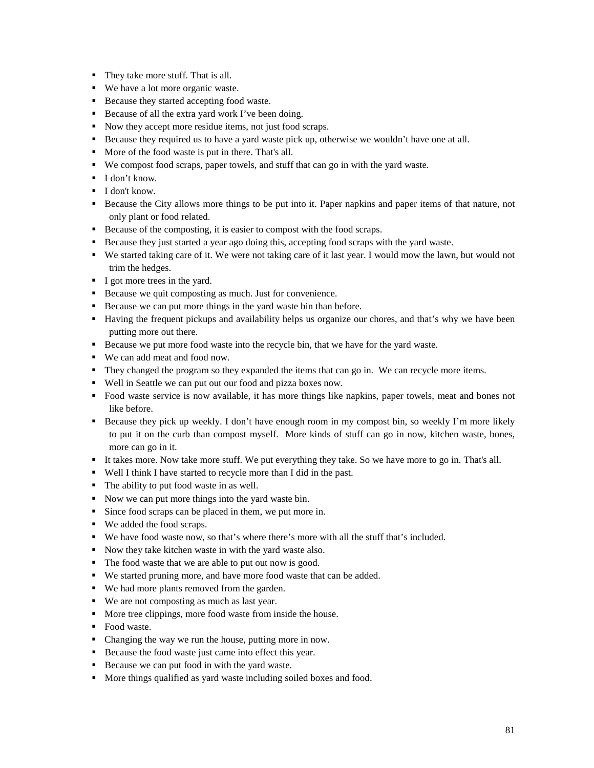- They take more stuff. That is all.
- We have a lot more organic waste.
- Because they started accepting food waste.
- Because of all the extra yard work I've been doing.
- Now they accept more residue items, not just food scraps.
- Because they required us to have a yard waste pick up, otherwise we wouldn't have one at all.
- More of the food waste is put in there. That's all.
- We compost food scraps, paper towels, and stuff that can go in with the yard waste.
- I don't know.
- **I** don't know.
- Because the City allows more things to be put into it. Paper napkins and paper items of that nature, not only plant or food related.
- Because of the composting, it is easier to compost with the food scraps.
- Because they just started a year ago doing this, accepting food scraps with the yard waste.
- We started taking care of it. We were not taking care of it last year. I would mow the lawn, but would not trim the hedges.
- I got more trees in the yard.
- Because we quit composting as much. Just for convenience.
- Because we can put more things in the yard waste bin than before.
- Having the frequent pickups and availability helps us organize our chores, and that's why we have been putting more out there.
- Because we put more food waste into the recycle bin, that we have for the yard waste.
- We can add meat and food now.
- They changed the program so they expanded the items that can go in. We can recycle more items.
- Well in Seattle we can put out our food and pizza boxes now.
- Food waste service is now available, it has more things like napkins, paper towels, meat and bones not like before.
- Because they pick up weekly. I don't have enough room in my compost bin, so weekly I'm more likely to put it on the curb than compost myself. More kinds of stuff can go in now, kitchen waste, bones, more can go in it.
- It takes more. Now take more stuff. We put everything they take. So we have more to go in. That's all.
- Well I think I have started to recycle more than I did in the past.
- The ability to put food waste in as well.
- Now we can put more things into the yard waste bin.
- Since food scraps can be placed in them, we put more in.
- We added the food scraps.
- We have food waste now, so that's where there's more with all the stuff that's included.
- Now they take kitchen waste in with the yard waste also.
- The food waste that we are able to put out now is good.
- We started pruning more, and have more food waste that can be added.
- We had more plants removed from the garden.
- We are not composting as much as last year.
- More tree clippings, more food waste from inside the house.
- Food waste.
- Changing the way we run the house, putting more in now.
- Because the food waste just came into effect this year.
- Because we can put food in with the yard waste.
- More things qualified as yard waste including soiled boxes and food.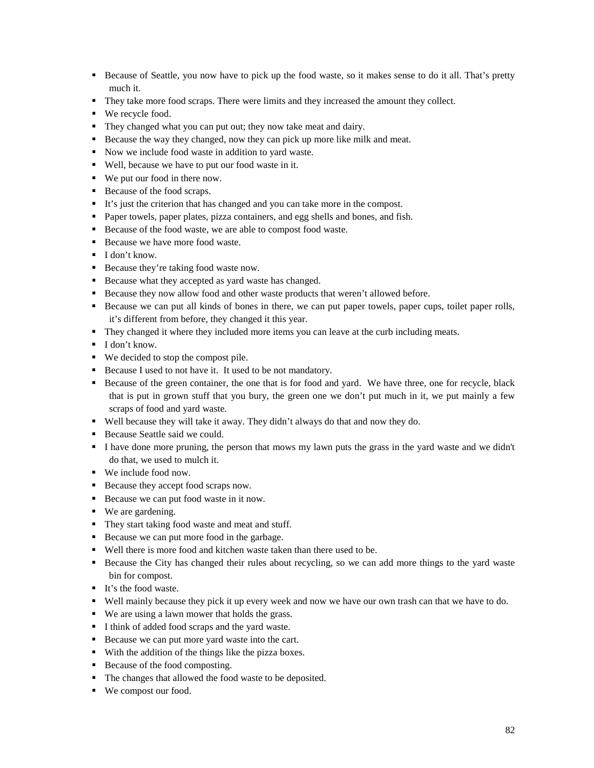- Because of Seattle, you now have to pick up the food waste, so it makes sense to do it all. That's pretty much it.
- They take more food scraps. There were limits and they increased the amount they collect.
- We recycle food.
- They changed what you can put out; they now take meat and dairy.
- Because the way they changed, now they can pick up more like milk and meat.
- Now we include food waste in addition to yard waste.
- Well, because we have to put our food waste in it.
- We put our food in there now.
- Because of the food scraps.
- It's just the criterion that has changed and you can take more in the compost.
- Paper towels, paper plates, pizza containers, and egg shells and bones, and fish.
- Because of the food waste, we are able to compost food waste.
- Because we have more food waste.
- I don't know.
- **Because they're taking food waste now.**
- **Because what they accepted as yard waste has changed.**
- Because they now allow food and other waste products that weren't allowed before.
- Because we can put all kinds of bones in there, we can put paper towels, paper cups, toilet paper rolls, it's different from before, they changed it this year.
- They changed it where they included more items you can leave at the curb including meats.
- $\blacksquare$  I don't know.
- We decided to stop the compost pile.
- Because I used to not have it. It used to be not mandatory.
- Because of the green container, the one that is for food and yard. We have three, one for recycle, black that is put in grown stuff that you bury, the green one we don't put much in it, we put mainly a few scraps of food and yard waste.
- Well because they will take it away. They didn't always do that and now they do.
- Because Seattle said we could.
- I have done more pruning, the person that mows my lawn puts the grass in the yard waste and we didn't do that, we used to mulch it.
- We include food now.
- Because they accept food scraps now.
- Because we can put food waste in it now.
- We are gardening.
- They start taking food waste and meat and stuff.
- Because we can put more food in the garbage.
- Well there is more food and kitchen waste taken than there used to be.
- Because the City has changed their rules about recycling, so we can add more things to the yard waste bin for compost.
- It's the food waste.
- Well mainly because they pick it up every week and now we have our own trash can that we have to do.
- We are using a lawn mower that holds the grass.
- I think of added food scraps and the yard waste.
- Because we can put more yard waste into the cart.
- With the addition of the things like the pizza boxes.
- Because of the food composting.
- The changes that allowed the food waste to be deposited.
- We compost our food.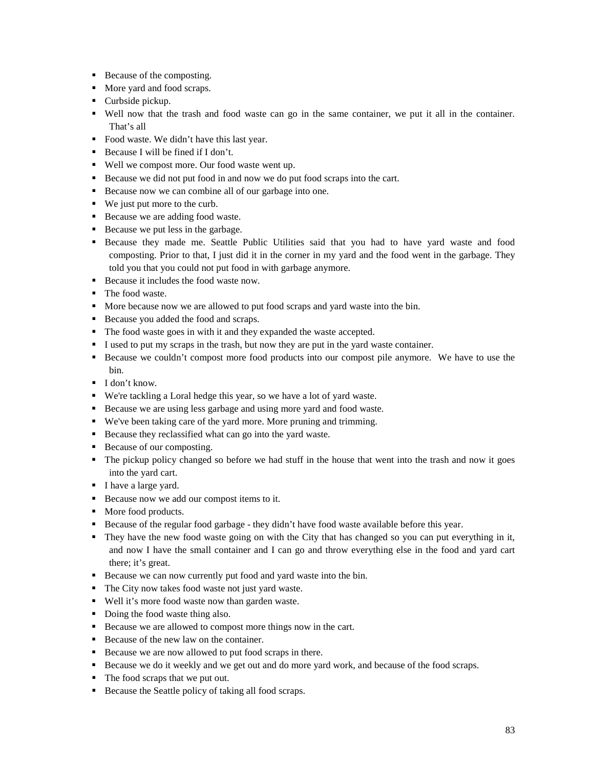- Because of the composting.
- More yard and food scraps.
- Curbside pickup.
- Well now that the trash and food waste can go in the same container, we put it all in the container. That's all
- Food waste. We didn't have this last year.
- Because I will be fined if I don't.
- Well we compost more. Our food waste went up.
- Because we did not put food in and now we do put food scraps into the cart.
- Because now we can combine all of our garbage into one.
- We just put more to the curb.
- Because we are adding food waste.
- Because we put less in the garbage.
- Because they made me. Seattle Public Utilities said that you had to have yard waste and food composting. Prior to that, I just did it in the corner in my yard and the food went in the garbage. They told you that you could not put food in with garbage anymore.
- Because it includes the food waste now.
- The food waste.
- More because now we are allowed to put food scraps and yard waste into the bin.
- Because you added the food and scraps.
- The food waste goes in with it and they expanded the waste accepted.
- I used to put my scraps in the trash, but now they are put in the yard waste container.
- Because we couldn't compost more food products into our compost pile anymore. We have to use the bin.
- I don't know.
- We're tackling a Loral hedge this year, so we have a lot of yard waste.
- Because we are using less garbage and using more yard and food waste.
- We've been taking care of the yard more. More pruning and trimming.
- Because they reclassified what can go into the yard waste.
- Because of our composting.
- The pickup policy changed so before we had stuff in the house that went into the trash and now it goes into the yard cart.
- I have a large yard.
- Because now we add our compost items to it.
- More food products.
- Because of the regular food garbage they didn't have food waste available before this year.
- They have the new food waste going on with the City that has changed so you can put everything in it, and now I have the small container and I can go and throw everything else in the food and yard cart there; it's great.
- Because we can now currently put food and yard waste into the bin.
- The City now takes food waste not just yard waste.
- Well it's more food waste now than garden waste.
- Doing the food waste thing also.
- Because we are allowed to compost more things now in the cart.
- Because of the new law on the container.
- Because we are now allowed to put food scraps in there.
- Because we do it weekly and we get out and do more yard work, and because of the food scraps.
- The food scraps that we put out.
- Because the Seattle policy of taking all food scraps.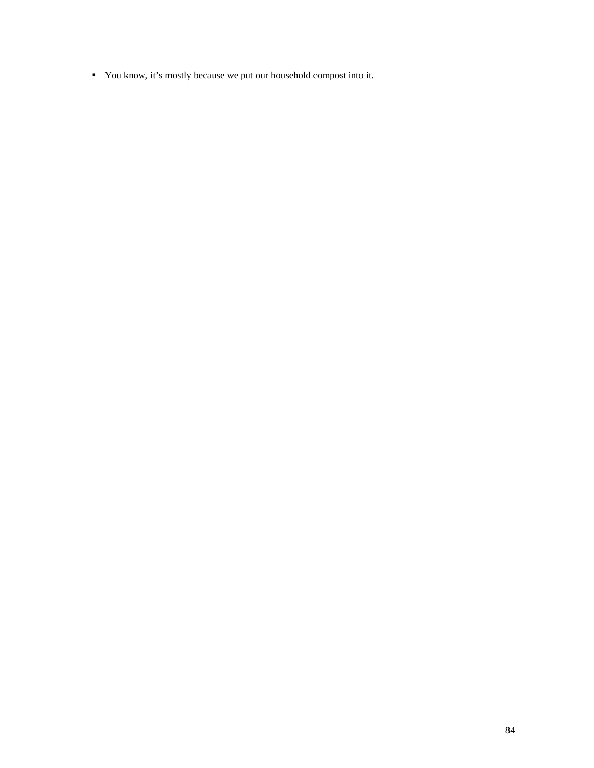You know, it's mostly because we put our household compost into it.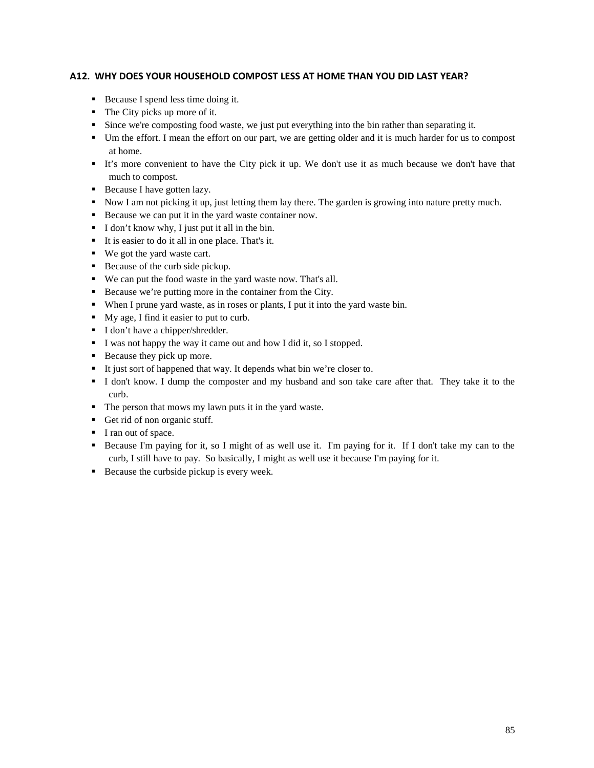## **A12. WHY DOES YOUR HOUSEHOLD COMPOST LESS AT HOME THAN YOU DID LAST YEAR?**

- Because I spend less time doing it.
- The City picks up more of it.
- Since we're composting food waste, we just put everything into the bin rather than separating it.
- Um the effort. I mean the effort on our part, we are getting older and it is much harder for us to compost at home.
- It's more convenient to have the City pick it up. We don't use it as much because we don't have that much to compost.
- Because I have gotten lazy.
- Now I am not picking it up, just letting them lay there. The garden is growing into nature pretty much.
- Because we can put it in the yard waste container now.
- I don't know why, I just put it all in the bin.
- It is easier to do it all in one place. That's it.
- We got the yard waste cart.
- Because of the curb side pickup.
- We can put the food waste in the yard waste now. That's all.
- Because we're putting more in the container from the City.
- When I prune yard waste, as in roses or plants, I put it into the yard waste bin.
- My age, I find it easier to put to curb.
- I don't have a chipper/shredder.
- I was not happy the way it came out and how I did it, so I stopped.
- Because they pick up more.
- It just sort of happened that way. It depends what bin we're closer to.
- I don't know. I dump the composter and my husband and son take care after that. They take it to the curb.
- The person that mows my lawn puts it in the yard waste.
- Get rid of non organic stuff.
- I ran out of space.
- Because I'm paying for it, so I might of as well use it. I'm paying for it. If I don't take my can to the curb, I still have to pay. So basically, I might as well use it because I'm paying for it.
- Because the curbside pickup is every week.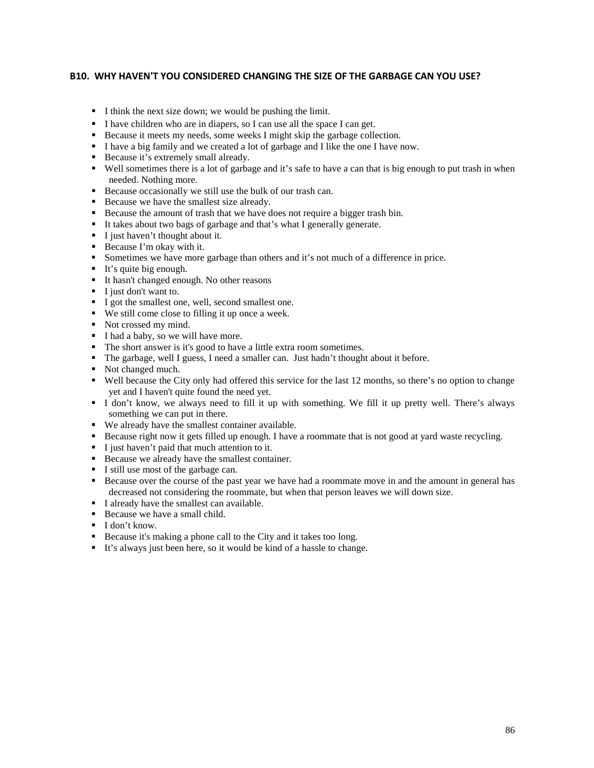#### **B10. WHY HAVEN'T YOU CONSIDERED CHANGING THE SIZE OF THE GARBAGE CAN YOU USE?**

- I think the next size down; we would be pushing the limit.
- I have children who are in diapers, so I can use all the space I can get.
- Because it meets my needs, some weeks I might skip the garbage collection.
- I have a big family and we created a lot of garbage and I like the one I have now.
- Because it's extremely small already.
- Well sometimes there is a lot of garbage and it's safe to have a can that is big enough to put trash in when needed. Nothing more.
- Because occasionally we still use the bulk of our trash can.
- Because we have the smallest size already.
- Because the amount of trash that we have does not require a bigger trash bin.
- It takes about two bags of garbage and that's what I generally generate.
- I just haven't thought about it.
- Because I'm okay with it.
- Sometimes we have more garbage than others and it's not much of a difference in price.
- $\blacksquare$  It's quite big enough.
- It hasn't changed enough. No other reasons
- I just don't want to.
- I got the smallest one, well, second smallest one.
- We still come close to filling it up once a week.
- Not crossed my mind.
- I had a baby, so we will have more.
- The short answer is it's good to have a little extra room sometimes.
- The garbage, well I guess, I need a smaller can. Just hadn't thought about it before.
- Not changed much.
- Well because the City only had offered this service for the last 12 months, so there's no option to change yet and I haven't quite found the need yet.
- I don't know, we always need to fill it up with something. We fill it up pretty well. There's always something we can put in there.
- We already have the smallest container available.
- Because right now it gets filled up enough. I have a roommate that is not good at yard waste recycling.
- I just haven't paid that much attention to it.
- Because we already have the smallest container.
- I still use most of the garbage can.
- Because over the course of the past year we have had a roommate move in and the amount in general has decreased not considering the roommate, but when that person leaves we will down size.
- I already have the smallest can available.
- Because we have a small child.
- $I$  don't know.
- Because it's making a phone call to the City and it takes too long.
- It's always just been here, so it would be kind of a hassle to change.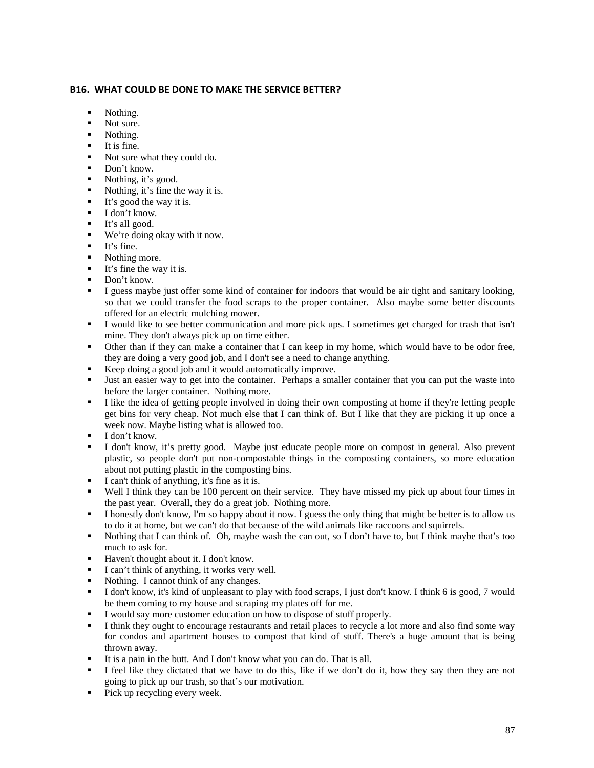### **B16. WHAT COULD BE DONE TO MAKE THE SERVICE BETTER?**

- Nothing.
- Not sure.
- Nothing.
- $\blacksquare$ It is fine.
- Not sure what they could do.
- Don't know.
- Nothing, it's good.
- Nothing, it's fine the way it is.
- $\blacksquare$  It's good the way it is.
- $\blacksquare$  I don't know.
- **It's all good.**
- We're doing okay with it now.
- $I$  It's fine.<br>Nothing
- Nothing more.
- $\blacksquare$  It's fine the way it is.
- Don't know.
- I guess maybe just offer some kind of container for indoors that would be air tight and sanitary looking, so that we could transfer the food scraps to the proper container. Also maybe some better discounts offered for an electric mulching mower.
- I would like to see better communication and more pick ups. I sometimes get charged for trash that isn't mine. They don't always pick up on time either.
- Other than if they can make a container that I can keep in my home, which would have to be odor free, they are doing a very good job, and I don't see a need to change anything.
- Keep doing a good job and it would automatically improve.<br>Its an easier way to get into the container. Perhans a sma
- Just an easier way to get into the container. Perhaps a smaller container that you can put the waste into before the larger container. Nothing more.
- I like the idea of getting people involved in doing their own composting at home if they're letting people get bins for very cheap. Not much else that I can think of. But I like that they are picking it up once a week now. Maybe listing what is allowed too.
- $I$  don't know.
- I don't know, it's pretty good. Maybe just educate people more on compost in general. Also prevent plastic, so people don't put non-compostable things in the composting containers, so more education about not putting plastic in the composting bins.
- I can't think of anything, it's fine as it is.
- Well I think they can be 100 percent on their service. They have missed my pick up about four times in the past year. Overall, they do a great job. Nothing more.
- I honestly don't know, I'm so happy about it now. I guess the only thing that might be better is to allow us to do it at home, but we can't do that because of the wild animals like raccoons and squirrels.
- Nothing that I can think of. Oh, maybe wash the can out, so I don't have to, but I think maybe that's too much to ask for.
- Haven't thought about it. I don't know.
- I can't think of anything, it works very well.
- Nothing. I cannot think of any changes.
- I don't know, it's kind of unpleasant to play with food scraps, I just don't know. I think 6 is good, 7 would be them coming to my house and scraping my plates off for me.
- I would say more customer education on how to dispose of stuff properly.
- I think they ought to encourage restaurants and retail places to recycle a lot more and also find some way for condos and apartment houses to compost that kind of stuff. There's a huge amount that is being thrown away.
- It is a pain in the butt. And I don't know what you can do. That is all.
- I feel like they dictated that we have to do this, like if we don't do it, how they say then they are not going to pick up our trash, so that's our motivation.
- Pick up recycling every week.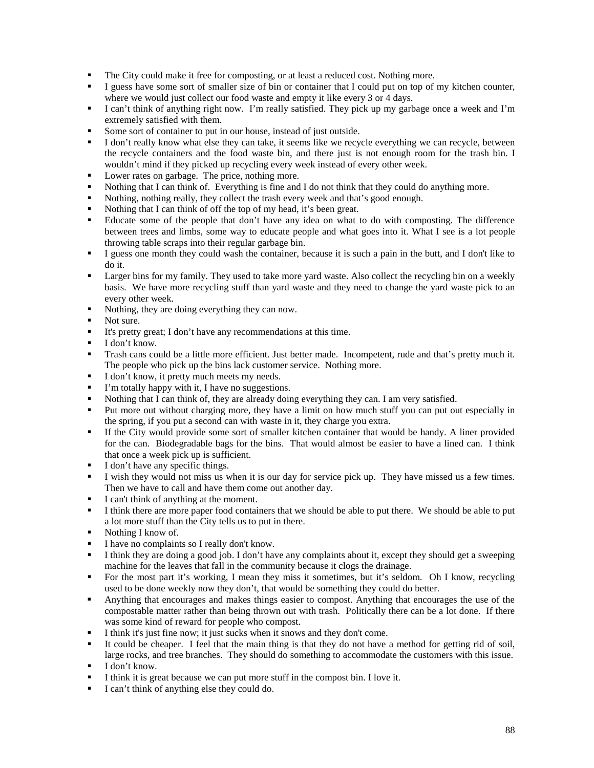- The City could make it free for composting, or at least a reduced cost. Nothing more.
- I guess have some sort of smaller size of bin or container that I could put on top of my kitchen counter, where we would just collect our food waste and empty it like every 3 or 4 days.
- I can't think of anything right now. I'm really satisfied. They pick up my garbage once a week and I'm extremely satisfied with them.
- Some sort of container to put in our house, instead of just outside.
- I don't really know what else they can take, it seems like we recycle everything we can recycle, between the recycle containers and the food waste bin, and there just is not enough room for the trash bin. I wouldn't mind if they picked up recycling every week instead of every other week.
- **Lower rates on garbage. The price, nothing more.**
- Nothing that I can think of. Everything is fine and I do not think that they could do anything more.
- Nothing, nothing really, they collect the trash every week and that's good enough.
- Nothing that I can think of off the top of my head, it's been great.
- Educate some of the people that don't have any idea on what to do with composting. The difference between trees and limbs, some way to educate people and what goes into it. What I see is a lot people throwing table scraps into their regular garbage bin.
- I guess one month they could wash the container, because it is such a pain in the butt, and I don't like to do it.
- **Example 1** Larger bins for my family. They used to take more yard waste. Also collect the recycling bin on a weekly basis. We have more recycling stuff than yard waste and they need to change the yard waste pick to an every other week.
- Nothing, they are doing everything they can now.
- Not sure.
- It's pretty great; I don't have any recommendations at this time.
- $\blacksquare$  I don't know.
- Trash cans could be a little more efficient. Just better made. Incompetent, rude and that's pretty much it. The people who pick up the bins lack customer service. Nothing more.
- I don't know, it pretty much meets my needs.
- I'm totally happy with it, I have no suggestions.
- Nothing that I can think of, they are already doing everything they can. I am very satisfied.
- Put more out without charging more, they have a limit on how much stuff you can put out especially in the spring, if you put a second can with waste in it, they charge you extra.
- If the City would provide some sort of smaller kitchen container that would be handy. A liner provided for the can. Biodegradable bags for the bins. That would almost be easier to have a lined can. I think that once a week pick up is sufficient.
- I don't have any specific things.
- I wish they would not miss us when it is our day for service pick up. They have missed us a few times. Then we have to call and have them come out another day.
- I can't think of anything at the moment.
- I think there are more paper food containers that we should be able to put there. We should be able to put a lot more stuff than the City tells us to put in there.
- Nothing I know of.
- I have no complaints so I really don't know.<br>■ I think they are doing a good job I don't have
- I think they are doing a good job. I don't have any complaints about it, except they should get a sweeping machine for the leaves that fall in the community because it clogs the drainage.
- For the most part it's working, I mean they miss it sometimes, but it's seldom. Oh I know, recycling used to be done weekly now they don't, that would be something they could do better.
- Anything that encourages and makes things easier to compost. Anything that encourages the use of the compostable matter rather than being thrown out with trash. Politically there can be a lot done. If there was some kind of reward for people who compost.
- I think it's just fine now; it just sucks when it snows and they don't come.
- It could be cheaper. I feel that the main thing is that they do not have a method for getting rid of soil, large rocks, and tree branches. They should do something to accommodate the customers with this issue.
- $\blacksquare$  I don't know.
- I think it is great because we can put more stuff in the compost bin. I love it.
- I can't think of anything else they could do.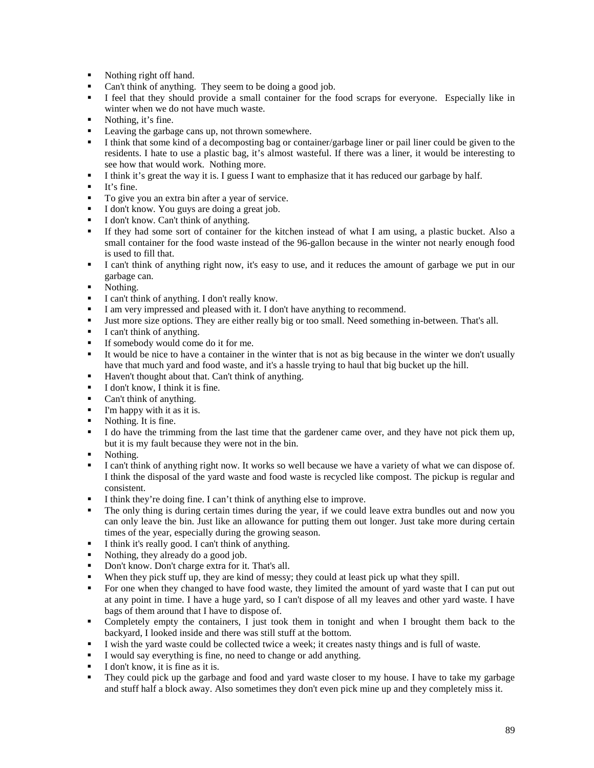- Nothing right off hand.
- Can't think of anything. They seem to be doing a good job.
- I feel that they should provide a small container for the food scraps for everyone. Especially like in winter when we do not have much waste.
- Nothing, it's fine.
- **Leaving the garbage cans up, not thrown somewhere.**
- I think that some kind of a decomposting bag or container/garbage liner or pail liner could be given to the residents. I hate to use a plastic bag, it's almost wasteful. If there was a liner, it would be interesting to see how that would work. Nothing more.
- I think it's great the way it is. I guess I want to emphasize that it has reduced our garbage by half.
- It's fine.
- To give you an extra bin after a year of service.
- I don't know. You guys are doing a great job.
- I don't know. Can't think of anything.
- If they had some sort of container for the kitchen instead of what I am using, a plastic bucket. Also a small container for the food waste instead of the 96-gallon because in the winter not nearly enough food is used to fill that.
- I can't think of anything right now, it's easy to use, and it reduces the amount of garbage we put in our garbage can.
- Nothing.
- I can't think of anything. I don't really know.
- I am very impressed and pleased with it. I don't have anything to recommend.
- Just more size options. They are either really big or too small. Need something in-between. That's all.
- $\blacksquare$  I can't think of anything.
- If somebody would come do it for me.
- It would be nice to have a container in the winter that is not as big because in the winter we don't usually have that much yard and food waste, and it's a hassle trying to haul that big bucket up the hill.
- **Haven't thought about that. Can't think of anything.**
- $\blacksquare$  I don't know. I think it is fine.
- Can't think of anything.
- I'm happy with it as it is.
- Nothing. It is fine.
- I do have the trimming from the last time that the gardener came over, and they have not pick them up, but it is my fault because they were not in the bin.
- Nothing.
- I can't think of anything right now. It works so well because we have a variety of what we can dispose of. I think the disposal of the yard waste and food waste is recycled like compost. The pickup is regular and consistent.
- I think they're doing fine. I can't think of anything else to improve.
- The only thing is during certain times during the year, if we could leave extra bundles out and now you can only leave the bin. Just like an allowance for putting them out longer. Just take more during certain times of the year, especially during the growing season.
- I think it's really good. I can't think of anything.<br>Nothing they already do a good is b
- Nothing, they already do a good job.
- Don't know. Don't charge extra for it. That's all.
- When they pick stuff up, they are kind of messy; they could at least pick up what they spill.
- For one when they changed to have food waste, they limited the amount of yard waste that I can put out at any point in time. I have a huge yard, so I can't dispose of all my leaves and other yard waste. I have bags of them around that I have to dispose of.
- Completely empty the containers, I just took them in tonight and when I brought them back to the backyard, I looked inside and there was still stuff at the bottom.
- I wish the yard waste could be collected twice a week; it creates nasty things and is full of waste.
- I would say everything is fine, no need to change or add anything.
- I don't know, it is fine as it is.<br>They could nick un the garba
- They could pick up the garbage and food and yard waste closer to my house. I have to take my garbage and stuff half a block away. Also sometimes they don't even pick mine up and they completely miss it.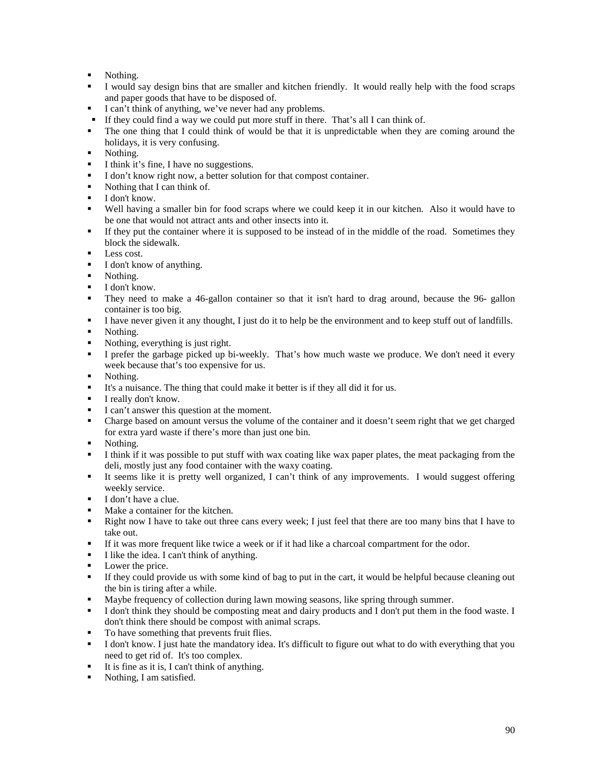- Nothing.
- I would say design bins that are smaller and kitchen friendly. It would really help with the food scraps and paper goods that have to be disposed of.
- I can't think of anything, we've never had any problems.
- If they could find a way we could put more stuff in there. That's all I can think of.
- The one thing that I could think of would be that it is unpredictable when they are coming around the holidays, it is very confusing.
- Nothing.
- I think it's fine, I have no suggestions.
- I don't know right now, a better solution for that compost container.<br>Nothing that Lean think of
- Nothing that I can think of.
- **I** don't know.
- Well having a smaller bin for food scraps where we could keep it in our kitchen. Also it would have to be one that would not attract ants and other insects into it.
- If they put the container where it is supposed to be instead of in the middle of the road. Sometimes they block the sidewalk.
- $\blacksquare$  Less cost.
- I don't know of anything.
- $\blacksquare$  Nothing.
- I don't know.
- They need to make a 46-gallon container so that it isn't hard to drag around, because the 96- gallon container is too big.
- I have never given it any thought, I just do it to help be the environment and to keep stuff out of landfills.
- Nothing.
- Nothing, everything is just right.
- I prefer the garbage picked up bi-weekly. That's how much waste we produce. We don't need it every week because that's too expensive for us.
- Nothing.
- It's a nuisance. The thing that could make it better is if they all did it for us.
- I really don't know.
- I can't answer this question at the moment.
- Charge based on amount versus the volume of the container and it doesn't seem right that we get charged for extra yard waste if there's more than just one bin.
- Nothing.
- I think if it was possible to put stuff with wax coating like wax paper plates, the meat packaging from the deli, mostly just any food container with the waxy coating.
- It seems like it is pretty well organized, I can't think of any improvements. I would suggest offering weekly service.
- I don't have a clue.
- Make a container for the kitchen.
- **Right now I have to take out three cans every week; I just feel that there are too many bins that I have to** take out.
- If it was more frequent like twice a week or if it had like a charcoal compartment for the odor.
- I like the idea. I can't think of anything.
- Lower the price.
- If they could provide us with some kind of bag to put in the cart, it would be helpful because cleaning out the bin is tiring after a while.
- Maybe frequency of collection during lawn mowing seasons, like spring through summer.
- I don't think they should be composting meat and dairy products and I don't put them in the food waste. I don't think there should be compost with animal scraps.
- To have something that prevents fruit flies.
- I don't know. I just hate the mandatory idea. It's difficult to figure out what to do with everything that you need to get rid of. It's too complex.
- $\blacksquare$  It is fine as it is, I can't think of anything.
- Nothing, I am satisfied.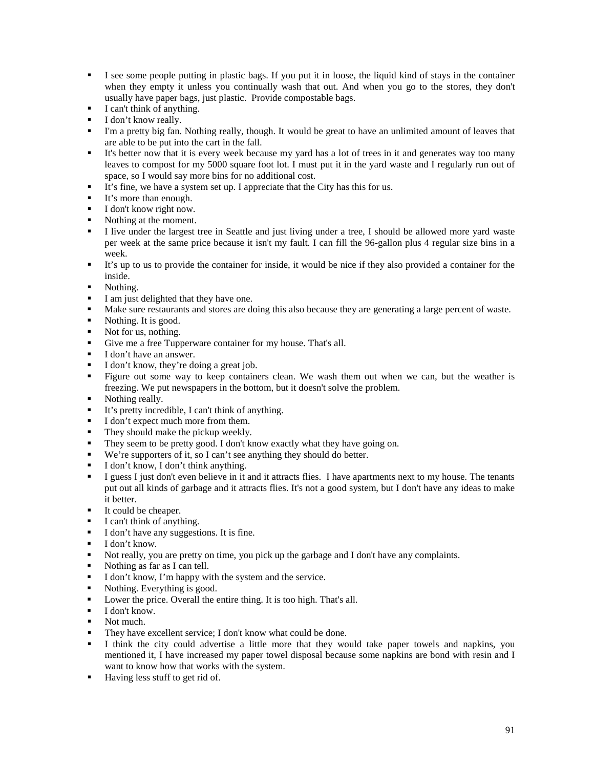- I see some people putting in plastic bags. If you put it in loose, the liquid kind of stays in the container when they empty it unless you continually wash that out. And when you go to the stores, they don't usually have paper bags, just plastic. Provide compostable bags.
- $\blacksquare$  I can't think of anything.
- I don't know really.
- I'm a pretty big fan. Nothing really, though. It would be great to have an unlimited amount of leaves that are able to be put into the cart in the fall.
- It's better now that it is every week because my yard has a lot of trees in it and generates way too many leaves to compost for my 5000 square foot lot. I must put it in the yard waste and I regularly run out of space, so I would say more bins for no additional cost.
- It's fine, we have a system set up. I appreciate that the City has this for us.
- It's more than enough.
- $\blacksquare$  I don't know right now.
- Nothing at the moment.
- I live under the largest tree in Seattle and just living under a tree, I should be allowed more yard waste per week at the same price because it isn't my fault. I can fill the 96-gallon plus 4 regular size bins in a week.
- It's up to us to provide the container for inside, it would be nice if they also provided a container for the inside.
- Nothing.
- I am just delighted that they have one.
- Make sure restaurants and stores are doing this also because they are generating a large percent of waste.
- Nothing. It is good.
- Not for us, nothing.
- Give me a free Tupperware container for my house. That's all.
- I don't have an answer.
- I don't know, they're doing a great job.
- Figure out some way to keep containers clean. We wash them out when we can, but the weather is freezing. We put newspapers in the bottom, but it doesn't solve the problem.
- Nothing really.
- It's pretty incredible, I can't think of anything.
- I don't expect much more from them.
- They should make the pickup weekly.
- They seem to be pretty good. I don't know exactly what they have going on.
- We're supporters of it, so I can't see anything they should do better.
- I don't know, I don't think anything.
- I guess I just don't even believe in it and it attracts flies. I have apartments next to my house. The tenants put out all kinds of garbage and it attracts flies. It's not a good system, but I don't have any ideas to make it better.
- It could be cheaper.
- I can't think of anything.
- I don't have any suggestions. It is fine.
- $I$  don't know.
- Not really, you are pretty on time, you pick up the garbage and I don't have any complaints.
- Nothing as far as I can tell.
- I don't know, I'm happy with the system and the service.
- Nothing. Everything is good.
- **Lower the price. Overall the entire thing. It is too high. That's all.**
- $\blacksquare$  I don't know.
- Not much.
- They have excellent service; I don't know what could be done.
- I think the city could advertise a little more that they would take paper towels and napkins, you mentioned it, I have increased my paper towel disposal because some napkins are bond with resin and I want to know how that works with the system.
- Having less stuff to get rid of.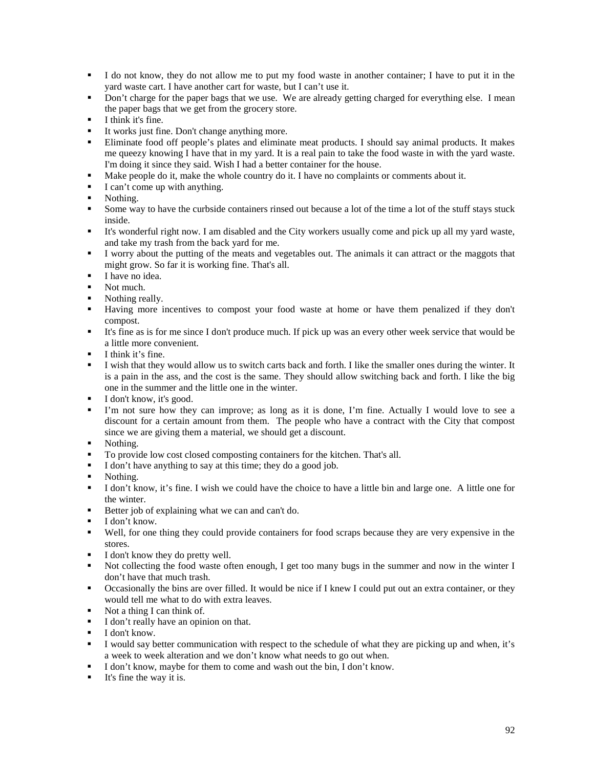- I do not know, they do not allow me to put my food waste in another container; I have to put it in the yard waste cart. I have another cart for waste, but I can't use it.
- Don't charge for the paper bags that we use. We are already getting charged for everything else. I mean the paper bags that we get from the grocery store.
- $\blacksquare$  I think it's fine.
- It works just fine. Don't change anything more.
- Eliminate food off people's plates and eliminate meat products. I should say animal products. It makes me queezy knowing I have that in my yard. It is a real pain to take the food waste in with the yard waste. I'm doing it since they said. Wish I had a better container for the house.
- Make people do it, make the whole country do it. I have no complaints or comments about it.
- I can't come up with anything.
- Nothing.
- Some way to have the curbside containers rinsed out because a lot of the time a lot of the stuff stays stuck inside.
- It's wonderful right now. I am disabled and the City workers usually come and pick up all my yard waste, and take my trash from the back yard for me.
- I worry about the putting of the meats and vegetables out. The animals it can attract or the maggots that might grow. So far it is working fine. That's all.
- $I$  have no idea.
- Not much.
- Nothing really.
- Having more incentives to compost your food waste at home or have them penalized if they don't compost.
- It's fine as is for me since I don't produce much. If pick up was an every other week service that would be a little more convenient.
- I think it's fine.
- I wish that they would allow us to switch carts back and forth. I like the smaller ones during the winter. It is a pain in the ass, and the cost is the same. They should allow switching back and forth. I like the big one in the summer and the little one in the winter.
- I don't know, it's good.
- I'm not sure how they can improve; as long as it is done, I'm fine. Actually I would love to see a discount for a certain amount from them. The people who have a contract with the City that compost since we are giving them a material, we should get a discount.
- Nothing.
- To provide low cost closed composting containers for the kitchen. That's all.
- I don't have anything to say at this time; they do a good job.
- Nothing.
- I don't know, it's fine. I wish we could have the choice to have a little bin and large one. A little one for the winter.
- Better job of explaining what we can and can't do.
- $\blacksquare$  I don't know.
- Well, for one thing they could provide containers for food scraps because they are very expensive in the stores.
- I don't know they do pretty well.
- Not collecting the food waste often enough, I get too many bugs in the summer and now in the winter I don't have that much trash.
- Occasionally the bins are over filled. It would be nice if I knew I could put out an extra container, or they would tell me what to do with extra leaves.
- Not a thing I can think of.
- I don't really have an opinion on that.
- $\blacksquare$  I don't know.
- I would say better communication with respect to the schedule of what they are picking up and when, it's a week to week alteration and we don't know what needs to go out when.
- I don't know, maybe for them to come and wash out the bin, I don't know.
- $\blacksquare$  It's fine the way it is.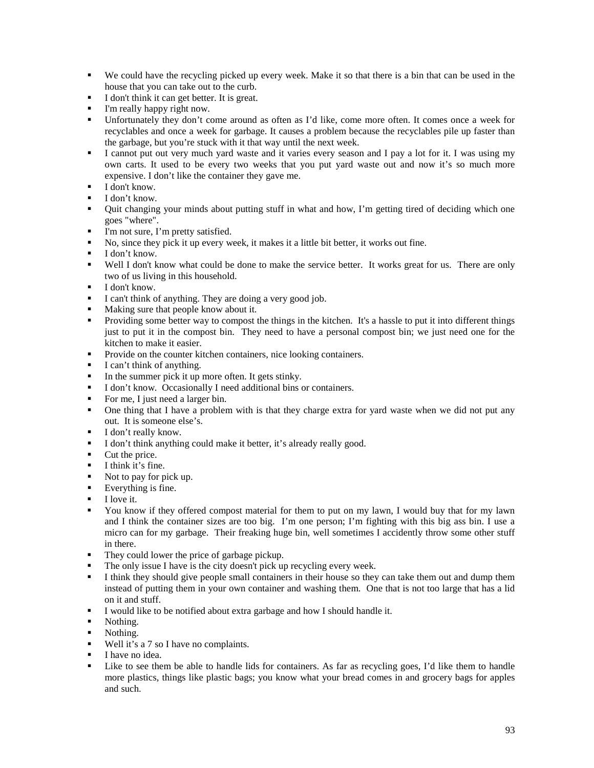- We could have the recycling picked up every week. Make it so that there is a bin that can be used in the house that you can take out to the curb.
- I don't think it can get better. It is great.
- I'm really happy right now.
- Unfortunately they don't come around as often as I'd like, come more often. It comes once a week for recyclables and once a week for garbage. It causes a problem because the recyclables pile up faster than the garbage, but you're stuck with it that way until the next week.
- I cannot put out very much vard waste and it varies every season and I pay a lot for it. I was using my own carts. It used to be every two weeks that you put yard waste out and now it's so much more expensive. I don't like the container they gave me.
- $I$  don't know.
- $I don't know.$
- Quit changing your minds about putting stuff in what and how, I'm getting tired of deciding which one goes "where".
- I'm not sure, I'm pretty satisfied.
- No, since they pick it up every week, it makes it a little bit better, it works out fine.
- $I$  don't know.
- Well I don't know what could be done to make the service better. It works great for us. There are only two of us living in this household.
- $I$  don't know.
- I can't think of anything. They are doing a very good job.
- Making sure that people know about it.
- Providing some better way to compost the things in the kitchen. It's a hassle to put it into different things just to put it in the compost bin. They need to have a personal compost bin; we just need one for the kitchen to make it easier.
- **Provide on the counter kitchen containers, nice looking containers.**
- $\blacksquare$  I can't think of anything.
- In the summer pick it up more often. It gets stinky.
- I don't know. Occasionally I need additional bins or containers.
- For me, I just need a larger bin.
- One thing that I have a problem with is that they charge extra for yard waste when we did not put any out. It is someone else's.
- I don't really know.
- I don't think anything could make it better, it's already really good.
- Cut the price.
- $\blacksquare$  I think it's fine.
- Not to pay for pick up.
- Everything is fine.
- $\blacksquare$  I love it.
- You know if they offered compost material for them to put on my lawn, I would buy that for my lawn and I think the container sizes are too big. I'm one person; I'm fighting with this big ass bin. I use a micro can for my garbage. Their freaking huge bin, well sometimes I accidently throw some other stuff in there.
- They could lower the price of garbage pickup.
- The only issue I have is the city doesn't pick up recycling every week.
- I think they should give people small containers in their house so they can take them out and dump them instead of putting them in your own container and washing them. One that is not too large that has a lid on it and stuff.
- I would like to be notified about extra garbage and how I should handle it.
- Nothing.
- Nothing.
- Well it's a 7 so I have no complaints.
- I have no idea.
- Like to see them be able to handle lids for containers. As far as recycling goes, I'd like them to handle more plastics, things like plastic bags; you know what your bread comes in and grocery bags for apples and such.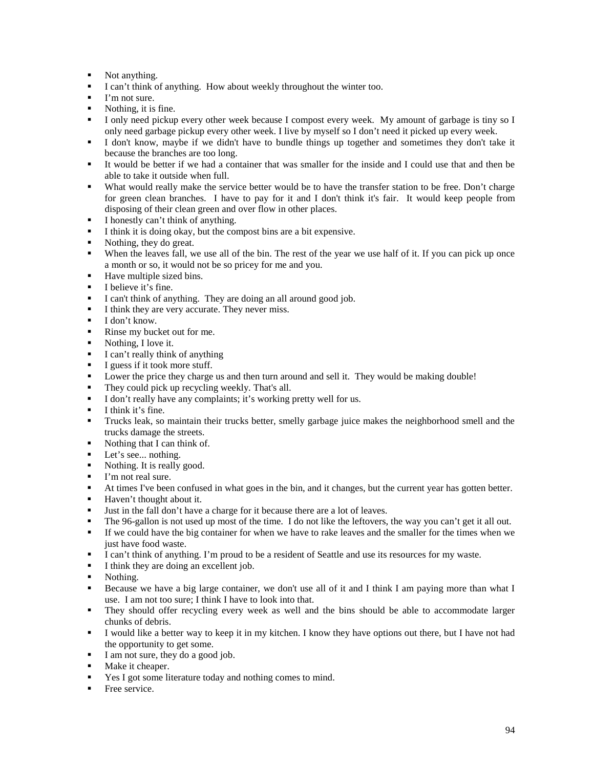- Not anything.
- I can't think of anything. How about weekly throughout the winter too.
- I'm not sure.
- $\blacksquare$  Nothing, it is fine.
- I only need pickup every other week because I compost every week. My amount of garbage is tiny so I only need garbage pickup every other week. I live by myself so I don't need it picked up every week.
- I don't know, maybe if we didn't have to bundle things up together and sometimes they don't take it because the branches are too long.
- It would be better if we had a container that was smaller for the inside and I could use that and then be able to take it outside when full.
- What would really make the service better would be to have the transfer station to be free. Don't charge for green clean branches. I have to pay for it and I don't think it's fair. It would keep people from disposing of their clean green and over flow in other places.
- I honestly can't think of anything.
- I think it is doing okay, but the compost bins are a bit expensive.
- Nothing, they do great.
- When the leaves fall, we use all of the bin. The rest of the year we use half of it. If you can pick up once a month or so, it would not be so pricey for me and you.
- Have multiple sized bins.<br> $\blacksquare$  Haliave it's fine
- I believe it's fine.
- I can't think of anything. They are doing an all around good job.
- I think they are very accurate. They never miss.
- $I don't know.$
- Rinse my bucket out for me.
- Nothing, I love it.
- $\blacksquare$  I can't really think of anything
- I guess if it took more stuff.
- **Lower the price they charge us and then turn around and sell it. They would be making double!**
- They could pick up recycling weekly. That's all.
- I don't really have any complaints; it's working pretty well for us.
- $\blacksquare$  I think it's fine.
- Trucks leak, so maintain their trucks better, smelly garbage juice makes the neighborhood smell and the trucks damage the streets.
- Nothing that I can think of.
- **Let's see... nothing.**
- Nothing. It is really good.
- I'm not real sure.
- At times I've been confused in what goes in the bin, and it changes, but the current year has gotten better.
- Haven't thought about it.
- I Just in the fall don't have a charge for it because there are a lot of leaves.
- The 96-gallon is not used up most of the time. I do not like the leftovers, the way you can't get it all out.
- If we could have the big container for when we have to rake leaves and the smaller for the times when we just have food waste.
- I can't think of anything. I'm proud to be a resident of Seattle and use its resources for my waste.
- I think they are doing an excellent job.
- Nothing.
- Because we have a big large container, we don't use all of it and I think I am paying more than what I use. I am not too sure; I think I have to look into that.
- They should offer recycling every week as well and the bins should be able to accommodate larger chunks of debris.
- I would like a better way to keep it in my kitchen. I know they have options out there, but I have not had the opportunity to get some.
- I am not sure, they do a good job.
- **Make it cheaper.**
- Yes I got some literature today and nothing comes to mind.
- **Free service.**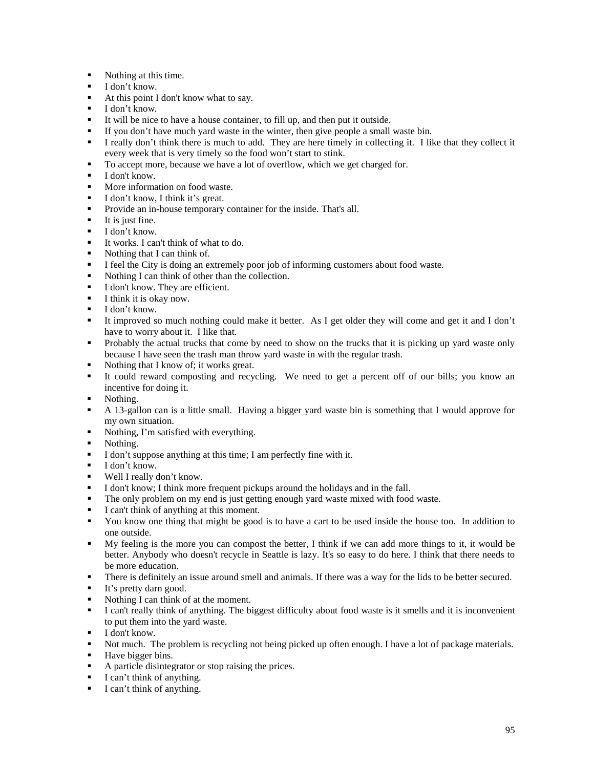- Nothing at this time.
- $\blacksquare$  I don't know.
- At this point I don't know what to say.
- $\blacksquare$  I don't know.
- It will be nice to have a house container, to fill up, and then put it outside.
- If you don't have much yard waste in the winter, then give people a small waste bin.
- I really don't think there is much to add. They are here timely in collecting it. I like that they collect it every week that is very timely so the food won't start to stink.
- To accept more, because we have a lot of overflow, which we get charged for.
- $\blacksquare$  I don't know.
- **More information on food waste.**
- I don't know, I think it's great.
- **Provide an in-house temporary container for the inside. That's all.**
- $\blacksquare$  It is just fine.
- $\blacksquare$  I don't know.
- It works. I can't think of what to do.
- Nothing that I can think of.
- I feel the City is doing an extremely poor job of informing customers about food waste.
- Nothing I can think of other than the collection.<br>• I don't know They are efficient
- I don't know. They are efficient.
- $\blacksquare$  I think it is okay now.
- $\blacksquare$  I don't know.
- It improved so much nothing could make it better. As I get older they will come and get it and I don't have to worry about it. I like that.
- Probably the actual trucks that come by need to show on the trucks that it is picking up yard waste only because I have seen the trash man throw yard waste in with the regular trash.
- Nothing that I know of; it works great.
- It could reward composting and recycling. We need to get a percent off of our bills; you know an incentive for doing it.
- Nothing.
- A 13-gallon can is a little small. Having a bigger yard waste bin is something that I would approve for my own situation.
- Nothing, I'm satisfied with everything.
- Nothing.<br>I don't si
- I don't suppose anything at this time; I am perfectly fine with it.
- $\blacksquare$  I don't know.
- Well I really don't know.
- I don't know; I think more frequent pickups around the holidays and in the fall.
- The only problem on my end is just getting enough yard waste mixed with food waste.
- I can't think of anything at this moment.
- You know one thing that might be good is to have a cart to be used inside the house too. In addition to one outside.
- My feeling is the more you can compost the better, I think if we can add more things to it, it would be better. Anybody who doesn't recycle in Seattle is lazy. It's so easy to do here. I think that there needs to be more education.
- There is definitely an issue around smell and animals. If there was a way for the lids to be better secured.
- It's pretty darn good.
- Nothing I can think of at the moment.
- I can't really think of anything. The biggest difficulty about food waste is it smells and it is inconvenient to put them into the yard waste.
- $\blacksquare$  I don't know.
- Not much. The problem is recycling not being picked up often enough. I have a lot of package materials.
- Have bigger bins.
- A particle disintegrator or stop raising the prices.
- I can't think of anything.
- I can't think of anything.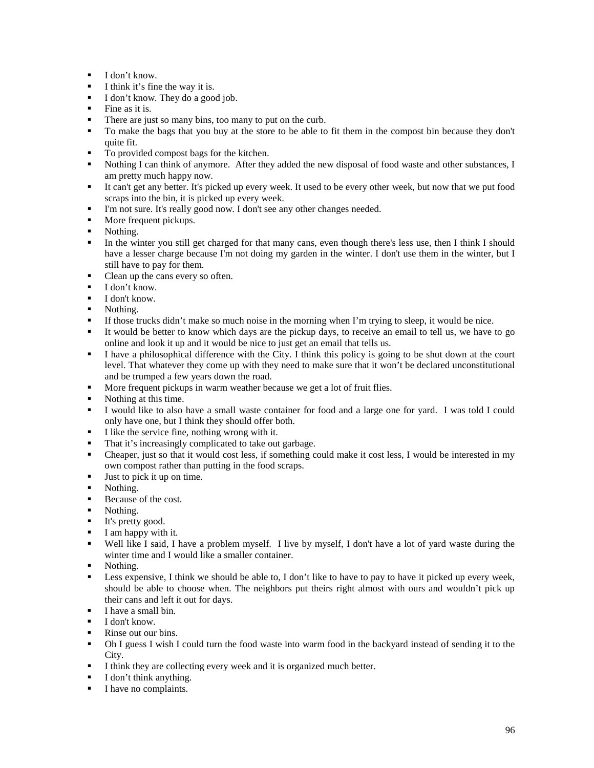- $\blacksquare$  I don't know.
- $\blacksquare$  I think it's fine the way it is.
- I don't know. They do a good job.
- $\blacksquare$  Fine as it is.
- There are just so many bins, too many to put on the curb.
- To make the bags that you buy at the store to be able to fit them in the compost bin because they don't quite fit.
- To provided compost bags for the kitchen.
- Nothing I can think of anymore. After they added the new disposal of food waste and other substances, I am pretty much happy now.
- It can't get any better. It's picked up every week. It used to be every other week, but now that we put food scraps into the bin, it is picked up every week.
- I'm not sure. It's really good now. I don't see any other changes needed.
- More frequent pickups.
- Nothing.
- In the winter you still get charged for that many cans, even though there's less use, then I think I should have a lesser charge because I'm not doing my garden in the winter. I don't use them in the winter, but I still have to pay for them.
- Clean up the cans every so often.<br> $L \cdot \text{dom'}$  know
- I don't know.
- $\blacksquare$  I don't know.
- Nothing.
- If those trucks didn't make so much noise in the morning when I'm trying to sleep, it would be nice.
- It would be better to know which days are the pickup days, to receive an email to tell us, we have to go online and look it up and it would be nice to just get an email that tells us.
- I have a philosophical difference with the City. I think this policy is going to be shut down at the court level. That whatever they come up with they need to make sure that it won't be declared unconstitutional and be trumped a few years down the road.
- More frequent pickups in warm weather because we get a lot of fruit flies.
- Nothing at this time.
- I would like to also have a small waste container for food and a large one for yard. I was told I could only have one, but I think they should offer both.
- I like the service fine, nothing wrong with it.
- That it's increasingly complicated to take out garbage.
- Cheaper, just so that it would cost less, if something could make it cost less, I would be interested in my own compost rather than putting in the food scraps.
- Just to pick it up on time.
- Nothing.
- Because of the cost.
- Nothing.
- **It's pretty good.**
- $I$  am happy with it.
- Well like I said, I have a problem myself. I live by myself, I don't have a lot of yard waste during the winter time and I would like a smaller container.
- Nothing.
- **Example 1** Less expensive, I think we should be able to, I don't like to have to pay to have it picked up every week, should be able to choose when. The neighbors put theirs right almost with ours and wouldn't pick up their cans and left it out for days.
- $I$  have a small bin
- $\blacksquare$  I don't know.
- Rinse out our bins.
- Oh I guess I wish I could turn the food waste into warm food in the backyard instead of sending it to the City.
- I think they are collecting every week and it is organized much better.
- I don't think anything.
- I have no complaints.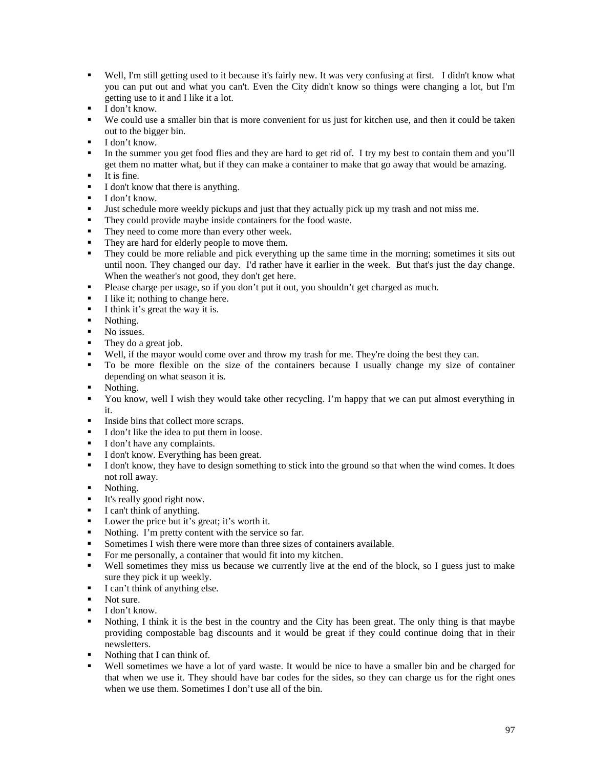- Well, I'm still getting used to it because it's fairly new. It was very confusing at first. I didn't know what you can put out and what you can't. Even the City didn't know so things were changing a lot, but I'm getting use to it and I like it a lot.
- $\blacksquare$  I don't know.
- We could use a smaller bin that is more convenient for us just for kitchen use, and then it could be taken out to the bigger bin.
- **I** don't know.
- In the summer you get food flies and they are hard to get rid of. I try my best to contain them and you'll get them no matter what, but if they can make a container to make that go away that would be amazing.
- $\blacksquare$ It is fine.
- I don't know that there is anything.
- $\blacksquare$  I don't know.
- Just schedule more weekly pickups and just that they actually pick up my trash and not miss me.
- They could provide maybe inside containers for the food waste.
- They need to come more than every other week.
- They are hard for elderly people to move them.
- They could be more reliable and pick everything up the same time in the morning; sometimes it sits out until noon. They changed our day. I'd rather have it earlier in the week. But that's just the day change. When the weather's not good, they don't get here.
- Please charge per usage, so if you don't put it out, you shouldn't get charged as much.
- I like it; nothing to change here.
- I think it's great the way it is.<br>Nothing
- Nothing.
- No issues.
- They do a great job.
- Well, if the mayor would come over and throw my trash for me. They're doing the best they can.
- To be more flexible on the size of the containers because I usually change my size of container depending on what season it is.
- Nothing.
- You know, well I wish they would take other recycling. I'm happy that we can put almost everything in it.
- Inside bins that collect more scraps.
- I don't like the idea to put them in loose.
- I don't have any complaints.
- I don't know. Everything has been great.
- I don't know, they have to design something to stick into the ground so that when the wind comes. It does not roll away.
- Nothing.
- It's really good right now.
- $\blacksquare$  I can't think of anything.
- Dower the price but it's great; it's worth it.
- Nothing. I'm pretty content with the service so far.
- Sometimes I wish there were more than three sizes of containers available.
- For me personally, a container that would fit into my kitchen.
- Well sometimes they miss us because we currently live at the end of the block, so I guess just to make sure they pick it up weekly.
- I can't think of anything else.
- Not sure.
- $\blacksquare$  I don't know.
- Nothing, I think it is the best in the country and the City has been great. The only thing is that maybe providing compostable bag discounts and it would be great if they could continue doing that in their newsletters.
- Nothing that I can think of.
- Well sometimes we have a lot of yard waste. It would be nice to have a smaller bin and be charged for that when we use it. They should have bar codes for the sides, so they can charge us for the right ones when we use them. Sometimes I don't use all of the bin.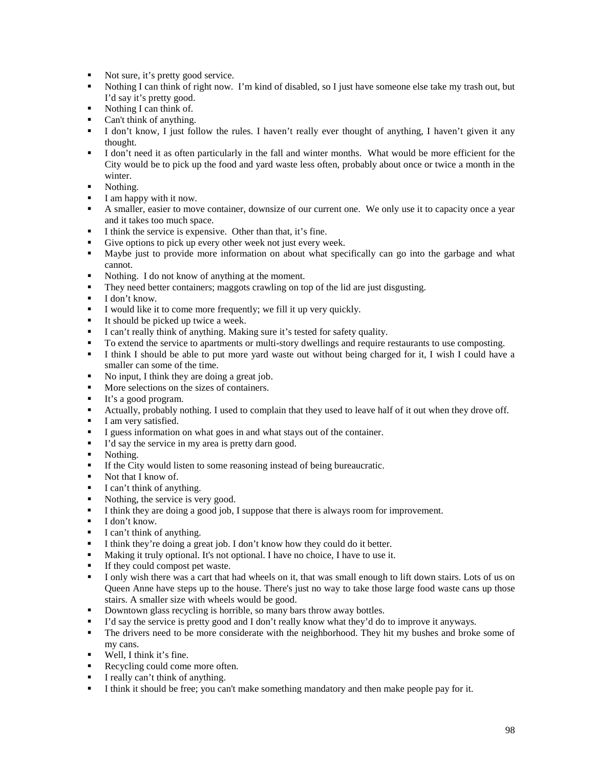- Not sure, it's pretty good service.
- Nothing I can think of right now. I'm kind of disabled, so I just have someone else take my trash out, but I'd say it's pretty good.
- Nothing I can think of.
- Can't think of anything.
- I don't know, I just follow the rules. I haven't really ever thought of anything, I haven't given it any thought.
- I don't need it as often particularly in the fall and winter months. What would be more efficient for the City would be to pick up the food and yard waste less often, probably about once or twice a month in the winter.
- Nothing.
- I am happy with it now.
- A smaller, easier to move container, downsize of our current one. We only use it to capacity once a year and it takes too much space.
- I think the service is expensive. Other than that, it's fine.
- Give options to pick up every other week not just every week.
- Maybe just to provide more information on about what specifically can go into the garbage and what cannot.
- Nothing. I do not know of anything at the moment.<br>• They need better containers: maggots crawling on to
- They need better containers; maggots crawling on top of the lid are just disgusting.<br>I don't know
- I don't know.
- I would like it to come more frequently; we fill it up very quickly.
- It should be picked up twice a week.
- I can't really think of anything. Making sure it's tested for safety quality.
- To extend the service to apartments or multi-story dwellings and require restaurants to use composting.
- I think I should be able to put more yard waste out without being charged for it, I wish I could have a smaller can some of the time.
- No input, I think they are doing a great job.
- More selections on the sizes of containers.
- It's a good program.
- Actually, probably nothing. I used to complain that they used to leave half of it out when they drove off.
- I am very satisfied.
- I guess information on what goes in and what stays out of the container.
- I'd say the service in my area is pretty darn good.<br>Nothing
- Nothing.
- If the City would listen to some reasoning instead of being bureaucratic.
- Not that I know of.
- I can't think of anything.
- Nothing, the service is very good.
- I think they are doing a good job, I suppose that there is always room for improvement.
- $\blacksquare$  I don't know.
- $\blacksquare$  I can't think of anything.
- I think they're doing a great job. I don't know how they could do it better.<br>■ Making it truly optional It's not optional. I have no choice. I have to use it
- Making it truly optional. It's not optional. I have no choice, I have to use it.
- If they could compost pet waste.
- I only wish there was a cart that had wheels on it, that was small enough to lift down stairs. Lots of us on Queen Anne have steps up to the house. There's just no way to take those large food waste cans up those stairs. A smaller size with wheels would be good.
- Downtown glass recycling is horrible, so many bars throw away bottles.
- I'd say the service is pretty good and I don't really know what they'd do to improve it anyways.
- The drivers need to be more considerate with the neighborhood. They hit my bushes and broke some of my cans.
- Well, I think it's fine.
- Recycling could come more often.
- I really can't think of anything.
- I think it should be free; you can't make something mandatory and then make people pay for it.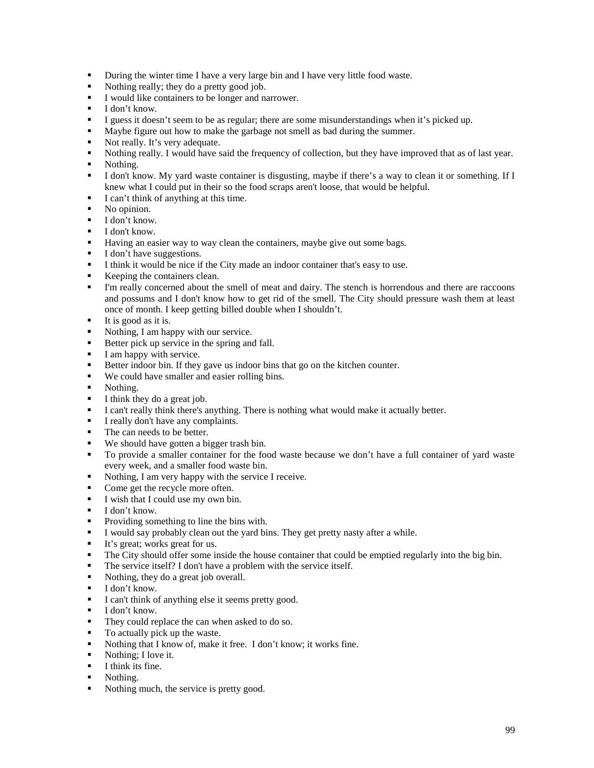- **During the winter time I have a very large bin and I have very little food waste.**
- Nothing really; they do a pretty good job.
- I would like containers to be longer and narrower.
- $\blacksquare$  I don't know.
- I guess it doesn't seem to be as regular; there are some misunderstandings when it's picked up.
- Maybe figure out how to make the garbage not smell as bad during the summer.
- Not really. It's very adequate.
- Nothing really. I would have said the frequency of collection, but they have improved that as of last year.
- Nothing.
- I don't know. My yard waste container is disgusting, maybe if there's a way to clean it or something. If I knew what I could put in their so the food scraps aren't loose, that would be helpful.
- I can't think of anything at this time.
- No opinion.
- $\blacksquare$  I don't know.
- $I$  don't know.
- Having an easier way to way clean the containers, maybe give out some bags.
- I don't have suggestions.
- I think it would be nice if the City made an indoor container that's easy to use.
- Keeping the containers clean.<br>I'm really concerned about the
- I'm really concerned about the smell of meat and dairy. The stench is horrendous and there are raccoons and possums and I don't know how to get rid of the smell. The City should pressure wash them at least once of month. I keep getting billed double when I shouldn't.
- $\blacksquare$  It is good as it is.
- Nothing, I am happy with our service.
- Better pick up service in the spring and fall.
- $I$  am happy with service.
- Better indoor bin. If they gave us indoor bins that go on the kitchen counter.
- We could have smaller and easier rolling bins.
- Nothing.
- $\blacksquare$  I think they do a great job.
- I can't really think there's anything. There is nothing what would make it actually better.
- I really don't have any complaints.
- The can needs to be better.
- We should have gotten a bigger trash bin.<br>■ To provide a smaller container for the form
- To provide a smaller container for the food waste because we don't have a full container of yard waste every week, and a smaller food waste bin.
- Nothing, I am very happy with the service I receive.
- Come get the recycle more often.
- I wish that I could use my own bin.
- $\blacksquare$  I don't know.
- Providing something to line the bins with.
- I would say probably clean out the yard bins. They get pretty nasty after a while.
- It's great; works great for us.<br>
The City should offer some in
- The City should offer some inside the house container that could be emptied regularly into the big bin.
- The service itself? I don't have a problem with the service itself.
- Nothing, they do a great job overall.
- $\blacksquare$  I don't know.
- I can't think of anything else it seems pretty good.
- $\blacksquare$  I don't know.
- They could replace the can when asked to do so.
- To actually pick up the waste.
- Nothing that I know of, make it free. I don't know; it works fine.<br>• Nothing: I love it
- Nothing; I love it.
- $\blacksquare$  I think its fine.
- Nothing.
- Nothing much, the service is pretty good.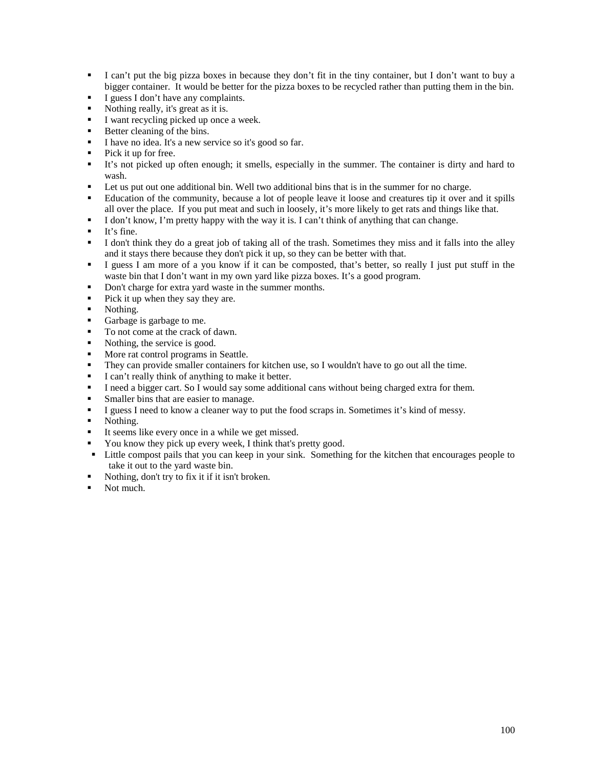- I can't put the big pizza boxes in because they don't fit in the tiny container, but I don't want to buy a bigger container. It would be better for the pizza boxes to be recycled rather than putting them in the bin.
- I guess I don't have any complaints.
- Nothing really, it's great as it is.
- I want recycling picked up once a week.
- Better cleaning of the bins.
- I have no idea. It's a new service so it's good so far.
- $\blacksquare$  Pick it up for free.
- It's not picked up often enough; it smells, especially in the summer. The container is dirty and hard to wash.
- Let us put out one additional bin. Well two additional bins that is in the summer for no charge.
- Education of the community, because a lot of people leave it loose and creatures tip it over and it spills all over the place. If you put meat and such in loosely, it's more likely to get rats and things like that.
- I don't know, I'm pretty happy with the way it is. I can't think of anything that can change.
- $I$  It's fine.
- I don't think they do a great job of taking all of the trash. Sometimes they miss and it falls into the alley and it stays there because they don't pick it up, so they can be better with that.
- I guess I am more of a you know if it can be composted, that's better, so really I just put stuff in the waste bin that I don't want in my own yard like pizza boxes. It's a good program.
- Don't charge for extra yard waste in the summer months.
- Pick it up when they say they are.
- Nothing.
- Garbage is garbage to me.
- To not come at the crack of dawn.
- Nothing, the service is good.
- More rat control programs in Seattle.
- They can provide smaller containers for kitchen use, so I wouldn't have to go out all the time.
- I can't really think of anything to make it better.
- I need a bigger cart. So I would say some additional cans without being charged extra for them.
- **Smaller bins that are easier to manage.**
- I guess I need to know a cleaner way to put the food scraps in. Sometimes it's kind of messy.
- Nothing.
- It seems like every once in a while we get missed.
- You know they pick up every week, I think that's pretty good.
- Little compost pails that you can keep in your sink. Something for the kitchen that encourages people to take it out to the yard waste bin.
- Nothing, don't try to fix it if it isn't broken.
- Not much.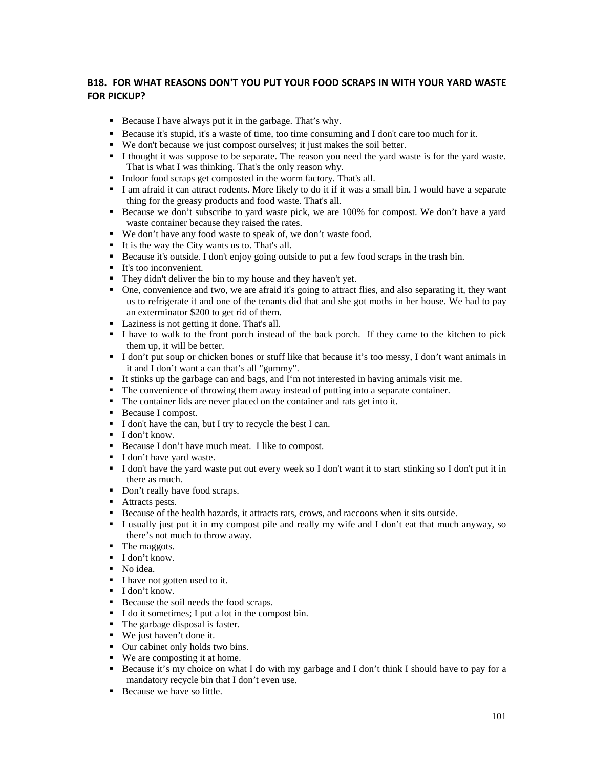## **B18. FOR WHAT REASONS DON'T YOU PUT YOUR FOOD SCRAPS IN WITH YOUR YARD WASTE FOR PICKUP?**

- Because I have always put it in the garbage. That's why.
- Because it's stupid, it's a waste of time, too time consuming and I don't care too much for it.
- We don't because we just compost ourselves; it just makes the soil better.
- I thought it was suppose to be separate. The reason you need the yard waste is for the yard waste. That is what I was thinking. That's the only reason why.
- Indoor food scraps get composted in the worm factory. That's all.
- I am afraid it can attract rodents. More likely to do it if it was a small bin. I would have a separate thing for the greasy products and food waste. That's all.
- Because we don't subscribe to yard waste pick, we are 100% for compost. We don't have a yard waste container because they raised the rates.
- We don't have any food waste to speak of, we don't waste food.
- It is the way the City wants us to. That's all.
- Because it's outside. I don't enjoy going outside to put a few food scraps in the trash bin.
- It's too inconvenient.
- They didn't deliver the bin to my house and they haven't yet.
- One, convenience and two, we are afraid it's going to attract flies, and also separating it, they want us to refrigerate it and one of the tenants did that and she got moths in her house. We had to pay an exterminator \$200 to get rid of them.
- Laziness is not getting it done. That's all.
- I have to walk to the front porch instead of the back porch. If they came to the kitchen to pick them up, it will be better.
- I don't put soup or chicken bones or stuff like that because it's too messy, I don't want animals in it and I don't want a can that's all "gummy".
- It stinks up the garbage can and bags, and I'm not interested in having animals visit me.
- The convenience of throwing them away instead of putting into a separate container.
- The container lids are never placed on the container and rats get into it.
- Because I compost.
- I don't have the can, but I try to recycle the best I can.
- **I** don't know.
- Because I don't have much meat. I like to compost.
- I don't have yard waste.
- I don't have the yard waste put out every week so I don't want it to start stinking so I don't put it in there as much.
- Don't really have food scraps.
- Attracts pests.
- Because of the health hazards, it attracts rats, crows, and raccoons when it sits outside.
- I usually just put it in my compost pile and really my wife and I don't eat that much anyway, so there's not much to throw away.
- The maggots.
- **I** don't know.
- No idea.
- I have not gotten used to it.
- $\blacksquare$  I don't know.
- Because the soil needs the food scraps.
- I do it sometimes; I put a lot in the compost bin.
- The garbage disposal is faster.
- We just haven't done it.
- Our cabinet only holds two bins.
- We are composting it at home.
- Because it's my choice on what I do with my garbage and I don't think I should have to pay for a mandatory recycle bin that I don't even use.
- Because we have so little.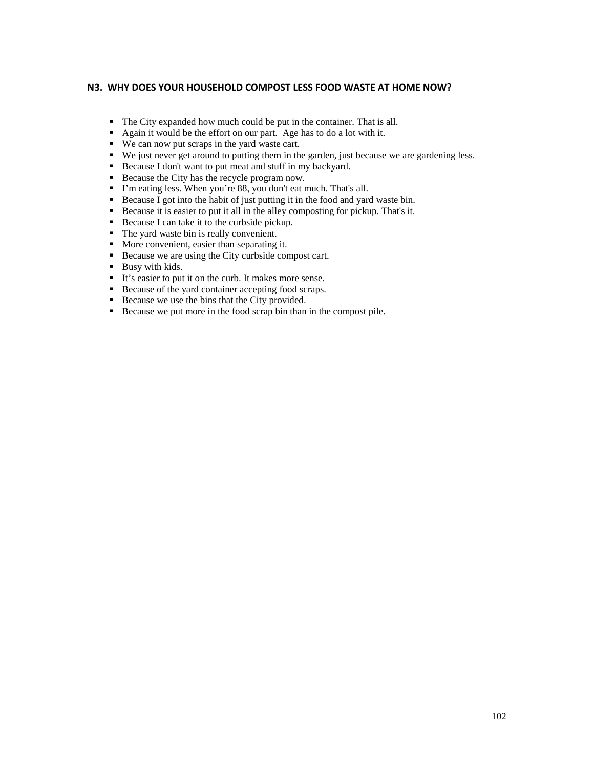### **N3. WHY DOES YOUR HOUSEHOLD COMPOST LESS FOOD WASTE AT HOME NOW?**

- The City expanded how much could be put in the container. That is all.
- Again it would be the effort on our part. Age has to do a lot with it.
- We can now put scraps in the yard waste cart.
- We just never get around to putting them in the garden, just because we are gardening less.
- Because I don't want to put meat and stuff in my backyard.
- Because the City has the recycle program now.
- I'm eating less. When you're 88, you don't eat much. That's all.
- Because I got into the habit of just putting it in the food and yard waste bin.
- Because it is easier to put it all in the alley composting for pickup. That's it.
- Because I can take it to the curbside pickup.
- The yard waste bin is really convenient.
- More convenient, easier than separating it.
- Because we are using the City curbside compost cart.
- **Busy with kids.**
- It's easier to put it on the curb. It makes more sense.
- Because of the yard container accepting food scraps.
- Because we use the bins that the City provided.
- Because we put more in the food scrap bin than in the compost pile.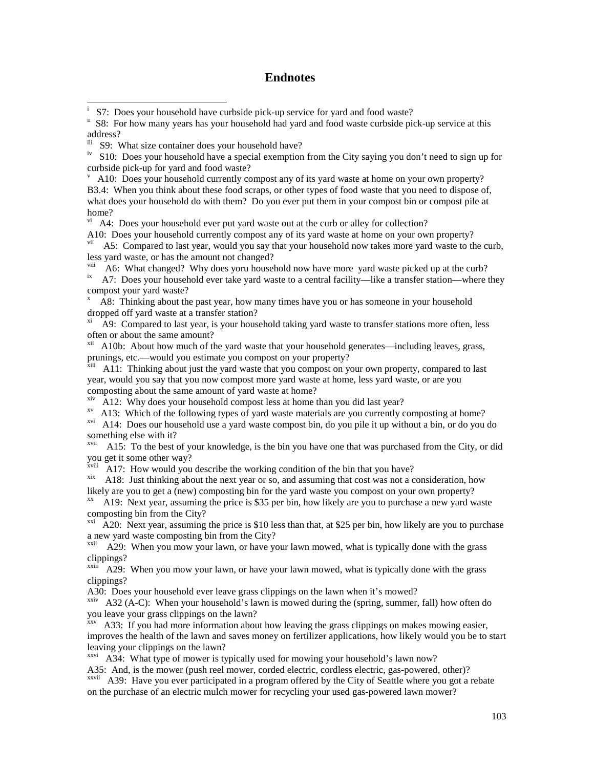## **Endnotes**

<sup>iv</sup> S10: Does your household have a special exemption from the City saying you don't need to sign up for curbside pick-up for yard and food waste?

 A10: Does your household currently compost any of its yard waste at home on your own property? B3.4: When you think about these food scraps, or other types of food waste that you need to dispose of, what does your household do with them? Do you ever put them in your compost bin or compost pile at home?

 $\overline{v}$ <sup>i</sup> A4: Does your household ever put yard waste out at the curb or alley for collection?

A10: Does your household currently compost any of its yard waste at home on your own property?

vii A5: Compared to last year, would you say that your household now takes more yard waste to the curb, less yard waste, or has the amount not changed?<br>
<sup>viii</sup> A6: What changed? Why does yoru household now have more yard waste picked up at the curb?

 $\overline{X}$  A7: Does your household ever take yard waste to a central facility—like a transfer station—where they compost your yard waste?

x A8: Thinking about the past year, how many times have you or has someone in your household dropped off yard waste at a transfer station?

A9: Compared to last year, is your household taking yard waste to transfer stations more often, less often or about the same amount?

<sup>xii</sup> A10b: About how much of the yard waste that your household generates—including leaves, grass, prunings, etc.—would you estimate you compost on your property?<br><sup>xiii</sup> A11: Thinking about just the yard waste that you compost on your own property, compared to last

year, would you say that you now compost more yard waste at home, less yard waste, or are you composting about the same amount of yard waste at home?<br>
<sup>xiv</sup> A12: Why does your household compost less at home than you did last year?

<sup>xv</sup> A13: Which of the following types of yard waste materials are you currently composting at home?

xvi A14: Does our household use a yard waste compost bin, do you pile it up without a bin, or do you do something else with it?

<sup>xvii</sup> A15: To the best of your knowledge, is the bin you have one that was purchased from the City, or did you get it some other way?<br>
<sup>xviii</sup> A17: How would you describe the working condition of the bin that you have?

 $x$ <sup>ix</sup> A18: Just thinking about the next year or so, and assuming that cost was not a consideration, how likely are you to get a (new) composting bin for the yard waste you compost on your own property?<br><sup>xx</sup> A19: Next year, assuming the price is \$35 per bin, how likely are you to purchase a new yard waste

composting bin from the City?

 $xxi$  A20: Next year, assuming the price is \$10 less than that, at \$25 per bin, how likely are you to purchase a new yard waste composting bin from the City?

<sup>xxii</sup> A29: When you mow your lawn, or have your lawn mowed, what is typically done with the grass clippings?

 $\frac{x}{1}$  A29: When you mow your lawn, or have your lawn mowed, what is typically done with the grass clippings?

A30: Does your household ever leave grass clippings on the lawn when it's mowed?

 $x<sub>xiv</sub>$  A32 (A-C): When your household's lawn is mowed during the (spring, summer, fall) how often do you leave your grass clippings on the lawn?

xxv A33: If you had more information about how leaving the grass clippings on makes mowing easier, improves the health of the lawn and saves money on fertilizer applications, how likely would you be to start leaving your clippings on the lawn?

 $x$ <sup>xxvi</sup> A34: What type of mower is typically used for mowing your household's lawn now? A35: And, is the mower (push reel mower, corded electric, cordless electric, gas-powered, other)?

xxvii A39: Have you ever participated in a program offered by the City of Seattle where you got a rebate on the purchase of an electric mulch mower for recycling your used gas-powered lawn mower?

i S7: Does your household have curbside pick-up service for yard and food waste?

<sup>&</sup>lt;sup>ii</sup> S8: For how many years has your household had yard and food waste curbside pick-up service at this address?

iii S9: What size container does your household have?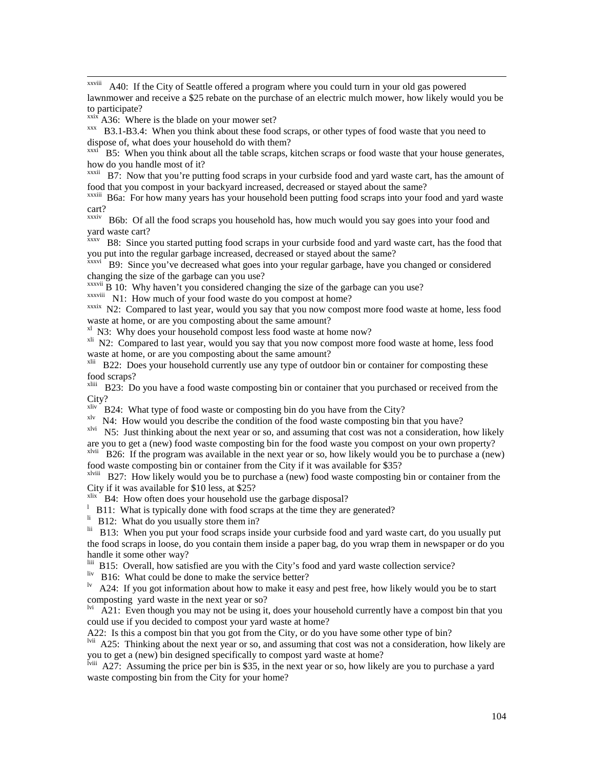xxviii A40: If the City of Seattle offered a program where you could turn in your old gas powered lawnmower and receive a \$25 rebate on the purchase of an electric mulch mower, how likely would you be to participate?<br> $\frac{\text{axis}}{\text{axis}}$  A36: Where is the blade on your mower set?

 $xxx$  B3.1-B3.4: When you think about these food scraps, or other types of food waste that you need to dispose of, what does your household do with them?

 $\frac{xxxi}{s}$  B5: When you think about all the table scraps, kitchen scraps or food waste that your house generates, how do you handle most of it?

<sup>xxxii</sup> B7: Now that you're putting food scraps in your curbside food and yard waste cart, has the amount of food that you compost in your backyard increased, decreased or stayed about the same?

xxxiii B6a: For how many years has your household been putting food scraps into your food and yard waste cart?

xxxiv B6b: Of all the food scraps you household has, how much would you say goes into your food and yard waste cart?

xxxv B8: Since you started putting food scraps in your curbside food and yard waste cart, has the food that you put into the regular garbage increased, decreased or stayed about the same?

xxxvi B9: Since you've decreased what goes into your regular garbage, have you changed or considered changing the size of the garbage can you use?

 $\frac{x}{x}$ <sup>xxxvii</sup> B 10: Why haven't you considered changing the size of the garbage can you use?<br> $\frac{x}{x}$ <sup>xxxviii</sup> N1: How much of your food waste do you compost at home?

xxxix N2: Compared to last year, would you say that you now compost more food waste at home, less food waste at home, or are you composting about the same amount?<br><sup>xl</sup> N3: Why does your household compost less food waste at home now?

<sup>xli</sup> N2: Compared to last year, would you say that you now compost more food waste at home, less food waste at home, or are you composting about the same amount?

<sup>xlii</sup> B22: Does your household currently use any type of outdoor bin or container for composting these food scraps?

<sup>xliii</sup> B23: Do you have a food waste composting bin or container that you purchased or received from the City?

<sup>xliv</sup> B24: What type of food waste or composting bin do you have from the City?

xlv N4: How would you describe the condition of the food waste composting bin that you have?

xlvi N5: Just thinking about the next year or so, and assuming that cost was not a consideration, how likely are you to get a (new) food waste composting bin for the food waste you compost on your own property?

xlvii B26: If the program was available in the next year or so, how likely would you be to purchase a (new) food waste composting bin or container from the City if it was available for \$35?

xlviii B27: How likely would you be to purchase a (new) food waste composting bin or container from the City if it was available for \$10 less, at \$25?

 $x$ lix  $\overline{B}$  B4: How often does your household use the garbage disposal?

<sup>1</sup> B11: What is typically done with food scraps at the time they are generated?<br><sup>li</sup> B12: What do you usually store them in?

<sup>lii</sup> B13: When you put your food scraps inside your curbside food and yard waste cart, do you usually put the food scraps in loose, do you contain them inside a paper bag, do you wrap them in newspaper or do you handle it some other way?

liii B15: Overall, how satisfied are you with the City's food and yard waste collection service?

liv B16: What could be done to make the service better?

 $\mu$ <sup>1v</sup> A24: If you got information about how to make it easy and pest free, how likely would you be to start composting yard waste in the next year or so?

<sup>lvi</sup> A21: Even though you may not be using it, does your household currently have a compost bin that you could use if you decided to compost your yard waste at home?

A22: Is this a compost bin that you got from the City, or do you have some other type of bin?

lvii A25: Thinking about the next year or so, and assuming that cost was not a consideration, how likely are you to get a (new) bin designed specifically to compost yard waste at home?

lviii A27: Assuming the price per bin is \$35, in the next year or so, how likely are you to purchase a yard waste composting bin from the City for your home?